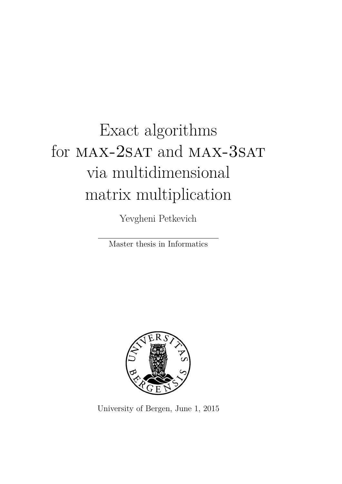# Exact algorithms for MAX-2SAT and MAX-3SAT via multidimensional matrix multiplication

Yevgheni Petkevich

Master thesis in Informatics



University of Bergen, June 1, 2015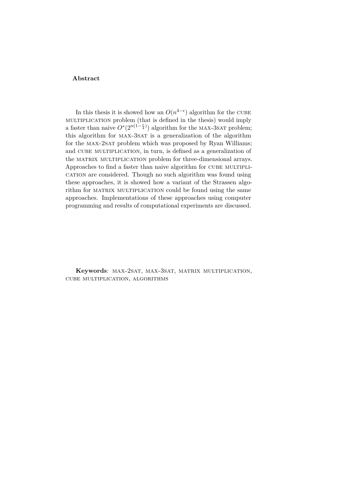#### **Abstract**

In this thesis it is showed how an  $O(n^{4-\epsilon})$  algorithm for the CUBE multiplication problem (that is defined in the thesis) would imply a faster than naive  $O^*(2^{n(1-\frac{\epsilon}{4})})$  algorithm for the MAX-3SAT problem; this algorithm for MAX-3SAT is a generalization of the algorithm for the MAX-2SAT problem which was proposed by Ryan Williams; and CUBE MULTIPLICATION, in turn, is defined as a generalization of the MATRIX MULTIPLICATION problem for three-dimensional arrays. Approaches to find a faster than naive algorithm for CUBE MULTIPLIcation are considered. Though no such algorithm was found using these approaches, it is showed how a variant of the Strassen algorithm for MATRIX MULTIPLICATION could be found using the same approaches. Implementations of these approaches using computer programming and results of computational experiments are discussed.

**Keywords**: max-2sat, max-3sat, matrix multiplication, cube multiplication, algorithms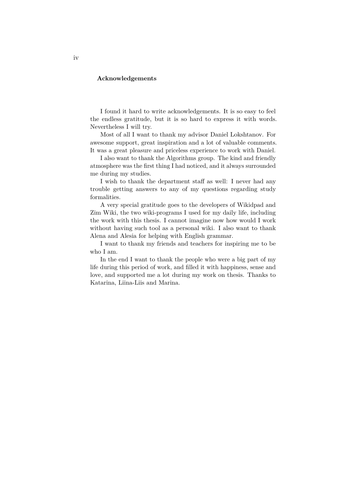#### **Acknowledgements**

I found it hard to write acknowledgements. It is so easy to feel the endless gratitude, but it is so hard to express it with words. Nevertheless I will try.

Most of all I want to thank my advisor Daniel Lokshtanov. For awesome support, great inspiration and a lot of valuable comments. It was a great pleasure and priceless experience to work with Daniel.

I also want to thank the Algorithms group. The kind and friendly atmosphere was the first thing I had noticed, and it always surrounded me during my studies.

I wish to thank the department staff as well: I never had any trouble getting answers to any of my questions regarding study formalities.

A very special gratitude goes to the developers of Wikidpad and Zim Wiki, the two wiki-programs I used for my daily life, including the work with this thesis. I cannot imagine now how would I work without having such tool as a personal wiki. I also want to thank Alena and Alesia for helping with English grammar.

I want to thank my friends and teachers for inspiring me to be who I am.

In the end I want to thank the people who were a big part of my life during this period of work, and filled it with happiness, sense and love, and supported me a lot during my work on thesis. Thanks to Katarina, Liina-Liis and Marina.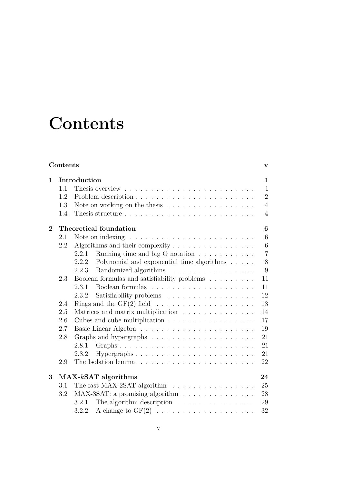# **Contents**

<span id="page-4-0"></span>

|              | Contents     |                                                                                |                |  |  |  |  |  |
|--------------|--------------|--------------------------------------------------------------------------------|----------------|--|--|--|--|--|
| $\mathbf{1}$ | Introduction |                                                                                |                |  |  |  |  |  |
|              | 1.1          |                                                                                | $\mathbf{1}$   |  |  |  |  |  |
|              | 1.2          |                                                                                | $\overline{2}$ |  |  |  |  |  |
|              | 1.3          | Note on working on the thesis $\ldots \ldots \ldots \ldots \ldots$             | $\overline{4}$ |  |  |  |  |  |
|              | 1.4          |                                                                                | $\overline{4}$ |  |  |  |  |  |
| $\bf{2}$     |              | Theoretical foundation                                                         | $\bf{6}$       |  |  |  |  |  |
|              | 2.1          | Note on indexing $\dots \dots \dots \dots \dots \dots \dots \dots \dots \dots$ | 6              |  |  |  |  |  |
|              | 2.2          | Algorithms and their complexity $\dots \dots \dots \dots \dots$                | 6              |  |  |  |  |  |
|              |              | 2.2.1<br>Running time and big O notation $\ldots \ldots \ldots$                | $\overline{7}$ |  |  |  |  |  |
|              |              | Polynomial and exponential time algorithms $\hfill\ldots\ldots$<br>2.2.2       | 8              |  |  |  |  |  |
|              |              | Randomized algorithms<br>2.2.3                                                 | 9              |  |  |  |  |  |
|              | 2.3          | Boolean formulas and satisfiability problems $\ldots \ldots \ldots$            | 11             |  |  |  |  |  |
|              |              | Boolean formulas $\ldots \ldots \ldots \ldots \ldots \ldots \ldots$<br>2.3.1   | 11             |  |  |  |  |  |
|              |              | Satisfiability problems<br>2.3.2                                               | 12             |  |  |  |  |  |
|              | 2.4          |                                                                                | 13             |  |  |  |  |  |
|              | 2.5          | Matrices and matrix multiplication                                             | 14             |  |  |  |  |  |
|              | 2.6          |                                                                                | 17             |  |  |  |  |  |
|              | 2.7          |                                                                                | 19             |  |  |  |  |  |
|              | 2.8          |                                                                                | 21             |  |  |  |  |  |
|              |              | 2.8.1                                                                          | 21             |  |  |  |  |  |
|              |              | Hypergraphs<br>2.8.2                                                           | 21             |  |  |  |  |  |
|              | 2.9          |                                                                                | 22             |  |  |  |  |  |
| 3            |              | $MAX-kSAT$ algorithms                                                          | 24             |  |  |  |  |  |
|              | 3.1          | The fast MAX-2SAT algorithm                                                    | 25             |  |  |  |  |  |
|              | 3.2          | MAX-3SAT: a promising algorithm                                                | 28             |  |  |  |  |  |
|              |              | The algorithm description $\ldots \ldots \ldots \ldots \ldots$<br>3.2.1        | 29             |  |  |  |  |  |
|              |              | A change to $GF(2) \ldots \ldots \ldots \ldots \ldots \ldots \ldots$<br>3.2.2  | 32             |  |  |  |  |  |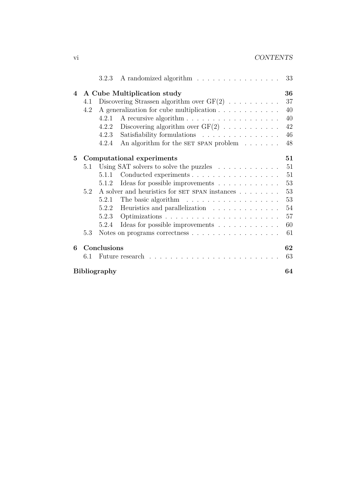|                                |                                   | A randomized algorithm<br>3.2.3                                        | 33 |  |  |  |  |  |  |  |  |  |
|--------------------------------|-----------------------------------|------------------------------------------------------------------------|----|--|--|--|--|--|--|--|--|--|
| $\overline{\mathcal{A}}$       | A Cube Multiplication study<br>36 |                                                                        |    |  |  |  |  |  |  |  |  |  |
|                                | 4.1                               | Discovering Strassen algorithm over $GF(2) \ldots \ldots \ldots$       | 37 |  |  |  |  |  |  |  |  |  |
|                                | 4.2                               | A generalization for cube multiplication                               | 40 |  |  |  |  |  |  |  |  |  |
|                                |                                   | 4.2.1                                                                  | 40 |  |  |  |  |  |  |  |  |  |
|                                |                                   | Discovering algorithm over $GF(2) \ldots \ldots \ldots$<br>4.2.2       | 42 |  |  |  |  |  |  |  |  |  |
|                                |                                   | Satisfiability formulations<br>4.2.3                                   | 46 |  |  |  |  |  |  |  |  |  |
|                                |                                   | An algorithm for the SET SPAN problem $\dots \dots$<br>4.2.4           | 48 |  |  |  |  |  |  |  |  |  |
| 5<br>Computational experiments |                                   |                                                                        |    |  |  |  |  |  |  |  |  |  |
|                                | 5.1                               | Using SAT solvers to solve the puzzles $\ldots \ldots \ldots \ldots$   | 51 |  |  |  |  |  |  |  |  |  |
|                                |                                   | Conducted experiments<br>5.1.1                                         | 51 |  |  |  |  |  |  |  |  |  |
|                                |                                   | Ideas for possible improvements<br>5.1.2                               | 53 |  |  |  |  |  |  |  |  |  |
|                                | 5.2                               | A solver and heuristics for SET SPAN instances $\ldots \ldots \ldots$  | 53 |  |  |  |  |  |  |  |  |  |
|                                |                                   | The basic algorithm $\dots \dots \dots \dots \dots \dots$<br>5.2.1     | 53 |  |  |  |  |  |  |  |  |  |
|                                |                                   | 5.2.2<br>Heuristics and parallelization                                | 54 |  |  |  |  |  |  |  |  |  |
|                                |                                   | 5.2.3                                                                  | 57 |  |  |  |  |  |  |  |  |  |
|                                |                                   | Ideas for possible improvements $\ldots \ldots \ldots \ldots$<br>5.2.4 | 60 |  |  |  |  |  |  |  |  |  |
|                                | 5.3                               | Notes on programs correctness                                          | 61 |  |  |  |  |  |  |  |  |  |
| 6                              |                                   | Conclusions                                                            | 62 |  |  |  |  |  |  |  |  |  |
|                                | 6.1                               | Future research                                                        | 63 |  |  |  |  |  |  |  |  |  |
| <b>Bibliography</b><br>64      |                                   |                                                                        |    |  |  |  |  |  |  |  |  |  |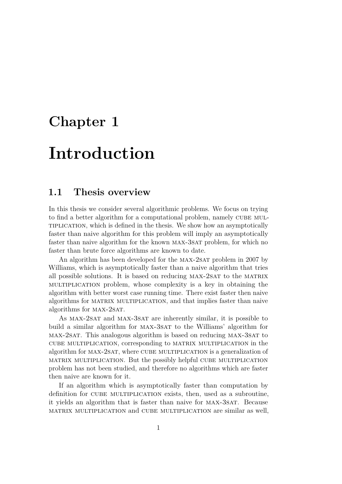## <span id="page-6-0"></span>**Chapter 1**

# **Introduction**

## <span id="page-6-1"></span>**1.1 Thesis overview**

In this thesis we consider several algorithmic problems. We focus on trying to find a better algorithm for a computational problem, namely CUBE MULtiplication, which is defined in the thesis. We show how an asymptotically faster than naive algorithm for this problem will imply an asymptotically faster than naive algorithm for the known max-3sat problem, for which no faster than brute force algorithms are known to date.

An algorithm has been developed for the MAX-2SAT problem in 2007 by Williams, which is asymptotically faster than a naive algorithm that tries all possible solutions. It is based on reducing max-2sat to the matrix multiplication problem, whose complexity is a key in obtaining the algorithm with better worst case running time. There exist faster then naive algorithms for matrix multiplication, and that implies faster than naive algorithms for MAX-2SAT.

As MAX-2SAT and MAX-3SAT are inherently similar, it is possible to build a similar algorithm for max-3sat to the Williams' algorithm for max-2sat. This analogous algorithm is based on reducing max-3sat to cube multiplication, corresponding to matrix multiplication in the algorithm for MAX-2SAT, where CUBE MULTIPLICATION is a generalization of matrix multiplication. But the possibly helpful cube multiplication problem has not been studied, and therefore no algorithms which are faster then naive are known for it.

If an algorithm which is asymptotically faster than computation by definition for cube multiplication exists, then, used as a subroutine, it yields an algorithm that is faster than naive for max-3sat. Because matrix multiplication and cube multiplication are similar as well,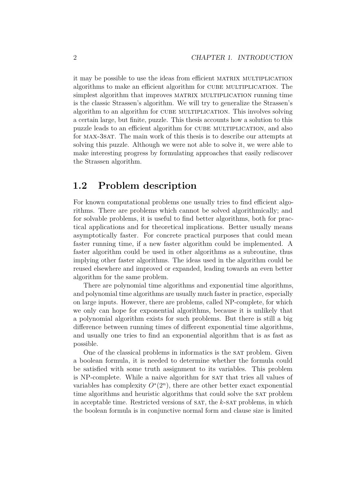it may be possible to use the ideas from efficient matrix multiplication algorithms to make an efficient algorithm for cube multiplication. The simplest algorithm that improves MATRIX MULTIPLICATION running time is the classic Strassen's algorithm. We will try to generalize the Strassen's algorithm to an algorithm for CUBE MULTIPLICATION. This involves solving a certain large, but finite, puzzle. This thesis accounts how a solution to this puzzle leads to an efficient algorithm for CUBE MULTIPLICATION, and also for max-3sat. The main work of this thesis is to describe our attempts at solving this puzzle. Although we were not able to solve it, we were able to make interesting progress by formulating approaches that easily rediscover the Strassen algorithm.

## <span id="page-7-0"></span>**1.2 Problem description**

For known computational problems one usually tries to find efficient algorithms. There are problems which cannot be solved algorithmically; and for solvable problems, it is useful to find better algorithms, both for practical applications and for theoretical implications. Better usually means asymptotically faster. For concrete practical purposes that could mean faster running time, if a new faster algorithm could be implemented. A faster algorithm could be used in other algorithms as a subroutine, thus implying other faster algorithms. The ideas used in the algorithm could be reused elsewhere and improved or expanded, leading towards an even better algorithm for the same problem.

There are polynomial time algorithms and exponential time algorithms, and polynomial time algorithms are usually much faster in practice, especially on large inputs. However, there are problems, called NP-complete, for which we only can hope for exponential algorithms, because it is unlikely that a polynomial algorithm exists for such problems. But there is still a big difference between running times of different exponential time algorithms, and usually one tries to find an exponential algorithm that is as fast as possible.

One of the classical problems in informatics is the SAT problem. Given a boolean formula, it is needed to determine whether the formula could be satisfied with some truth assignment to its variables. This problem is NP-complete. While a naive algorithm for SAT that tries all values of variables has complexity  $O<sup>*</sup>(2<sup>n</sup>)$ , there are other better exact exponential time algorithms and heuristic algorithms that could solve the SAT problem in acceptable time. Restricted versions of sat, the *k*-sat problems, in which the boolean formula is in conjunctive normal form and clause size is limited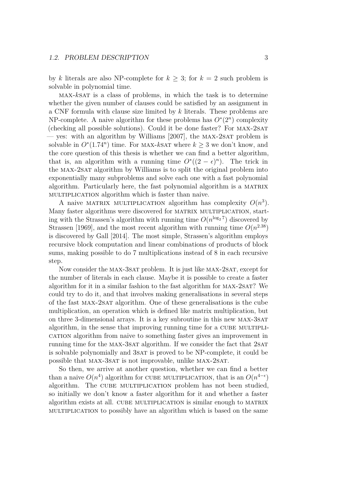by *k* literals are also NP-complete for  $k > 3$ ; for  $k = 2$  such problem is solvable in polynomial time.

max-*k*sat is a class of problems, in which the task is to determine whether the given number of clauses could be satisfied by an assignment in a CNF formula with clause size limited by *k* literals. These problems are NP-complete. A naive algorithm for these problems has  $O<sup>*</sup>(2<sup>n</sup>)$  complexity (checking all possible solutions). Could it be done faster? For max-2sat — yes: with an algorithm by [Williams](#page-70-0) [\[2007\]](#page-70-0), the MAX-2SAT problem is solvable in  $O^*(1.74^n)$  time. For MAX-kSAT where  $k \geq 3$  we don't know, and the core question of this thesis is whether we can find a better algorithm, that is, an algorithm with a running time  $O^*(2 - \epsilon)^n$ ). The trick in the max-2sat algorithm by Williams is to split the original problem into exponentially many subproblems and solve each one with a fast polynomial algorithm. Particularly here, the fast polynomial algorithm is a MATRIX multiplication algorithm which is faster than naive.

A naive MATRIX MULTIPLICATION algorithm has complexity  $O(n^3)$ . Many faster algorithms were discovered for matrix multiplication, starting with the Strassen's algorithm with running time  $O(n^{\log_2 7})$  discovered by [Strassen](#page-70-1) [\[1969\]](#page-70-1), and the most recent algorithm with running time  $O(n^{2.38})$ is discovered by [Gall](#page-69-1) [\[2014\]](#page-69-1). The most simple, Strassen's algorithm employs recursive block computation and linear combinations of products of block sums, making possible to do 7 multiplications instead of 8 in each recursive step.

Now consider the MAX-3SAT problem. It is just like MAX-2SAT, except for the number of literals in each clause. Maybe it is possible to create a faster algorithm for it in a similar fashion to the fast algorithm for max-2sat? We could try to do it, and that involves making generalisations in several steps of the fast max-2sat algorithm. One of these generalisations is the cube multiplication, an operation which is defined like matrix multiplication, but on three 3-dimensional arrays. It is a key subroutine in this new max-3sat algorithm, in the sense that improving running time for a CUBE MULTIPLIcation algorithm from naive to something faster gives an improvement in running time for the MAX-3SAT algorithm. If we consider the fact that 2SAT is solvable polynomially and 3SAT is proved to be NP-complete, it could be possible that MAX-3SAT is not improvable, unlike MAX-2SAT.

So then, we arrive at another question, whether we can find a better than a naive  $O(n^4)$  algorithm for CUBE MULTIPLICATION, that is an  $O(n^{4-\epsilon})$ algorithm. The CUBE MULTIPLICATION problem has not been studied, so initially we don't know a faster algorithm for it and whether a faster algorithm exists at all. cube multiplication is similar enough to matrix multiplication to possibly have an algorithm which is based on the same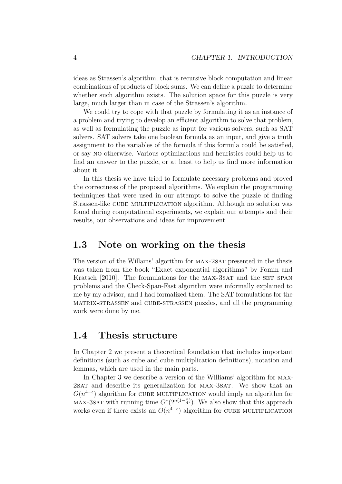ideas as Strassen's algorithm, that is recursive block computation and linear combinations of products of block sums. We can define a puzzle to determine whether such algorithm exists. The solution space for this puzzle is very large, much larger than in case of the Strassen's algorithm.

We could try to cope with that puzzle by formulating it as an instance of a problem and trying to develop an efficient algorithm to solve that problem, as well as formulating the puzzle as input for various solvers, such as SAT solvers. SAT solvers take one boolean formula as an input, and give a truth assignment to the variables of the formula if this formula could be satisfied, or say no otherwise. Various optimizations and heuristics could help us to find an answer to the puzzle, or at least to help us find more information about it.

In this thesis we have tried to formulate necessary problems and proved the correctness of the proposed algorithms. We explain the programming techniques that were used in our attempt to solve the puzzle of finding Strassen-like cube multiplication algorithm. Although no solution was found during computational experiments, we explain our attempts and their results, our observations and ideas for improvement.

### <span id="page-9-0"></span>**1.3 Note on working on the thesis**

The version of the Willams' algorithm for max-2sat presented in the thesis was taken from the book "Exact exponential algorithms" by [Fomin and](#page-69-2) [Kratsch](#page-69-2) [\[2010\]](#page-69-2). The formulations for the MAX-3SAT and the SET SPAN problems and the Check-Span-Fast algorithm were informally explained to me by my advisor, and I had formalized them. The SAT formulations for the matrix-strassen and cube-strassen puzzles, and all the programming work were done by me.

### <span id="page-9-1"></span>**1.4 Thesis structure**

In Chapter [2](#page-11-0) we present a theoretical foundation that includes important definitions (such as cube and cube multiplication definitions), notation and lemmas, which are used in the main parts.

In Chapter [3](#page-29-0) we describe a version of the Williams' algorithm for max-2sat and describe its generalization for max-3sat. We show that an  $O(n^{4-\epsilon})$  algorithm for CUBE MULTIPLICATION would imply an algorithm for MAX-3SAT with running time  $O^*(2^{n(1-\frac{\epsilon}{4})})$ . We also show that this approach works even if there exists an  $O(n^{4-\epsilon})$  algorithm for CUBE MULTIPLICATION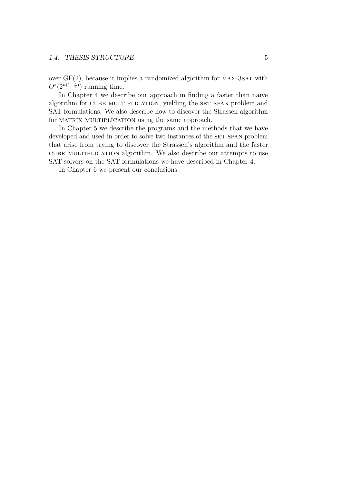over  $GF(2)$ , because it implies a randomized algorithm for MAX-3SAT with  $O^*(2^{n(1-\frac{\epsilon}{4})})$  running time.

In Chapter [4](#page-41-0) we describe our approach in finding a faster than naive algorithm for CUBE MULTIPLICATION, yielding the SET SPAN problem and SAT-formulations. We also describe how to discover the Strassen algorithm for MATRIX MULTIPLICATION using the same approach.

In Chapter [5](#page-56-0) we describe the programs and the methods that we have developed and used in order to solve two instances of the SET SPAN problem that arise from trying to discover the Strassen's algorithm and the faster cube multiplication algorithm. We also describe our attempts to use SAT-solvers on the SAT-formulations we have described in Chapter [4.](#page-41-0)

In Chapter [6](#page-67-0) we present our conclusions.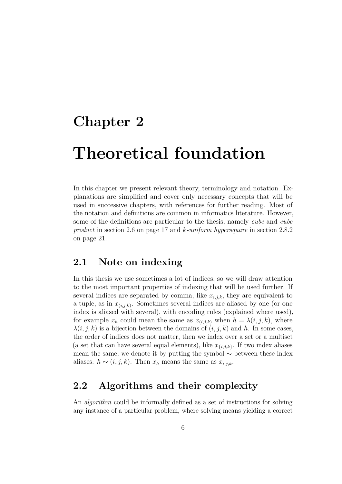## <span id="page-11-0"></span>**Chapter 2**

# **Theoretical foundation**

In this chapter we present relevant theory, terminology and notation. Explanations are simplified and cover only necessary concepts that will be used in successive chapters, with references for further reading. Most of the notation and definitions are common in informatics literature. However, some of the definitions are particular to the thesis, namely *cube* and *cube product* in section [2.6](#page-22-0) on page [17](#page-22-0) and *k-uniform hypersquare* in section [2.8.2](#page-26-2) on page [21.](#page-26-2)

## <span id="page-11-1"></span>**2.1 Note on indexing**

In this thesis we use sometimes a lot of indices, so we will draw attention to the most important properties of indexing that will be used further. If several indices are separated by comma, like *xi,j,k*, they are equivalent to a tuple, as in  $x_{(i,j,k)}$ . Sometimes several indices are aliased by one (or one index is aliased with several), with encoding rules (explained where used), for example  $x_h$  could mean the same as  $x_{(i,j,k)}$  when  $h = \lambda(i,j,k)$ , where  $\lambda(i, j, k)$  is a bijection between the domains of  $(i, j, k)$  and h. In some cases, the order of indices does not matter, then we index over a set or a multiset (a set that can have several equal elements), like  $x_{\{i,j,k\}}$ . If two index aliases mean the same, we denote it by putting the symbol  $\sim$  between these index aliases:  $h \sim (i, j, k)$ . Then  $x_h$  means the same as  $x_{i,j,k}$ .

## <span id="page-11-2"></span>**2.2 Algorithms and their complexity**

An *algorithm* could be informally defined as a set of instructions for solving any instance of a particular problem, where solving means yielding a correct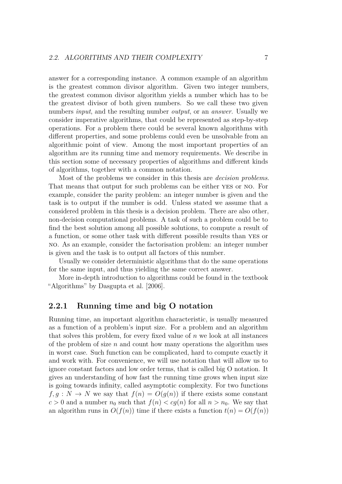answer for a corresponding instance. A common example of an algorithm is the greatest common divisor algorithm. Given two integer numbers, the greatest common divisor algorithm yields a number which has to be the greatest divisor of both given numbers. So we call these two given numbers *input*, and the resulting number *output*, or an *answer*. Usually we consider imperative algorithms, that could be represented as step-by-step operations. For a problem there could be several known algorithms with different properties, and some problems could even be unsolvable from an algorithmic point of view. Among the most important properties of an algorithm are its running time and memory requirements. We describe in this section some of necessary properties of algorithms and different kinds of algorithms, together with a common notation.

Most of the problems we consider in this thesis are *decision problems*. That means that output for such problems can be either yes or no. For example, consider the parity problem: an integer number is given and the task is to output if the number is odd. Unless stated we assume that a considered problem in this thesis is a decision problem. There are also other, non-decision computational problems. A task of such a problem could be to find the best solution among all possible solutions, to compute a result of a function, or some other task with different possible results than yes or no. As an example, consider the factorisation problem: an integer number is given and the task is to output all factors of this number.

Usually we consider deterministic algorithms that do the same operations for the same input, and thus yielding the same correct answer.

More in-depth introduction to algorithms could be found in the textbook "Algorithms" by [Dasgupta et al.](#page-69-3) [\[2006\]](#page-69-3).

#### <span id="page-12-0"></span>**2.2.1 Running time and big O notation**

Running time, an important algorithm characteristic, is usually measured as a function of a problem's input size. For a problem and an algorithm that solves this problem, for every fixed value of *n* we look at all instances of the problem of size *n* and count how many operations the algorithm uses in worst case. Such function can be complicated, hard to compute exactly it and work with. For convenience, we will use notation that will allow us to ignore constant factors and low order terms, that is called big O notation. It gives an understanding of how fast the running time grows when input size is going towards infinity, called asymptotic complexity. For two functions  $f, g: N \to N$  we say that  $f(n) = O(g(n))$  if there exists some constant  $c > 0$  and a number  $n_0$  such that  $f(n) < cg(n)$  for all  $n > n_0$ . We say that an algorithm runs in  $O(f(n))$  time if there exists a function  $t(n) = O(f(n))$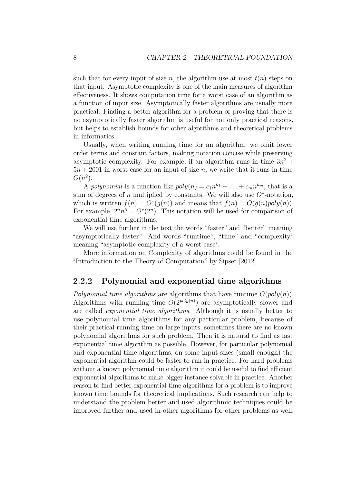such that for every input of size *n*, the algorithm use at most  $t(n)$  steps on that input. Asymptotic complexity is one of the main measures of algorithm effectiveness. It shows computation time for a worst case of an algorithm as a function of input size. Asymptotically faster algorithms are usually more practical. Finding a better algorithm for a problem or proving that there is no asymptotically faster algorithm is useful for not only practical reasons, but helps to establish bounds for other algorithms and theoretical problems in informatics.

Usually, when writing running time for an algorithm, we omit lower order terms and constant factors, making notation concise while preserving asymptotic complexity. For example, if an algorithm runs in time  $3n^2 +$  $5n + 2001$  in worst case for an input of size *n*, we write that it runs in time  $O(n^2)$ .

A *polynomial* is a function like  $poly(n) = c_1 n^{k_1} + \ldots + c_m n^{k_m}$ , that is a sum of degrees of  $n$  multiplied by constants. We will also use  $O^*$ -notation, which is written  $f(n) = O^*(g(n))$  and means that  $f(n) = O(g(n)poly(n)).$ For example,  $2^n n^5 = O^*(2^n)$ . This notation will be used for comparison of exponential time algorithms.

We will use further in the text the words "faster" and "better" meaning "asymptotically faster". And words "runtime", "time" and "complexity" meaning "asymptotic complexity of a worst case".

More information on Complexity of algorithms could be found in the "Introduction to the Theory of Computation" by [Sipser](#page-70-2) [\[2012\]](#page-70-2).

#### <span id="page-13-0"></span>**2.2.2 Polynomial and exponential time algorithms**

*Polynomial time algorithms* are algorithms that have runtime  $O(poly(n))$ . Algorithms with running time  $O(2^{poly(n)})$  are asymptotically slower and are called *exponential time algorithms*. Although it is usually better to use polynomial time algorithms for any particular problem, because of their practical running time on large inputs, sometimes there are no known polynomial algorithms for such problem. Then it is natural to find as fast exponential time algorithm as possible. However, for particular polynomial and exponential time algorithms, on some input sizes (small enough) the exponential algorithm could be faster to run in practice. For hard problems without a known polynomial time algorithm it could be useful to find efficient exponential algorithms to make bigger instance solvable in practice. Another reason to find better exponential time algorithms for a problem is to improve known time bounds for theoretical implications. Such research can help to understand the problem better and used algorithmic techniques could be improved further and used in other algorithms for other problems as well.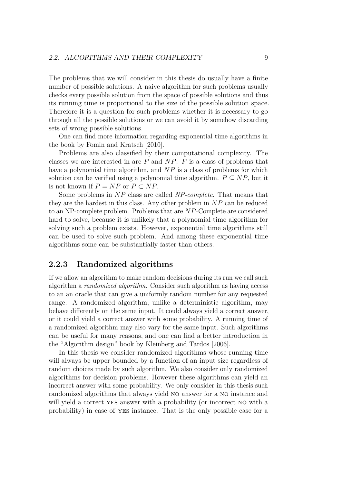The problems that we will consider in this thesis do usually have a finite number of possible solutions. A naive algorithm for such problems usually checks every possible solution from the space of possible solutions and thus its running time is proportional to the size of the possible solution space. Therefore it is a question for such problems whether it is necessary to go through all the possible solutions or we can avoid it by somehow discarding sets of wrong possible solutions.

One can find more information regarding exponential time algorithms in the book by [Fomin and Kratsch](#page-69-2) [\[2010\]](#page-69-2).

Problems are also classified by their computational complexity. The classes we are interested in are *P* and *NP*. *P* is a class of problems that have a polynomial time algorithm, and *NP* is a class of problems for which solution can be verified using a polynomial time algorithm.  $P \subseteq NP$ , but it is not known if  $P = NP$  or  $P \subset NP$ .

Some problems in *NP* class are called *NP-complete*. That means that they are the hardest in this class. Any other problem in *NP* can be reduced to an NP-complete problem. Problems that are *NP*-Complete are considered hard to solve, because it is unlikely that a polynomial time algorithm for solving such a problem exists. However, exponential time algorithms still can be used to solve such problem. And among these exponential time algorithms some can be substantially faster than others.

#### <span id="page-14-0"></span>**2.2.3 Randomized algorithms**

If we allow an algorithm to make random decisions during its run we call such algorithm a *randomized algorithm*. Consider such algorithm as having access to an an oracle that can give a uniformly random number for any requested range. A randomized algorithm, unlike a deterministic algorithm, may behave differently on the same input. It could always yield a correct answer, or it could yield a correct answer with some probability. A running time of a randomized algorithm may also vary for the same input. Such algorithms can be useful for many reasons, and one can find a better introduction in the "Algorithm design" book by [Kleinberg and Tardos](#page-69-4) [\[2006\]](#page-69-4).

In this thesis we consider randomized algorithms whose running time will always be upper bounded by a function of an input size regardless of random choices made by such algorithm. We also consider only randomized algorithms for decision problems. However these algorithms can yield an incorrect answer with some probability. We only consider in this thesis such randomized algorithms that always yield no answer for a no instance and will yield a correct YES answer with a probability (or incorrect NO with a probability) in case of yes instance. That is the only possible case for a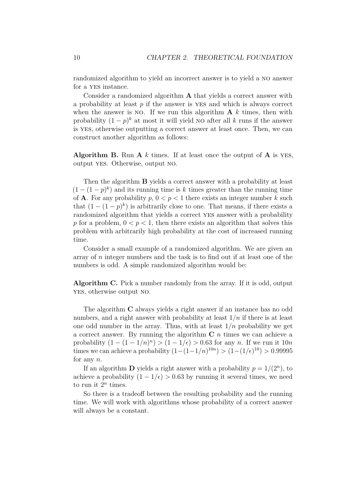randomized algorithm to yield an incorrect answer is to yield a no answer for a yes instance.

Consider a randomized algorithm **A** that yields a correct answer with a probability at least *p* if the answer is yes and which is always correct when the answer is no. If we run this algorithm  $A$   $k$  times, then with probability  $(1-p)^k$  at most it will yield no after all k runs if the answer is yes, otherwise outputting a correct answer at least once. Then, we can construct another algorithm as follows:

**Algorithm B.** Run **A** *k* times. If at least once the output of **A** is yes, output yes. Otherwise, output no.

Then the algorithm **B** yields a correct answer with a probability at least  $(1 - (1 - p)^k)$  and its running time is *k* times greater than the running time of **A**. For any probability  $p, 0 < p < 1$  there exists an integer number k such that  $(1 - (1 - p)^k)$  is arbitrarily close to one. That means, if there exists a randomized algorithm that yields a correct yes answer with a probability p for a problem,  $0 < p < 1$ , then there exists an algorithm that solves this problem with arbitrarily high probability at the cost of increased running time.

Consider a small example of a randomized algorithm. We are given an array of *n* integer numbers and the task is to find out if at least one of the numbers is odd. A simple randomized algorithm would be:

**Algorithm C.** Pick a number randomly from the array. If it is odd, output yes, otherwise output no.

The algorithm **C** always yields a right answer if an instance has no odd numbers, and a right answer with probability at least 1*/n* if there is at least one odd number in the array. Thus, with at least  $1/n$  probability we get a correct answer. By running the algorithm **C** *n* times we can achieve a probability  $(1 - (1 - 1/n)^n) > (1 - 1/\epsilon) > 0.63$  for any *n*. If we run it  $10n$ times we can achieve a probability  $(1 - (1 - 1/n)^{10n}) > (1 - (1/\epsilon)^{10}) > 0.99995$ for any *n*.

If an algorithm **D** yields a right answer with a probability  $p = 1/(2^n)$ , to achieve a probability  $(1 - 1/\epsilon) > 0.63$  by running it several times, we need to run it  $2^n$  times.

So there is a tradeoff between the resulting probability and the running time. We will work with algorithms whose probability of a correct answer will always be a constant.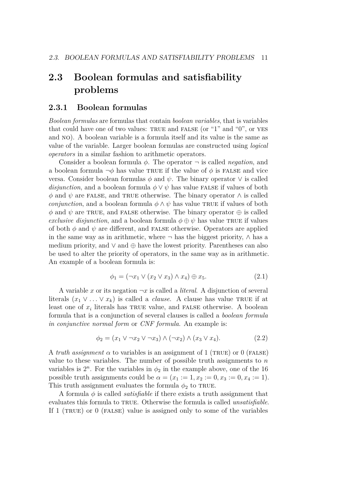## <span id="page-16-0"></span>**2.3 Boolean formulas and satisfiability problems**

#### <span id="page-16-1"></span>**2.3.1 Boolean formulas**

*Boolean formulas* are formulas that contain *boolean variables*, that is variables that could have one of two values: TRUE and FALSE (or "1" and "0", or YES and no). A boolean variable is a formula itself and its value is the same as value of the variable. Larger boolean formulas are constructed using *logical operators* in a similar fashion to arithmetic operators.

Consider a boolean formula *φ*. The operator ¬ is called *negation*, and a boolean formula  $\neg \phi$  has value TRUE if the value of  $\phi$  is FALSE and vice versa. Consider boolean formulas  $\phi$  and  $\psi$ . The binary operator  $\vee$  is called *disjunction*, and a boolean formula  $\phi \vee \psi$  has value FALSE if values of both  $\phi$  and  $\psi$  are FALSE, and TRUE otherwise. The binary operator  $\wedge$  is called *conjunction*, and a boolean formula  $\phi \wedge \psi$  has value TRUE if values of both  $\phi$  and  $\psi$  are TRUE, and FALSE otherwise. The binary operator  $\oplus$  is called *exclusive disjunction*, and a boolean formula  $\phi \oplus \psi$  has value TRUE if values of both  $\phi$  and  $\psi$  are different, and FALSE otherwise. Operators are applied in the same way as in arithmetic, where  $\neg$  has the biggest priority,  $\wedge$  has a medium priority, and  $\vee$  and  $\oplus$  have the lowest priority. Parentheses can also be used to alter the priority of operators, in the same way as in arithmetic. An example of a boolean formula is:

$$
\phi_1 = (\neg x_1 \lor (x_2 \lor x_3) \land x_4) \oplus x_5. \tag{2.1}
$$

A variable x or its negation  $\neg x$  is called a *literal*. A disjunction of several literals  $(x_1 \vee \ldots \vee x_k)$  is called a *clause*. A clause has value TRUE if at least one of  $x_i$  literals has TRUE value, and FALSE otherwise. A boolean formula that is a conjunction of several clauses is called a *boolean formula in conjunctive normal form* or *CNF formula*. An example is:

$$
\phi_2 = (x_1 \lor \neg x_2 \lor \neg x_3) \land (\neg x_2) \land (x_3 \lor x_4). \tag{2.2}
$$

A *truth assignment*  $\alpha$  to variables is an assignment of 1 (TRUE) or 0 (FALSE) value to these variables. The number of possible truth assignments to *n* variables is  $2^n$ . For the variables in  $\phi_2$  in the example above, one of the 16 possible truth assignments could be  $\alpha = (x_1 := 1, x_2 := 0, x_3 := 0, x_4 := 1)$ . This truth assignment evaluates the formula  $\phi_2$  to TRUE.

A formula  $\phi$  is called *satisfiable* if there exists a truth assignment that evaluates this formula to true. Otherwise the formula is called *unsatisfiable*. If  $1$  (TRUE) or  $0$  (FALSE) value is assigned only to some of the variables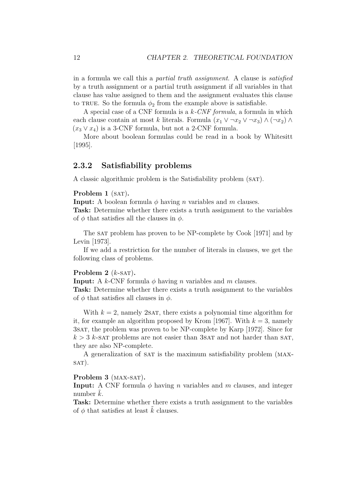in a formula we call this a *partial truth assignment*. A clause is *satisfied* by a truth assignment or a partial truth assignment if all variables in that clause has value assigned to them and the assignment evaluates this clause to TRUE. So the formula  $\phi_2$  from the example above is satisfiable.

A special case of a CNF formula is a *k-CNF formula*, a formula in which each clause contain at most *k* literals. Formula  $(x_1 \vee \neg x_2 \vee \neg x_3) \wedge (\neg x_2) \wedge$  $(x_3 \vee x_4)$  is a 3-CNF formula, but not a 2-CNF formula.

More about boolean formulas could be read in a book by [Whitesitt](#page-70-3) [\[1995\]](#page-70-3).

#### <span id="page-17-0"></span>**2.3.2 Satisfiability problems**

A classic algorithmic problem is the Satisfiability problem (sat).

#### **Problem 1** (SAT).

**Input:** A boolean formula  $\phi$  having *n* variables and *m* clauses.

**Task:** Determine whether there exists a truth assignment to the variables of  $\phi$  that satisfies all the clauses in  $\phi$ .

The sat problem has proven to be NP-complete by [Cook](#page-69-5) [\[1971\]](#page-69-5) and by [Levin](#page-70-4) [\[1973\]](#page-70-4).

If we add a restriction for the number of literals in clauses, we get the following class of problems.

#### **Problem 2**  $(k$ -SAT $)$ .

**Input:** A *k*-CNF formula  $\phi$  having *n* variables and *m* clauses. **Task:** Determine whether there exists a truth assignment to the variables of  $\phi$  that satisfies all clauses in  $\phi$ .

With  $k = 2$ , namely 2sat, there exists a polynomial time algorithm for it, for example an algorithm proposed by [Krom](#page-69-6) [\[1967\]](#page-69-6). With  $k = 3$ , namely 3sat, the problem was proven to be NP-complete by [Karp](#page-69-7) [\[1972\]](#page-69-7). Since for  $k > 3$  *k*-sat problems are not easier than 3sat and not harder than sat, they are also NP-complete.

A generalization of SAT is the maximum satisfiability problem (MAX- $SAT$ ).

#### Problem 3 (MAX-SAT).

**Input:** A CNF formula *φ* having *n* variables and *m* clauses, and integer number  $k$ .

**Task:** Determine whether there exists a truth assignment to the variables of  $\phi$  that satisfies at least  $k$  clauses.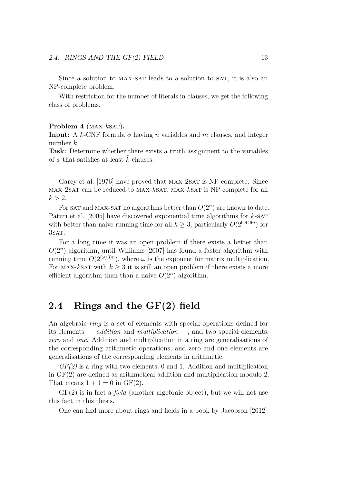Since a solution to MAX-SAT leads to a solution to SAT, it is also an NP-complete problem.

With restriction for the number of literals in clauses, we get the following class of problems.

#### Problem 4 (MAX-*kSAT*).

**Input:** A *k*-CNF formula  $\phi$  having *n* variables and *m* clauses, and integer number  $k$ .

**Task:** Determine whether there exists a truth assignment to the variables of  $\phi$  that satisfies at least k clauses.

[Garey et al.](#page-69-8) [\[1976\]](#page-69-8) have proved that MAX-2SAT is NP-complete. Since max-2sat can be reduced to max-*k*sat, max-*k*sat is NP-complete for all  $k > 2$ .

For SAT and MAX-SAT no algorithms better than  $O(2^n)$  are known to date. [Paturi et al.](#page-70-5) [\[2005\]](#page-70-5) have discovered exponential time algorithms for *k*-sat with better than naive running time for all  $k \geq 3$ , particularly  $O(2^{0.446n})$  for 3SAT.

For a long time it was an open problem if there exists a better than  $O(2^n)$  algorithm, until [Williams](#page-70-0) [\[2007\]](#page-70-0) has found a faster algorithm with running time  $O(2^{(\omega/3)n})$ , where  $\omega$  is the exponent for matrix multiplication. For MAX- $k$ sat with  $k > 3$  it is still an open problem if there exists a more efficient algorithm than than a naive  $O(2^n)$  algorithm.

## <span id="page-18-0"></span>**2.4 Rings and the GF(2) field**

An algebraic *ring* is a set of elements with special operations defined for its elements — *addition* and *multiplication* —, and two special elements, *zero* and *one*. Addition and multiplication in a ring are generalisations of the corresponding arithmetic operations, and zero and one elements are generalisations of the corresponding elements in arithmetic.

*GF(2)* is a ring with two elements, 0 and 1. Addition and multiplication in GF(2) are defined as arithmetical addition and multiplication modulo 2. That means  $1 + 1 = 0$  in  $GF(2)$ .

GF(2) is in fact a *field* (another algebraic object), but we will not use this fact in this thesis.

One can find more about rings and fields in a book by [Jacobson](#page-69-9) [\[2012\]](#page-69-9).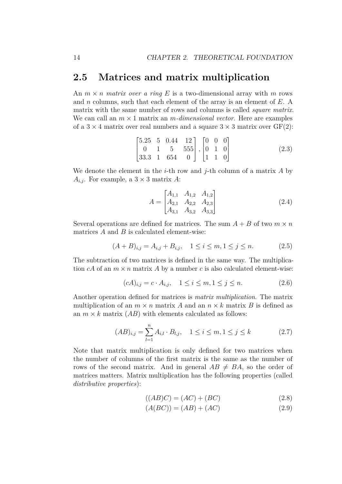### <span id="page-19-0"></span>**2.5 Matrices and matrix multiplication**

An  $m \times n$  *matrix over a ring* E is a two-dimensional array with m rows and *n* columns, such that each element of the array is an element of *E*. A matrix with the same number of rows and columns is called *square matrix*. We can call an  $m \times 1$  matrix an *m-dimensional vector*. Here are examples of a  $3 \times 4$  matrix over real numbers and a square  $3 \times 3$  matrix over  $GF(2)$ :

$$
\begin{bmatrix} 5.25 & 5 & 0.44 & 12 \\ 0 & 1 & 5 & 555 \\ 33.3 & 1 & 654 & 0 \end{bmatrix}, \begin{bmatrix} 0 & 0 & 0 \\ 0 & 1 & 0 \\ 1 & 1 & 0 \end{bmatrix}
$$
 (2.3)

We denote the element in the *i*-th row and *j*-th column of a matrix *A* by  $A_{i,j}$ . For example, a  $3 \times 3$  matrix *A*:

$$
A = \begin{bmatrix} A_{1,1} & A_{1,2} & A_{1,2} \\ A_{2,1} & A_{2,2} & A_{2,3} \\ A_{3,1} & A_{3,2} & A_{3,3} \end{bmatrix}
$$
 (2.4)

Several operations are defined for matrices. The sum  $A + B$  of two  $m \times n$ matrices *A* and *B* is calculated element-wise:

$$
(A + B)_{i,j} = A_{i,j} + B_{i,j}, \quad 1 \le i \le m, 1 \le j \le n. \tag{2.5}
$$

The subtraction of two matrices is defined in the same way. The multiplication  $cA$  of an  $m \times n$  matrix A by a number c is also calculated element-wise:

$$
(cA)_{i,j} = c \cdot A_{i,j}, \quad 1 \le i \le m, 1 \le j \le n. \tag{2.6}
$$

Another operation defined for matrices is *matrix multiplication*. The matrix multiplication of an  $m \times n$  matrix *A* and an  $n \times k$  matrix *B* is defined as an  $m \times k$  matrix  $(AB)$  with elements calculated as follows:

$$
(AB)_{i,j} = \sum_{l=1}^{n} A_{i,l} \cdot B_{l,j}, \quad 1 \le i \le m, 1 \le j \le k \tag{2.7}
$$

Note that matrix multiplication is only defined for two matrices when the number of columns of the first matrix is the same as the number of rows of the second matrix. And in general  $AB \neq BA$ , so the order of matrices matters. Matrix multiplication has the following properties (called *distributive properties*):

$$
((AB)C) = (AC) + (BC)
$$
\n
$$
(2.8)
$$

$$
(A(BC)) = (AB) + (AC)
$$
 (2.9)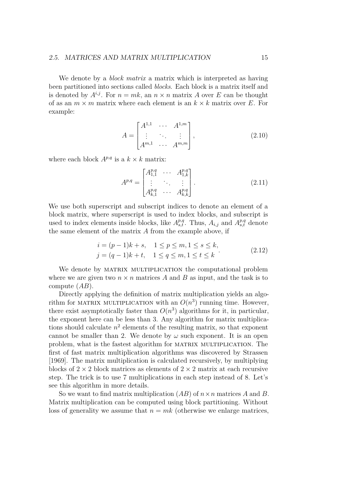#### 2.5. MATRICES AND MATRIX MULTIPLICATION 15

We denote by a *block matrix* a matrix which is interpreted as having been partitioned into sections called *blocks*. Each block is a matrix itself and is denoted by  $A^{i,j}$ . For  $n = mk$ , an  $n \times n$  matrix A over E can be thought of as an  $m \times m$  matrix where each element is an  $k \times k$  matrix over *E*. For example:

$$
A = \begin{bmatrix} A^{1,1} & \cdots & A^{1,m} \\ \vdots & \ddots & \vdots \\ A^{m,1} & \cdots & A^{m,m} \end{bmatrix},
$$
 (2.10)

where each block  $A^{p,q}$  is a  $k \times k$  matrix:

<span id="page-20-0"></span>
$$
A^{p,q} = \begin{bmatrix} A^{p,q}_{1,1} & \cdots & A^{p,q}_{1,k} \\ \vdots & \ddots & \vdots \\ A^{p,q}_{k,1} & \cdots & A^{p,q}_{k,k} \end{bmatrix} .
$$
 (2.11)

We use both superscript and subscript indices to denote an element of a block matrix, where superscript is used to index blocks, and subscript is used to index elements inside blocks, like  $A_{s,t}^{p,q}$ . Thus,  $A_{i,j}$  and  $A_{s,t}^{p,q}$  denote the same element of the matrix *A* from the example above, if

$$
i = (p-1)k + s, \quad 1 \le p \le m, 1 \le s \le k,
$$
  
\n
$$
j = (q-1)k + t, \quad 1 \le q \le m, 1 \le t \le k
$$
\n(2.12)

We denote by MATRIX MULTIPLICATION the computational problem where we are given two  $n \times n$  matrices A and B as input, and the task is to compute (*AB*).

Directly applying the definition of matrix multiplication yields an algorithm for MATRIX MULTIPLICATION with an  $O(n^3)$  running time. However, there exist asymptotically faster than  $O(n^3)$  algorithms for it, in particular, the exponent here can be less than 3. Any algorithm for matrix multiplications should calculate  $n^2$  elements of the resulting matrix, so that exponent cannot be smaller than 2. We denote by  $\omega$  such exponent. It is an open problem, what is the fastest algorithm for matrix multiplication. The first of fast matrix multiplication algorithms was discovered by [Strassen](#page-70-1) [\[1969\]](#page-70-1). The matrix multiplication is calculated recursively, by multiplying blocks of  $2 \times 2$  block matrices as elements of  $2 \times 2$  matrix at each recursive step. The trick is to use 7 multiplications in each step instead of 8. Let's see this algorithm in more details.

So we want to find matrix multiplication  $(AB)$  of  $n \times n$  matrices A and B. Matrix multiplication can be computed using block partitioning. Without loss of generality we assume that  $n = mk$  (otherwise we enlarge matrices,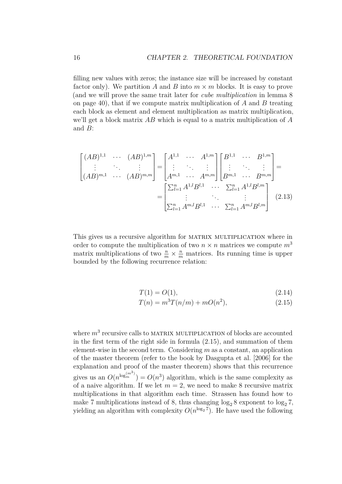filling new values with zeros; the instance size will be increased by constant factor only). We partition A and B into  $m \times m$  blocks. It is easy to prove (and we will prove the same trait later for *cube multiplication* in lemma [8](#page-45-2) on page [40\)](#page-45-2), that if we compute matrix multiplication of *A* and *B* treating each block as element and element multiplication as matrix multiplication, we'll get a block matrix *AB* which is equal to a matrix multiplication of *A* and *B*:

$$
\begin{bmatrix}\n (AB)^{1,1} & \cdots & (AB)^{1,m} \\
 \vdots & \ddots & \vdots \\
 (AB)^{m,1} & \cdots & (AB)^{m,m}\n\end{bmatrix} =\n\begin{bmatrix}\n A^{1,1} & \cdots & A^{1,m} \\
 \vdots & \ddots & \vdots \\
 A^{m,1} & \cdots & A^{m,m}\n\end{bmatrix}\n\begin{bmatrix}\n B^{1,1} & \cdots & B^{1,m} \\
 \vdots & \ddots & \vdots \\
 B^{m,1} & \cdots & B^{m,m}\n\end{bmatrix} =\n\begin{bmatrix}\n \sum_{l=1}^{n} A^{1,l} B^{l,1} & \cdots & \sum_{l=1}^{n} A^{1,l} B^{l,m} \\
 \vdots & \ddots & \vdots \\
 \sum_{l=1}^{n} A^{m,l} B^{l,1} & \cdots & \sum_{l=1}^{n} A^{m,l} B^{l,m}\n\end{bmatrix}
$$
\n(2.13)

This gives us a recursive algorithm for MATRIX MULTIPLICATION where in order to compute the multiplication of two  $n \times n$  matrices we compute  $m<sup>3</sup>$ matrix multiplications of two  $\frac{n}{m} \times \frac{n}{m}$  matrices. Its running time is upper bounded by the following recurrence relation:

$$
T(1) = O(1), \t\t(2.14)
$$

<span id="page-21-0"></span>
$$
T(n) = m^3 T(n/m) + mO(n^2),
$$
\n(2.15)

where  $m^3$  recursive calls to MATRIX MULTIPLICATION of blocks are accounted in the first term of the right side in formula [\(2.15\)](#page-21-0), and summation of them element-wise in the second term. Considering *m* as a constant, an application of the master theorem (refer to the book by [Dasgupta et al.](#page-69-3) [\[2006\]](#page-69-3) for the explanation and proof of the master theorem) shows that this recurrence gives us an  $O(n^{\log_m^{(m^3)}}) = O(n^3)$  algorithm, which is the same complexity as of a naive algorithm. If we let  $m = 2$ , we need to make 8 recursive matrix multiplications in that algorithm each time. Strassen has found how to make 7 multiplications instead of 8, thus changing  $\log_2 8$  exponent to  $\log_2 7$ . yielding an algorithm with complexity  $O(n^{\log_2 7})$ . He have used the following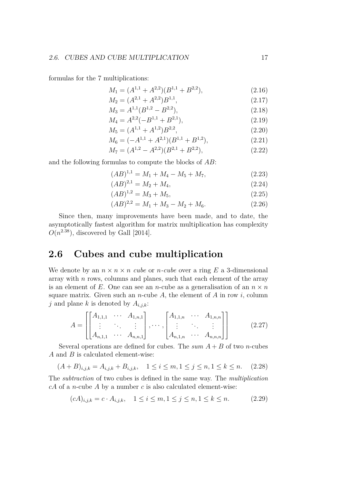formulas for the 7 multiplications:

$$
M_1 = (A^{1,1} + A^{2,2})(B^{1,1} + B^{2,2}),\tag{2.16}
$$

$$
M_2 = (A^{2,1} + A^{2,2})B^{1,1},\tag{2.17}
$$

$$
M_3 = A^{1,1}(B^{1,2} - B^{2,2}),\tag{2.18}
$$

$$
M_4 = A^{2,2}(-B^{1,1} + B^{2,1}),\tag{2.19}
$$

$$
M_5 = (A^{1,1} + A^{1,2})B^{2,2},\tag{2.20}
$$

$$
M_6 = (-A^{1,1} + A^{2,1})(B^{1,1} + B^{1,2}),
$$
\n
$$
M_6 = (A^{1,2} + A^{2,1})(B^{1,1} + B^{1,2}),
$$
\n
$$
(2.21)
$$

$$
M_7 = (A^{1,2} - A^{2,2})(B^{2,1} + B^{2,2}),\tag{2.22}
$$

and the following formulas to compute the blocks of *AB*:

$$
(AB)^{1,1} = M_1 + M_4 - M_5 + M_7,\tag{2.23}
$$

$$
(AB)^{2,1} = M_2 + M_4,\tag{2.24}
$$

$$
(AB)^{1,2} = M_3 + M_5,\tag{2.25}
$$

$$
(AB)^{2,2} = M_1 + M_3 - M_2 + M_6. \tag{2.26}
$$

Since then, many improvements have been made, and to date, the asymptotically fastest algorithm for matrix multiplication has complexity  $O(n^{2.38})$ , discovered by [Gall](#page-69-1) [\[2014\]](#page-69-1).

### <span id="page-22-0"></span>**2.6 Cubes and cube multiplication**

We denote by an  $n \times n \times n$  *cube* or *n*-*cube* over a ring *E* a 3-dimensional array with *n* rows, columns and planes, such that each element of the array is an element of E. One can see an *n*-cube as a generalisation of an  $n \times n$ square matrix. Given such an *n*-cube  $A$ , the element of  $A$  in row  $i$ , column *j* and plane *k* is denoted by  $A_{i,j,k}$ :

$$
A = \begin{bmatrix} A_{1,1,1} & \cdots & A_{1,n,1} \\ \vdots & \ddots & \vdots \\ A_{n,1,1} & \cdots & A_{n,n,1} \end{bmatrix}, \cdots, \begin{bmatrix} A_{1,1,n} & \cdots & A_{1,n,n} \\ \vdots & \ddots & \vdots \\ A_{n,1,n} & \cdots & A_{n,n,n} \end{bmatrix}
$$
 (2.27)

Several operations are defined for cubes. The *sum A* + *B* of two *n*-cubes *A* and *B* is calculated element-wise:

$$
(A + B)_{i,j,k} = A_{i,j,k} + B_{i,j,k}, \quad 1 \le i \le m, 1 \le j \le n, 1 \le k \le n. \tag{2.28}
$$

The *subtraction* of two cubes is defined in the same way. The *multiplication cA* of a *n*-cube *A* by a number *c* is also calculated element-wise:

$$
(cA)_{i,j,k} = c \cdot A_{i,j,k}, \quad 1 \le i \le m, 1 \le j \le n, 1 \le k \le n. \tag{2.29}
$$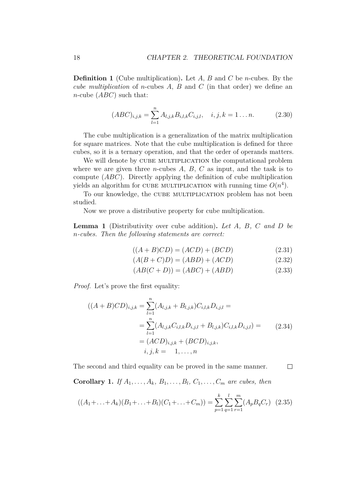**Definition 1** (Cube multiplication)**.** Let *A*, *B* and *C* be *n*-cubes. By the *cube multiplication* of *n*-cubes *A*, *B* and *C* (in that order) we define an *n*-cube (*ABC*) such that:

$$
(ABC)_{i,j,k} = \sum_{l=1}^{n} A_{l,j,k} B_{i,l,k} C_{i,j,l}, \quad i, j, k = 1...n.
$$
 (2.30)

The cube multiplication is a generalization of the matrix multiplication for square matrices. Note that the cube multiplication is defined for three cubes, so it is a ternary operation, and that the order of operands matters.

We will denote by CUBE MULTIPLICATION the computational problem where we are given three *n*-cubes  $A$ ,  $B$ ,  $C$  as input, and the task is to compute (*ABC*). Directly applying the definition of cube multiplication yields an algorithm for CUBE MULTIPLICATION with running time  $O(n^4)$ .

To our knowledge, the CUBE MULTIPLICATION problem has not been studied.

Now we prove a distributive property for cube multiplication.

**Lemma 1** (Distributivity over cube addition)**.** *Let A, B, C and D be n-cubes. Then the following statements are correct:*

$$
((A + B)CD) = (ACD) + (BCD)
$$
\n
$$
(2.31)
$$

$$
(A(B+C)D) = (ABD) + (ACD)
$$
\n
$$
(2.32)
$$

$$
(AB(C+D)) = (ABC) + (ABD)
$$
\n
$$
(2.33)
$$

*Proof.* Let's prove the first equality:

$$
((A + B)CD)_{i,j,k} = \sum_{l=1}^{n} (A_{l,j,k} + B_{l,j,k}) C_{i,l,k} D_{i,j,l} =
$$
  
= 
$$
\sum_{l=1}^{n} (A_{l,j,k} C_{i,l,k} D_{i,j,l} + B_{l,j,k}) C_{i,l,k} D_{i,j,l}) =
$$
  
= 
$$
(ACD)_{i,j,k} + (BCD)_{i,j,k},
$$
  

$$
i, j, k = 1, ..., n
$$
 (2.34)

The second and third equality can be proved in the same manner.  $\Box$ 

**Corollary 1.** *If*  $A_1, \ldots, A_k, B_1, \ldots, B_l, C_1, \ldots, C_m$  *are cubes, then* 

$$
((A_1 + \ldots + A_k)(B_1 + \ldots + B_l)(C_1 + \ldots + C_m)) = \sum_{p=1}^k \sum_{q=1}^l \sum_{r=1}^m (A_p B_q C_r) \tag{2.35}
$$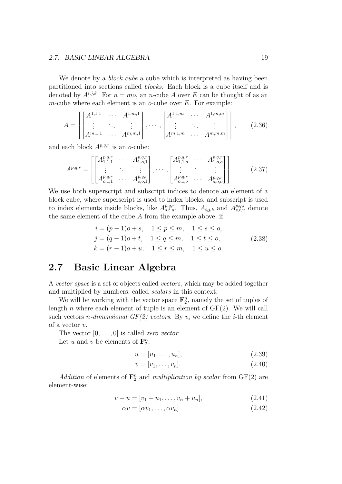#### 2.7. BASIC LINEAR ALGEBRA 19

We denote by a *block cube* a cube which is interpreted as having been partitioned into sections called *blocks*. Each block is a cube itself and is denoted by  $A^{i,j,k}$ . For  $n = mo$ , an *n*-cube *A* over *E* can be thought of as an *m*-cube where each element is an *o*-cube over *E*. For example:

$$
A = \begin{bmatrix} A^{1,1,1} & \cdots & A^{1,m,1} \\ \vdots & \ddots & \vdots \\ A^{m,1,1} & \cdots & A^{m,m,1} \end{bmatrix}, \cdots, \begin{bmatrix} A^{1,1,m} & \cdots & A^{1,m,m} \\ \vdots & \ddots & \vdots \\ A^{m,1,m} & \cdots & A^{m,m,m} \end{bmatrix}, \qquad (2.36)
$$

and each block  $A^{p,q,r}$  is an *o*-cube:

$$
A^{p,q,r} = \begin{bmatrix} \begin{bmatrix} A^{p,q,r}_{1,1,1} & \cdots & A^{p,q,r}_{1,o,1} \\ \vdots & \ddots & \vdots \\ A^{p,q,r}_{o,1,1} & \cdots & A^{p,q,r}_{o,o,1} \end{bmatrix}, \cdots, \begin{bmatrix} A^{p,q,r}_{1,1,o} & \cdots & A^{p,q,r}_{1,o,o} \\ \vdots & \ddots & \vdots \\ A^{p,q,r}_{o,1,o} & \cdots & A^{p,q,r}_{o,o,o} \end{bmatrix} \end{bmatrix} .
$$
 (2.37)

We use both superscript and subscript indices to denote an element of a block cube, where superscript is used to index blocks, and subscript is used to index elements inside blocks, like  $A^{p,q,r}_{s,t,u}$ . Thus,  $A_{i,j,k}$  and  $A^{p,q,r}_{s,t,u}$  denote the same element of the cube *A* from the example above, if

$$
i = (p - 1)o + s, \quad 1 \le p \le m, \quad 1 \le s \le o,j = (q - 1)o + t, \quad 1 \le q \le m, \quad 1 \le t \le o,k = (r - 1)o + u, \quad 1 \le r \le m, \quad 1 \le u \le o.
$$
 (2.38)

## <span id="page-24-0"></span>**2.7 Basic Linear Algebra**

A *vector space* is a set of objects called *vectors*, which may be added together and multiplied by numbers, called *scalars* in this context.

We will be working with the vector space  $\mathbf{F}_2^n$ , namely the set of tuples of length  $n$  where each element of tuple is an element of  $GF(2)$ . We will call such vectors *n*-dimensional  $GF(2)$  vectors. By  $v_i$  we define the *i*-th element of a vector *v*.

The vector [0*, . . . ,* 0] is called *zero vector*.

Let *u* and *v* be elements of  $\mathbf{F}_2^n$ :

$$
u = [u_1, \dots, u_n], \tag{2.39}
$$

$$
v = [v_1, \dots, v_n]. \tag{2.40}
$$

Addition of elements of  $\mathbf{F}_2^n$  and *multiplication by scalar* from  $GF(2)$  are element-wise:

$$
v + u = [v_1 + u_1, \dots, v_n + u_n], \tag{2.41}
$$

$$
\alpha v = [\alpha v_1, \dots, \alpha v_n]
$$
\n(2.42)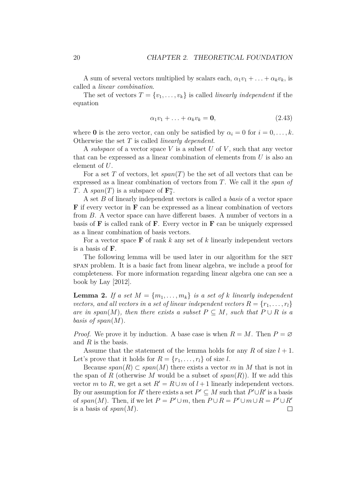A sum of several vectors multiplied by scalars each,  $\alpha_1 v_1 + \ldots + \alpha_k v_k$ , is called a *linear combination*.

The set of vectors  $T = \{v_1, \ldots, v_k\}$  is called *linearly independent* if the equation

$$
\alpha_1 v_1 + \ldots + \alpha_k v_k = \mathbf{0},\tag{2.43}
$$

where **0** is the zero vector, can only be satisfied by  $\alpha_i = 0$  for  $i = 0, \ldots, k$ . Otherwise the set *T* is called *linearly dependent*.

A *subspace* of a vector space *V* is a subset *U* of *V* , such that any vector that can be expressed as a linear combination of elements from *U* is also an element of *U*.

For a set *T* of vectors, let *span*(*T*) be the set of all vectors that can be expressed as a linear combination of vectors from *T*. We call it the *span of T*. A *span*(*T*) is a subspace of  $\mathbf{F}_2^n$ .

A set *B* of linearly independent vectors is called a *basis* of a vector space **F** if every vector in **F** can be expressed as a linear combination of vectors from *B*. A vector space can have different bases. A number of vectors in a basis of **F** is called rank of **F**. Every vector in **F** can be uniquely expressed as a linear combination of basis vectors.

For a vector space **F** of rank *k* any set of *k* linearly independent vectors is a basis of **F**.

The following lemma will be used later in our algorithm for the SET span problem. It is a basic fact from linear algebra, we include a proof for completeness. For more information regarding linear algebra one can see a book by [Lay](#page-70-6) [\[2012\]](#page-70-6).

<span id="page-25-0"></span>**Lemma 2.** If a set  $M = \{m_1, \ldots, m_k\}$  is a set of *k* linearly independent *vectors, and all vectors in a set of linear independent vectors*  $R = \{r_1, \ldots, r_l\}$ *are in span* $(M)$ *, then there exists a subset*  $P \subseteq M$ *, such that*  $P \cup R$  *is a basis of span*(*M*)*.*

*Proof.* We prove it by induction. A base case is when  $R = M$ . Then  $P = \emptyset$ and *R* is the basis.

Assume that the statement of the lemma holds for any  $R$  of size  $l + 1$ . Let's prove that it holds for  $R = \{r_1, \ldots, r_l\}$  of size *l*.

Because  $span(R) \subset span(M)$  there exists a vector *m* in *M* that is not in the span of *R* (otherwise *M* would be a subset of  $span(R)$ ). If we add this vector *m* to *R*, we get a set  $R' = R \cup m$  of  $l + 1$  linearly independent vectors. By our assumption for *R*<sup> $\prime$ </sup> there exists a set  $P' \subseteq M$  such that  $P' \cup R'$  is a basis of  $span(M)$ . Then, if we let  $P = P' \cup m$ , then  $P \cup R = P' \cup m \cup R = P' \cup R'$ is a basis of *span*(*M*). $\Box$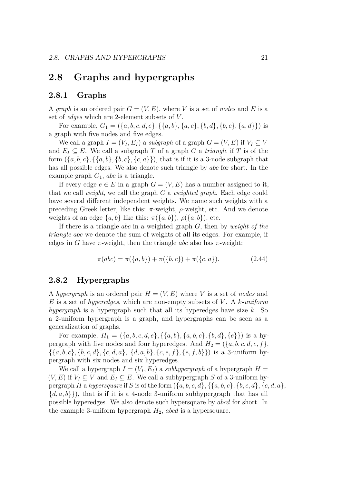## <span id="page-26-0"></span>**2.8 Graphs and hypergraphs**

#### <span id="page-26-1"></span>**2.8.1 Graphs**

A *graph* is an ordered pair  $G = (V, E)$ , where V is a set of *nodes* and E is a set of *edges* which are 2-element subsets of *V* .

For example,  $G_1 = (\{a, b, c, d, e\}, \{\{a, b\}, \{a, c\}, \{b, d\}, \{b, c\}, \{a, d\}\})$  is a graph with five nodes and five edges.

We call a graph  $I = (V_I, E_I)$  a *subgraph* of a graph  $G = (V, E)$  if  $V_I \subset V$ and  $E_I \subseteq E$ . We call a subgraph *T* of a graph *G* a *triangle* if *T* is of the form  $({a, b, c}, {({a, b}, {b, c}, {b, c}, {c, a})})$ , that is if it is a 3-node subgraph that has all possible edges. We also denote such triangle by *abc* for short. In the example graph *G*1, *abc* is a triangle.

If every edge  $e \in E$  in a graph  $G = (V, E)$  has a number assigned to it, that we call *weight*, we call the graph *G* a *weighted graph*. Each edge could have several different independent weights. We name such weights with a preceding Greek letter, like this: *π*-weight, *ρ*-weight, etc. And we denote weights of an edge  $\{a, b\}$  like this:  $\pi(\{a, b\})$ ,  $\rho(\{a, b\})$ , etc.

If there is a triangle *abc* in a weighted graph *G*, then by *weight of the triangle abc* we denote the sum of weights of all its edges. For example, if edges in *G* have  $\pi$ -weight, then the triangle *abc* also has  $\pi$ -weight:

$$
\pi(abc) = \pi(\{a, b\}) + \pi(\{b, c\}) + \pi(\{c, a\}).\tag{2.44}
$$

#### <span id="page-26-2"></span>**2.8.2 Hypergraphs**

A *hypergraph* is an ordered pair  $H = (V, E)$  where V is a set of *nodes* and *E* is a set of *hyperedges*, which are non-empty subsets of *V* . A *k-uniform hypergraph* is a hypergraph such that all its hyperedges have size *k*. So a 2-uniform hypergraph is a graph, and hypergraphs can be seen as a generalization of graphs.

For example,  $H_1 = (\{a, b, c, d, e\}, \{\{a, b\}, \{a, b, c\}, \{b, d\}, \{e\}\})$  is a hypergraph with five nodes and four hyperedges. And  $H_2 = (\{a, b, c, d, e, f\},\)$  $\{\{a, b, c\}, \{b, c, d\}, \{c, d, a\}, \{d, a, b\}, \{c, e, f\}, \{e, f, b\}\}\)$  is a 3-uniform hypergraph with six nodes and six hyperedges.

We call a hypergraph  $I = (V_I, E_I)$  a *subhypergraph* of a hypergraph  $H =$  $(V, E)$  if  $V_I \subseteq V$  and  $E_I \subseteq E$ . We call a subhypergraph *S* of a 3-uniform hypergraph *H* a *hypersquare* if *S* is of the form  $(\{a, b, c, d\}, \{a, b, c\}, \{b, c, d\}, \{c, d, a\})$  $\{d, a, b\}\}\)$ , that is if it is a 4-node 3-uniform subhypergraph that has all possible hyperedges. We also denote such hypersquare by *abcd* for short. In the example 3-uniform hypergraph *H*2, *abcd* is a hypersquare.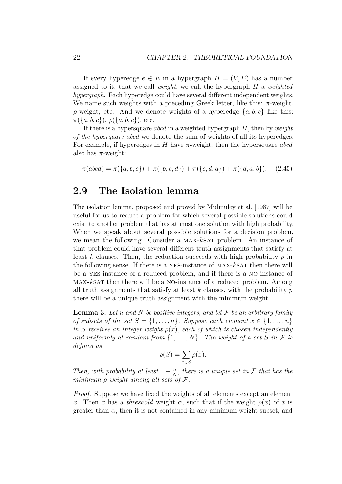If every hyperedge  $e \in E$  in a hypergraph  $H = (V, E)$  has a number assigned to it, that we call *weight*, we call the hypergraph *H* a *weighted hypergraph*. Each hyperedge could have several different independent weights. We name such weights with a preceding Greek letter, like this:  $\pi$ -weight, *ρ*-weight, etc. And we denote weights of a hyperedge  $\{a, b, c\}$  like this: *π*({*a, b, c*}), *ρ*({*a, b, c*}), etc.

If there is a hypersquare *abcd* in a weighted hypergraph *H*, then by *weight of the hyperquare abcd* we denote the sum of weights of all its hyperedges. For example, if hyperedges in *H* have *π*-weight, then the hypersquare *abcd* also has  $\pi$ -weight:

$$
\pi(abcd) = \pi({a, b, c}) + \pi({b, c, d}) + \pi({c, d, a}) + \pi({d, a, b}).
$$
 (2.45)

### <span id="page-27-0"></span>**2.9 The Isolation lemma**

The isolation lemma, proposed and proved by [Mulmuley et al.](#page-70-7) [\[1987\]](#page-70-7) will be useful for us to reduce a problem for which several possible solutions could exist to another problem that has at most one solution with high probability. When we speak about several possible solutions for a decision problem, we mean the following. Consider a max-*k*sat problem. An instance of that problem could have several different truth assignments that satisfy at least k clauses. Then, the reduction succeeds with high probability p in the following sense. If there is a YES-instance of MAX-kSAT then there will be a yes-instance of a reduced problem, and if there is a no-instance of max-*k*sat then there will be a no-instance of a reduced problem. Among all truth assignments that satisfy at least *k* clauses, with the probability *p* there will be a unique truth assignment with the minimum weight.

<span id="page-27-1"></span>**Lemma 3.** *Let n and N be positive integers, and let* F *be an arbitrary family of subsets of the set*  $S = \{1, \ldots, n\}$ *. Suppose each element*  $x \in \{1, \ldots, n\}$ *in S* receives an integer weight  $\rho(x)$ , each of which is chosen independently *and uniformly at random from*  $\{1, \ldots, N\}$ *. The weight of a set S in*  $\mathcal F$  *is defined as*

$$
\rho(S) = \sum_{x \in S} \rho(x).
$$

*Then, with probability at least*  $1 - \frac{n}{N}$  $\frac{n}{N}$ , there is a unique set in  $\mathcal F$  that has the *minimum ρ-weight among all sets of* F*.*

*Proof.* Suppose we have fixed the weights of all elements except an element *x*. Then *x* has a *threshold* weight  $\alpha$ , such that if the weight  $\rho(x)$  of *x* is greater than  $\alpha$ , then it is not contained in any minimum-weight subset, and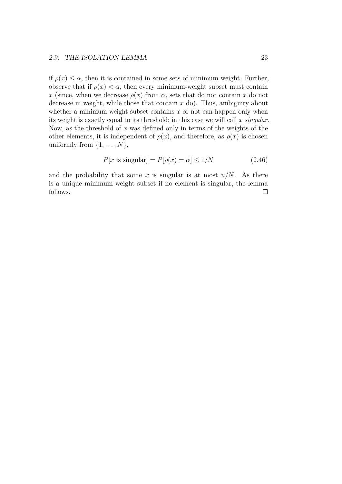#### 2.9. THE ISOLATION LEMMA 23

if  $\rho(x) \leq \alpha$ , then it is contained in some sets of minimum weight. Further, observe that if  $\rho(x) < \alpha$ , then every minimum-weight subset must contain *x* (since, when we decrease  $\rho(x)$  from  $\alpha$ , sets that do not contain *x* do not decrease in weight, while those that contain *x* do). Thus, ambiguity about whether a minimum-weight subset contains  $x$  or not can happen only when its weight is exactly equal to its threshold; in this case we will call *x singular*. Now, as the threshold of *x* was defined only in terms of the weights of the other elements, it is independent of  $\rho(x)$ , and therefore, as  $\rho(x)$  is chosen uniformly from  $\{1, \ldots, N\},\$ 

$$
P[x \text{ is singular}] = P[\rho(x) = \alpha] \le 1/N \tag{2.46}
$$

and the probability that some  $x$  is singular is at most  $n/N$ . As there is a unique minimum-weight subset if no element is singular, the lemma follows. $\Box$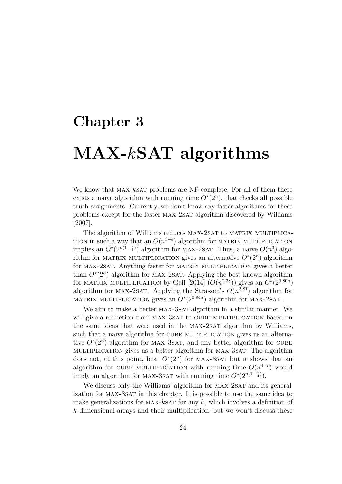## <span id="page-29-0"></span>**Chapter 3**

# **MAX-***k***SAT algorithms**

We know that max-*k*sat problems are NP-complete. For all of them there exists a naive algorithm with running time  $O<sup>*</sup>(2<sup>n</sup>)$ , that checks all possible truth assignments. Currently, we don't know any faster algorithms for these problems except for the faster max-2sat algorithm discovered by [Williams](#page-70-0) [\[2007\]](#page-70-0).

The algorithm of Williams reduces MAX-2SAT to MATRIX MULTIPLICA-TION in such a way that an  $O(n^{3-\epsilon})$  algorithm for MATRIX MULTIPLICATION implies an  $O^*(2^{n(1-\frac{\epsilon}{3})})$  algorithm for MAX-2SAT. Thus, a naive  $O(n^3)$  algorithm for MATRIX MULTIPLICATION gives an alternative  $O^*(2^n)$  algorithm for MAX-2SAT. Anything faster for MATRIX MULTIPLICATION gives a better than  $O<sup>*</sup>(2<sup>n</sup>)$  algorithm for MAX-2SAT. Applying the best known algorithm for MATRIX MULTIPLICATION by [Gall](#page-69-1) [\[2014\]](#page-69-1)  $(O(n^{2.38}))$  gives an  $O^*(2^{0.80n})$ algorithm for MAX-2SAT. Applying the Strassen's  $O(n^{2.81})$  algorithm for MATRIX MULTIPLICATION gives an  $O^*(2^{0.94n})$  algorithm for MAX-2SAT.

We aim to make a better MAX-3SAT algorithm in a similar manner. We will give a reduction from MAX-3SAT to CUBE MULTIPLICATION based on the same ideas that were used in the MAX-2SAT algorithm by Williams, such that a naive algorithm for CUBE MULTIPLICATION gives us an alternative  $O<sup>*</sup>(2<sup>n</sup>)$  algorithm for MAX-3SAT, and any better algorithm for CUBE multiplication gives us a better algorithm for max-3sat. The algorithm does not, at this point, beat  $O<sup>*</sup>(2<sup>n</sup>)$  for MAX-3SAT but it shows that an algorithm for CUBE MULTIPLICATION with running time  $O(n^{4-\epsilon})$  would imply an algorithm for MAX-3SAT with running time  $O^*(2^{n(1-\frac{\epsilon}{4})})$ .

We discuss only the Williams' algorithm for MAX-2SAT and its generalization for max-3sat in this chapter. It is possible to use the same idea to make generalizations for MAX- $k$ SAT for any  $k$ , which involves a definition of *k*-dimensional arrays and their multiplication, but we won't discuss these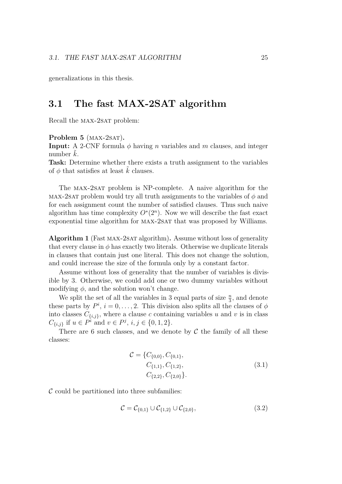generalizations in this thesis.

## <span id="page-30-0"></span>**3.1 The fast MAX-2SAT algorithm**

Recall the MAX-2SAT problem:

**Problem 5** (MAX-2SAT).

**Input:** A 2-CNF formula  $\phi$  having *n* variables and *m* clauses, and integer number  $k$ .

**Task:** Determine whether there exists a truth assignment to the variables of  $\phi$  that satisfies at least  $k$  clauses.

The MAX-2SAT problem is NP-complete. A naive algorithm for the max-2sat problem would try all truth assignments to the variables of *φ* and for each assignment count the number of satisfied clauses. Thus such naive algorithm has time complexity  $O<sup>*</sup>(2<sup>n</sup>)$ . Now we will describe the fast exact exponential time algorithm for MAX-2SAT that was proposed by Williams.

<span id="page-30-1"></span>**Algorithm 1** (Fast max-2sat algorithm)**.** Assume without loss of generality that every clause in  $\phi$  has exactly two literals. Otherwise we duplicate literals in clauses that contain just one literal. This does not change the solution, and could increase the size of the formula only by a constant factor.

Assume without loss of generality that the number of variables is divisible by 3. Otherwise, we could add one or two dummy variables without modifying  $\phi$ , and the solution won't change.

We split the set of all the variables in 3 equal parts of size  $\frac{n}{3}$ , and denote these parts by  $P^i$ ,  $i = 0, \ldots, 2$ . This division also splits all the clauses of  $\phi$ into classes  $C_{\{i,j\}}$ , where a clause *c* containing variables *u* and *v* is in class  $C_{\{i,j\}}$  if  $u \in P^i$  and  $v \in P^j$ ,  $i, j \in \{0, 1, 2\}$ .

There are 6 such classes, and we denote by  $\mathcal C$  the family of all these classes:

$$
\mathcal{C} = \{C_{\{0,0\}}, C_{\{0,1\}}, C_{\{1,1\}}, C_{\{1,2\}}, C_{\{2,2\}}, C_{\{2,0\}}\}.
$$
\n(3.1)

 $\mathcal C$  could be partitioned into three subfamilies:

$$
\mathcal{C} = \mathcal{C}_{\{0,1\}} \cup \mathcal{C}_{\{1,2\}} \cup \mathcal{C}_{\{2,0\}},
$$
\n(3.2)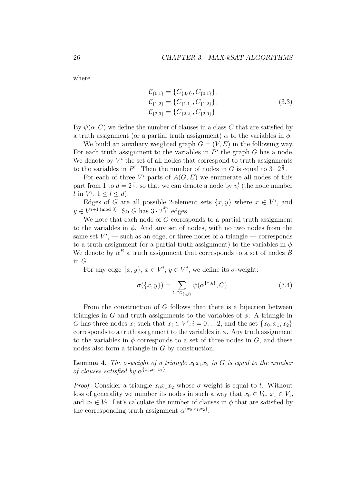where

$$
\mathcal{C}_{\{0,1\}} = \{C_{\{0,0\}}, C_{\{0,1\}}\}, \n\mathcal{C}_{\{1,2\}} = \{C_{\{1,1\}}, C_{\{1,2\}}\}, \n\mathcal{C}_{\{2,0\}} = \{C_{\{2,2\}}, C_{\{2,0\}}\}.
$$
\n(3.3)

By  $\psi(\alpha, C)$  we define the number of clauses in a class C that are satisfied by a truth assignment (or a partial truth assignment)  $\alpha$  to the variables in  $\phi$ .

We build an auxiliary weighted graph  $G = (V, E)$  in the following way. For each truth assignment to the variables in  $P^i$  the graph  $G$  has a node. We denote by  $V^i$  the set of all nodes that correspond to truth assignments to the variables in  $P^i$ . Then the number of nodes in *G* is equal to  $3 \cdot 2^{\frac{n}{3}}$ .

For each of three  $V^i$  parts of  $A(G, \Sigma)$  we enumerate all nodes of this part from 1 to  $d = 2^{\frac{n}{3}}$ , so that we can denote a node by  $v_l^i$  (the node number *l* in  $V^i$ ,  $1 \leq l \leq d$ ).

Edges of *G* are all possible 2-element sets  $\{x, y\}$  where  $x \in V^i$ , and  $y \in V^{i+1 \pmod{3}}$ . So *G* has  $3 \cdot 2^{\frac{2n}{3}}$  edges.

We note that each node of *G* corresponds to a partial truth assignment to the variables in *φ*. And any set of nodes, with no two nodes from the same set  $V^i$ , — such as an edge, or three nodes of a triangle — corresponds to a truth assignment (or a partial truth assignment) to the variables in  $\phi$ . We denote by  $\alpha^B$  a truth assignment that corresponds to a set of nodes *B* in *G*.

For any edge  $\{x, y\}$ ,  $x \in V^i$ ,  $y \in V^j$ , we define its  $\sigma$ -weight:

$$
\sigma(\lbrace x, y \rbrace) = \sum_{C \in \mathcal{C}_{\lbrace i,j \rbrace}} \psi(\alpha^{\lbrace x,y \rbrace}, C). \tag{3.4}
$$

From the construction of *G* follows that there is a bijection between triangles in *G* and truth assignments to the variables of  $\phi$ . A triangle in *G* has three nodes  $x_i$  such that  $x_i \in V^i$ ,  $i = 0...2$ , and the set  $\{x_0, x_1, x_2\}$ corresponds to a truth assignment to the variables in  $\phi$ . Any truth assignment to the variables in  $\phi$  corresponds to a set of three nodes in *G*, and these nodes also form a triangle in *G* by construction.

<span id="page-31-0"></span>**Lemma 4.** The  $\sigma$ -weight of a triangle  $x_0x_1x_2$  in G is equal to the number *of clauses satisfied by*  $\alpha^{\{x_0, x_1, x_2\}}$ .

*Proof.* Consider a triangle  $x_0x_1x_2$  whose  $\sigma$ -weight is equal to *t*. Without loss of generality we number its nodes in such a way that  $x_0 \in V_0$ ,  $x_1 \in V_1$ , and  $x_2 \in V_2$ . Let's calculate the number of clauses in  $\phi$  that are satisfied by the corresponding truth assignment  $\alpha^{\{x_0, x_1, x_2\}}$ .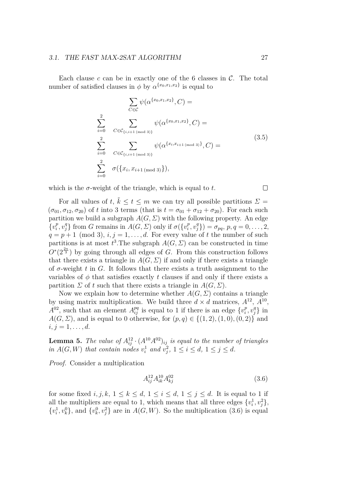#### 3.1. THE FAST MAX-2SAT ALGORITHM 27

Each clause *c* can be in exactly one of the 6 classes in C. The total number of satisfied clauses in  $\phi$  by  $\alpha^{\{x_0, x_1, x_2\}}$  is equal to

$$
\sum_{C \in \mathcal{C}} \psi(\alpha^{\{x_0, x_1, x_2\}}, C) =
$$
\n
$$
\sum_{i=0}^{2} \sum_{C \in \mathcal{C}_{\{i, i+1 \text{ (mod 3)}\}}} \psi(\alpha^{\{x_0, x_1, x_2\}}, C) =
$$
\n
$$
\sum_{i=0}^{2} \sum_{C \in \mathcal{C}_{\{i, i+1 \text{ (mod 3)}\}}} \psi(\alpha^{\{x_i, x_{i+1} \text{ (mod 3)}\}}, C) =
$$
\n
$$
\sum_{i=0}^{2} \sigma(\{x_i, x_{i+1 \text{ (mod 3)}}\}),
$$
\n(3.5)

which is the  $\sigma$ -weight of the triangle, which is equal to  $t$ .

For all values of *t*,  $\tilde{k} \le t \le m$  we can try all possible partitions  $\Sigma =$  $(\sigma_{01}, \sigma_{12}, \sigma_{20})$  of *t* into 3 terms (that is  $t = \sigma_{01} + \sigma_{12} + \sigma_{20}$ ). For each such partition we build a subgraph  $A(G, \Sigma)$  with the following property. An edge  ${v_i^p}$  $\{v_i^p, v_j^q\}$  from *G* remains in  $A(G, \Sigma)$  only if  $\sigma({v_i^p})$  $\{\sigma_p^p, v_j^q\}$ ) =  $\sigma_{pq}, p, q = 0, \ldots, 2,$  $q = p + 1 \pmod{3}$ ,  $i, j = 1, \ldots, d$ . For every value of *t* the number of such partitions is at most  $t^3$ . The subgraph  $A(G, \Sigma)$  can be constructed in time  $O<sup>*</sup>(2<sup>\frac{2n}{3}</sup>)$  by going through all edges of *G*. From this construction follows that there exists a triangle in  $A(G, \Sigma)$  if and only if there exists a triangle of *σ*-weight *t* in *G*. It follows that there exists a truth assignment to the variables of  $\phi$  that satisfies exactly t clauses if and only if there exists a partition *Σ* of *t* such that there exists a triangle in  $A(G, \Sigma)$ .

Now we explain how to determine whether  $A(G, \Sigma)$  contains a triangle by using matrix multiplication. We build three  $d \times d$  matrices,  $A^{12}$ ,  $A^{10}$ ,  $A^{02}$ , such that an element  $A^{pq}_{ij}$  is equal to 1 if there is an edge  $\{v_i^p\}$  $v_j^p, v_j^q\}$  in *A*(*G*, *Σ*), and is equal to 0 otherwise, for  $(p, q) \in \{(1, 2), (1, 0), (0, 2)\}$  and  $i, j = 1, \ldots, d.$ 

<span id="page-32-1"></span>**Lemma 5.** *The value of*  $A_{ij}^{12} \cdot (A^{10}A^{02})_{ij}$  *is equal to the number of triangles in*  $A(G, W)$  *that contain nodes*  $v_i^1$  *and*  $v_j^2$ ,  $1 \le i \le d$ ,  $1 \le j \le d$ .

*Proof.* Consider a multiplication

<span id="page-32-0"></span>
$$
A_{ij}^{12} A_{ik}^{10} A_{kj}^{02} \tag{3.6}
$$

for some fixed  $i, j, k, 1 \leq k \leq d, 1 \leq i \leq d, 1 \leq j \leq d$ . It is equal to 1 if all the multipliers are equal to 1, which means that all three edges  $\{v_i^1, v_j^2\}$ ,  $\{v_i^1, v_k^0\}$ , and  $\{v_k^0, v_j^2\}$  are in  $A(G, W)$ . So the multiplication [\(3.6\)](#page-32-0) is equal

 $\Box$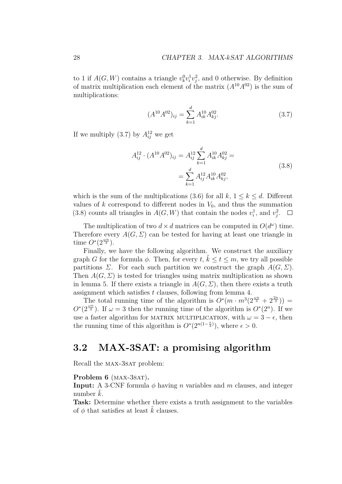to 1 if  $A(G, W)$  contains a triangle  $v_k^0 v_i^1 v_j^2$ , and 0 otherwise. By definition of matrix multiplication each element of the matrix  $(A^{10}A^{02})$  is the sum of multiplications:

<span id="page-33-2"></span><span id="page-33-1"></span>
$$
(A^{10}A^{02})_{ij} = \sum_{k=1}^{d} A^{10}_{ik} A^{02}_{kj}.
$$
 (3.7)

If we multiply  $(3.7)$  by  $A_{ij}^{12}$  we get

$$
A_{ij}^{12} \cdot (A^{10} A^{02})_{ij} = A_{ij}^{12} \sum_{k=1}^{d} A_{ik}^{10} A_{kj}^{02} = \sum_{k=1}^{d} A_{ij}^{12} A_{ik}^{10} A_{kj}^{02},
$$
\n(3.8)

which is the sum of the multiplications [\(3.6\)](#page-32-0) for all  $k, 1 \leq k \leq d$ . Different values of  $k$  correspond to different nodes in  $V_0$ , and thus the summation [\(3.8\)](#page-33-2) counts all triangles in  $A(G, W)$  that contain the nodes  $v_i^1$ , and  $v_j^2$ .

The multiplication of two  $d \times d$  matrices can be computed in  $O(d^{\omega})$  time. Therefore every  $A(G, \Sigma)$  can be tested for having at least one triangle in time  $O^*(2^{\frac{\omega n}{3}})$ .

Finally, we have the following algorithm. We construct the auxiliary graph *G* for the formula  $\phi$ . Then, for every *t*,  $\tilde{k} \le t \le m$ , we try all possible partitions *Σ*. For each such partition we construct the graph  $A(G, \Sigma)$ . Then  $A(G, \Sigma)$  is tested for triangles using matrix multiplication as shown in lemma [5.](#page-32-1) If there exists a triangle in  $A(G, \Sigma)$ , then there exists a truth assignment which satisfies *t* clauses, following from lemma [4.](#page-31-0)

The total running time of the algorithm is  $O^*(m \cdot m^3(2^{\frac{\omega n}{3}} + 2^{\frac{2n}{3}}))$  =  $O^*(2^{\frac{\omega n}{3}})$ . If  $\omega = 3$  then the running time of the algorithm is  $O^*(2^n)$ . If we use a faster algorithm for MATRIX MULTIPLICATION, with  $\omega = 3 - \epsilon$ , then the running time of this algorithm is  $O^*(2^{n(1-\frac{\epsilon}{3})})$ , where  $\epsilon > 0$ .

## <span id="page-33-0"></span>**3.2 MAX-3SAT: a promising algorithm**

Recall the MAX-3SAT problem:

#### **Problem 6** (MAX-3SAT).

**Input:** A 3-CNF formula *φ* having *n* variables and *m* clauses, and integer number  $k$ .

**Task:** Determine whether there exists a truth assignment to the variables of  $\phi$  that satisfies at least k clauses.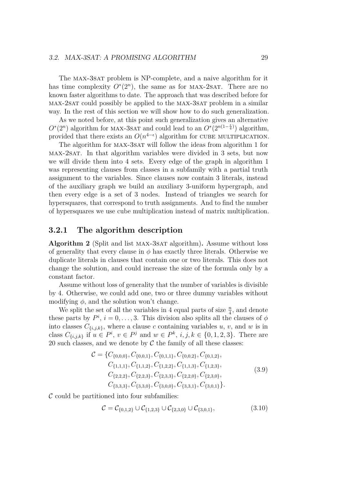The max-3sat problem is NP-complete, and a naive algorithm for it has time complexity  $O<sup>*</sup>(2<sup>n</sup>)$ , the same as for MAX-2SAT. There are no known faster algorithms to date. The approach that was described before for max-2sat could possibly be applied to the max-3sat problem in a similar way. In the rest of this section we will show how to do such generalization.

As we noted before, at this point such generalization gives an alternative  $O^*(2^n)$  algorithm for MAX-3SAT and could lead to an  $O^*(2^{n(1-\frac{\epsilon}{4})})$  algorithm, provided that there exists an  $O(n^{4-\epsilon})$  algorithm for CUBE MULTIPLICATION.

The algorithm for MAX-3SAT will follow the ideas from algorithm [1](#page-30-1) for max-2sat. In that algorithm variables were divided in 3 sets, but now we will divide them into 4 sets. Every edge of the graph in algorithm [1](#page-30-1) was representing clauses from classes in a subfamily with a partial truth assignment to the variables. Since clauses now contain 3 literals, instead of the auxiliary graph we build an auxiliary 3-uniform hypergraph, and then every edge is a set of 3 nodes. Instead of triangles we search for hypersquares, that correspond to truth assignments. And to find the number of hypersquares we use cube multiplication instead of matrix multiplication.

#### <span id="page-34-0"></span>**3.2.1 The algorithm description**

<span id="page-34-1"></span>**Algorithm 2** (Split and list MAX-3SAT algorithm). Assume without loss of generality that every clause in  $\phi$  has exactly three literals. Otherwise we duplicate literals in clauses that contain one or two literals. This does not change the solution, and could increase the size of the formula only by a constant factor.

Assume without loss of generality that the number of variables is divisible by 4. Otherwise, we could add one, two or three dummy variables without modifying  $\phi$ , and the solution won't change.

We split the set of all the variables in 4 equal parts of size  $\frac{n}{4}$ , and denote these parts by  $P^i$ ,  $i = 0, \ldots, 3$ . This division also splits all the clauses of  $\phi$ into classes  $C_{\{i,j,k\}}$ , where a clause *c* containing variables *u*, *v*, and *w* is in class  $C_{\{i,j,k\}}$  if  $u \in P^i$ ,  $v \in P^j$  and  $w \in P^k$ ,  $i,j,k \in \{0,1,2,3\}$ . There are 20 such classes, and we denote by  $\mathcal C$  the family of all these classes:

$$
\mathcal{C} = \{C_{\{0,0,0\}}, C_{\{0,0,1\}}, C_{\{0,1,1\}}, C_{\{0,0,2\}}, C_{\{0,1,2\}}, C_{\{1,1,1\}}, C_{\{1,1,2\}}, C_{\{1,2,2\}}, C_{\{1,1,3\}}, C_{\{1,2,3\}}, C_{\{2,2,2\}}, C_{\{2,2,3\}}, C_{\{2,3,3\}}, C_{\{2,2,0\}}, C_{\{2,3,0\}}, C_{\{3,3,3\}}, C_{\{3,3,0\}}, C_{\{3,0,0\}}, C_{\{3,3,1\}}, C_{\{3,0,1\}}\}.
$$
\n(3.9)

 $\mathcal C$  could be partitioned into four subfamilies:

$$
\mathcal{C} = \mathcal{C}_{\{0,1,2\}} \cup \mathcal{C}_{\{1,2,3\}} \cup \mathcal{C}_{\{2,3,0\}} \cup \mathcal{C}_{\{3,0,1\}},
$$
\n(3.10)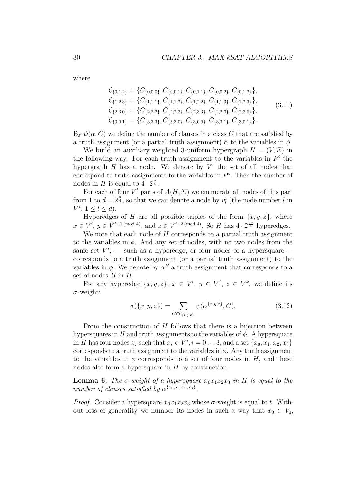where

$$
C_{\{0,1,2\}} = \{C_{\{0,0,0\}}, C_{\{0,0,1\}}, C_{\{0,1,1\}}, C_{\{0,0,2\}}, C_{\{0,1,2\}}\},
$$
  
\n
$$
C_{\{1,2,3\}} = \{C_{\{1,1,1\}}, C_{\{1,1,2\}}, C_{\{1,2,2\}}, C_{\{1,1,3\}}, C_{\{1,2,3\}}\},
$$
  
\n
$$
C_{\{2,3,0\}} = \{C_{\{2,2,2\}}, C_{\{2,2,3\}}, C_{\{2,3,3\}}, C_{\{2,2,0\}}, C_{\{2,3,0\}}\},
$$
  
\n
$$
C_{\{3,0,1\}} = \{C_{\{3,3,3\}}, C_{\{3,3,0\}}, C_{\{3,0,0\}}, C_{\{3,3,1\}}, C_{\{3,0,1\}}\}.
$$
\n
$$
(3.11)
$$

By  $\psi(\alpha, C)$  we define the number of clauses in a class *C* that are satisfied by a truth assignment (or a partial truth assignment)  $\alpha$  to the variables in  $\phi$ .

We build an auxiliary weighted 3-uniform hypergraph  $H = (V, E)$  in the following way. For each truth assignment to the variables in  $P<sup>i</sup>$  the hypergraph  $H$  has a node. We denote by  $V^i$  the set of all nodes that correspond to truth assignments to the variables in  $P<sup>i</sup>$ . Then the number of nodes in *H* is equal to  $4 \cdot 2^{\frac{n}{4}}$ .

For each of four  $V^i$  parts of  $A(H, \Sigma)$  we enumerate all nodes of this part from 1 to  $d = 2^{\frac{n}{4}}$ , so that we can denote a node by  $v_l^i$  (the node number *l* in  $V^i$ ,  $1 \leq l \leq d$ ).

Hyperedges of *H* are all possible triples of the form  $\{x, y, z\}$ , where  $x \in V^i$ ,  $y \in V^{i+1 \pmod{4}}$ , and  $z \in V^{i+2 \pmod{4}}$ . So *H* has  $4 \cdot 2^{\frac{3n}{4}}$  hyperedges.

We note that each node of *H* corresponds to a partial truth assignment to the variables in *φ*. And any set of nodes, with no two nodes from the same set  $V^i$ , — such as a hyperedge, or four nodes of a hypersquare corresponds to a truth assignment (or a partial truth assignment) to the variables in  $\phi$ . We denote by  $\alpha^B$  a truth assignment that corresponds to a set of nodes *B* in *H*.

For any hyperedge  $\{x, y, z\}, x \in V^i, y \in V^j, z \in V^k$ , we define its *σ*-weight:

$$
\sigma(\{x, y, z\}) = \sum_{C \in \mathcal{C}_{\{i, j, k\}}} \psi(\alpha^{\{x, y, z\}}, C). \tag{3.12}
$$

From the construction of *H* follows that there is a bijection between hypersquares in *H* and truth assignments to the variables of  $\phi$ . A hypersquare in *H* has four nodes  $x_i$  such that  $x_i \in V^i$ ,  $i = 0 \ldots 3$ , and a set  $\{x_0, x_1, x_2, x_3\}$ corresponds to a truth assignment to the variables in  $\phi$ . Any truth assignment to the variables in  $\phi$  corresponds to a set of four nodes in *H*, and these nodes also form a hypersquare in *H* by construction.

<span id="page-35-0"></span>**Lemma 6.** The  $\sigma$ -weight of a hypersquare  $x_0x_1x_2x_3$  in H is equal to the *number of clauses satisfied by*  $\alpha^{\{x_0, x_1, x_2, x_3\}}$ .

*Proof.* Consider a hypersquare  $x_0x_1x_2x_3$  whose  $\sigma$ -weight is equal to *t*. Without loss of generality we number its nodes in such a way that  $x_0 \in V_0$ ,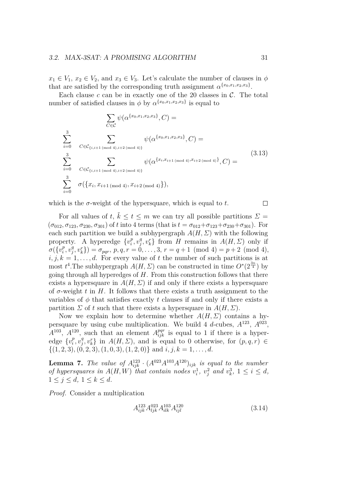$x_1 \in V_1$ ,  $x_2 \in V_2$ , and  $x_3 \in V_3$ . Let's calculate the number of clauses in  $\phi$ that are satisfied by the corresponding truth assignment  $\alpha^{\{x_0, x_1, x_2, x_3\}}$ .

Each clause  $c$  can be in exactly one of the 20 classes in  $C$ . The total number of satisfied clauses in  $\phi$  by  $\alpha^{\{x_0, x_1, x_2, x_3\}}$  is equal to

$$
\sum_{C \in \mathcal{C}} \psi(\alpha^{\{x_0, x_1, x_2, x_3\}}, C) =
$$
\n
$$
\sum_{i=0}^{3} \sum_{C \in \mathcal{C}_{\{i, i+1 \text{ (mod } 4), i+2 \text{ (mod } 4)\}}} \psi(\alpha^{\{x_0, x_1, x_2, x_3\}}, C) =
$$
\n
$$
\sum_{i=0}^{3} \sum_{C \in \mathcal{C}_{\{i, i+1 \text{ (mod } 4), i+2 \text{ (mod } 4)\}}} \psi(\alpha^{\{x_i, x_{i+1 \text{ (mod } 4), x_{i+2 \text{ (mod } 4)}\}}, C) =
$$
\n
$$
\sum_{i=0}^{3} \sigma(\{x_i, x_{i+1 \text{ (mod } 4)}, x_{i+2 \text{ (mod } 4)}\}),
$$
\n(3.13)

which is the  $\sigma$ -weight of the hypersquare, which is equal to  $t$ .

For all values of *t*,  $\tilde{k} \le t \le m$  we can try all possible partitions  $\Sigma =$  $(\sigma_{012}, \sigma_{123}, \sigma_{230}, \sigma_{301})$  of *t* into 4 terms (that is  $t = \sigma_{012} + \sigma_{123} + \sigma_{230} + \sigma_{301}$ ). For each such partition we build a subhypergraph  $A(H, \Sigma)$  with the following property. A hyperedge  $\{v_i^p\}$  $\frac{p}{i}$ ,  $v_j^q$  $f_j^q, v_k^r$  from *H* remains in *A*(*H*, *Σ*) only if  $\sigma(\{v_i^p\})$  $\frac{p}{i}, v_j^q$  $\sigma_j^q$ ,  $v_k^r$ }) =  $\sigma_{pqr}$ ,  $p, q, r = 0, \ldots, 3, r = q + 1 \pmod{4} = p + 2 \pmod{4}$ ,  $i, j, k = 1, \ldots, d$ . For every value of t the number of such partitions is at most  $t^4$ . The subhypergraph  $A(H, \Sigma)$  can be constructed in time  $O^*(2^{\frac{3n}{4}})$  by going through all hyperedges of *H*. From this construction follows that there exists a hypersquare in  $A(H, \Sigma)$  if and only if there exists a hypersquare of *σ*-weight *t* in *H*. It follows that there exists a truth assignment to the variables of  $\phi$  that satisfies exactly t clauses if and only if there exists a partition *Σ* of *t* such that there exists a hypersquare in  $A(H, \Sigma)$ .

Now we explain how to determine whether  $A(H, \Sigma)$  contains a hypersquare by using cube multiplication. We build 4  $d$ -cubes,  $A^{123}$ ,  $A^{023}$ ,  $A^{103}$ ,  $A^{120}$ , such that an element  $A^{pqr}_{ijk}$  is equal to 1 if there is a hyperedge  $\{v_i^p\}$  $\frac{p}{i}$ ,  $v_j^q$  $\{g, v_k^q\}$  in  $A(H, \Sigma)$ , and is equal to 0 otherwise, for  $(p, q, r) \in$  $\{(1, 2, 3), (0, 2, 3), (1, 0, 3), (1, 2, 0)\}$  and  $i, j, k = 1, \ldots, d$ .

<span id="page-36-1"></span>**Lemma 7.** *The value of*  $A^{123}_{ijk} \cdot (A^{023} A^{103} A^{120})_{ijk}$  *is equal to the number of hypersquares in*  $A(H, W)$  *that contain nodes*  $v_i^1$ ,  $v_j^2$  *and*  $v_k^3$ ,  $1 \le i \le d$ ,  $1 \leq j \leq d, 1 \leq k \leq d.$ 

*Proof.* Consider a multiplication

<span id="page-36-0"></span>
$$
A_{ijk}^{123} A_{ljk}^{023} A_{ilk}^{103} A_{ijl}^{120} \tag{3.14}
$$

 $\Box$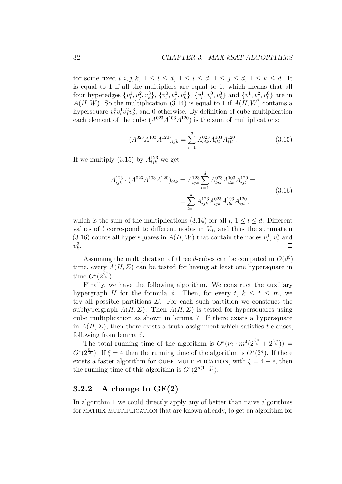for some fixed *l, i, j, k,*  $1 \leq l \leq d$ ,  $1 \leq i \leq d$ ,  $1 \leq j \leq d$ ,  $1 \leq k \leq d$ . It is equal to 1 if all the multipliers are equal to 1, which means that all four hyperedges  $\{v_i^1, v_j^2, v_k^3\}$ ,  $\{v_l^0, v_j^2, v_k^3\}$ ,  $\{v_i^1, v_l^0, v_k^3\}$  and  $\{v_i^1, v_j^2, v_l^0\}$  are in  $A(H, W)$ . So the multiplication [\(3.14\)](#page-36-0) is equal to 1 if  $A(H, W)$  contains a hypersquare  $v_l^0 v_i^1 v_j^2 v_k^3$ , and 0 otherwise. By definition of cube multiplication each element of the cube  $(A^{023}A^{103}A^{120})$  is the sum of multiplications:

<span id="page-37-2"></span><span id="page-37-1"></span>
$$
(A^{023}A^{103}A^{120})_{ijk} = \sum_{l=1}^{d} A_{ljk}^{023}A_{ilk}^{103}A_{ijl}^{120}.
$$
 (3.15)

If we multiply  $(3.15)$  by  $A_{ijk}^{123}$  we get

$$
A_{ijk}^{123} \cdot (A^{023} A^{103} A^{120})_{ijk} = A_{ijk}^{123} \sum_{l=1}^{d} A_{ljk}^{023} A_{ilk}^{103} A_{ijl}^{120} = \sum_{l=1}^{d} A_{ijk}^{123} A_{ljk}^{023} A_{ilk}^{103} A_{ijl}^{120},
$$
\n(3.16)

which is the sum of the multiplications  $(3.14)$  for all  $l, 1 \leq l \leq d$ . Different values of *l* correspond to different nodes in  $V_0$ , and thus the summation [\(3.16\)](#page-37-2) counts all hypersquares in  $A(H, W)$  that contain the nodes  $v_i^1, v_j^2$  and  $v_k^3$ . П

Assuming the multiplication of three *d*-cubes can be computed in  $O(d^{\xi})$ time, every  $A(H, \Sigma)$  can be tested for having at least one hypersquare in time  $O^*(2^{\frac{\xi n}{4}})$ .

Finally, we have the following algorithm. We construct the auxiliary hypergraph *H* for the formula  $\phi$ . Then, for every *t*,  $\tilde{k} \leq t \leq m$ , we try all possible partitions *Σ*. For each such partition we construct the subhypergraph  $A(H, \Sigma)$ . Then  $A(H, \Sigma)$  is tested for hypersquares using cube multiplication as shown in lemma [7.](#page-36-1) If there exists a hypersquare in  $A(H, \Sigma)$ , then there exists a truth assignment which satisfies *t* clauses. following from lemma [6.](#page-35-0)

The total running time of the algorithm is  $O^*(m \cdot m^4(2^{\frac{\xi n}{4}} + 2^{\frac{3n}{4}}))$  $O^*(2^{\frac{\xi n}{4}})$ . If  $\xi = 4$  then the running time of the algorithm is  $O^*(2^n)$ . If there exists a faster algorithm for CUBE MULTIPLICATION, with  $\xi = 4 - \epsilon$ , then the running time of this algorithm is  $O^*(2^{n(1-\frac{\epsilon}{4})})$ .

#### <span id="page-37-0"></span>**3.2.2 A change to GF(2)**

In algorithm [1](#page-30-1) we could directly apply any of better than naive algorithms for matrix multiplication that are known already, to get an algorithm for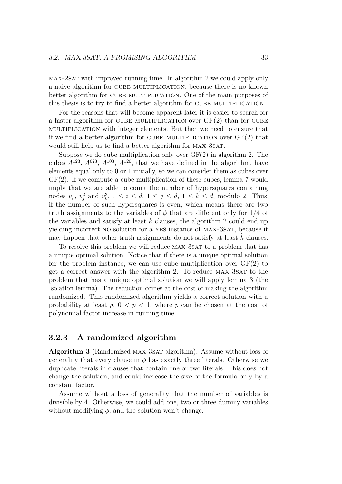max-2sat with improved running time. In algorithm [2](#page-34-1) we could apply only a naive algorithm for cube multiplication, because there is no known better algorithm for cube multiplication. One of the main purposes of this thesis is to try to find a better algorithm for CUBE MULTIPLICATION.

For the reasons that will become apparent later it is easier to search for a faster algorithm for CUBE MULTIPLICATION over  $GF(2)$  than for CUBE multiplication with integer elements. But then we need to ensure that if we find a better algorithm for CUBE MULTIPLICATION over  $GF(2)$  that would still help us to find a better algorithm for MAX-3SAT.

Suppose we do cube multiplication only over  $GF(2)$  in algorithm [2.](#page-34-1) The cubes  $A^{123}$ ,  $A^{023}$ ,  $A^{103}$ ,  $A^{120}$ , that we have defined in the algorithm, have elements equal only to 0 or 1 initially, so we can consider them as cubes over GF(2). If we compute a cube multiplication of these cubes, lemma [7](#page-36-1) would imply that we are able to count the number of hypersquares containing nodes  $v_i^1$ ,  $v_j^2$  and  $v_k^3$ ,  $1 \le i \le d$ ,  $1 \le j \le d$ ,  $1 \le k \le d$ , modulo 2. Thus, if the number of such hypersquares is even, which means there are two truth assignments to the variables of *φ* that are different only for 1*/*4 of the variables and satisfy at least  $k$  clauses, the algorithm [2](#page-34-1) could end up yielding incorrect NO solution for a YES instance of MAX-3SAT, because it may happen that other truth assignments do not satisfy at least  $k$  clauses.

To resolve this problem we will reduce MAX-3SAT to a problem that has a unique optimal solution. Notice that if there is a unique optimal solution for the problem instance, we can use cube multiplication over  $GF(2)$  to get a correct answer with the algorithm [2.](#page-34-1) To reduce max-3sat to the problem that has a unique optimal solution we will apply lemma [3](#page-27-1) (the Isolation lemma). The reduction comes at the cost of making the algorithm randomized. This randomized algorithm yields a correct solution with a probability at least  $p, 0 < p < 1$ , where  $p$  can be chosen at the cost of polynomial factor increase in running time.

#### <span id="page-38-0"></span>**3.2.3 A randomized algorithm**

**Algorithm 3** (Randomized max-3sat algorithm)**.** Assume without loss of generality that every clause in  $\phi$  has exactly three literals. Otherwise we duplicate literals in clauses that contain one or two literals. This does not change the solution, and could increase the size of the formula only by a constant factor.

Assume without a loss of generality that the number of variables is divisible by 4. Otherwise, we could add one, two or three dummy variables without modifying  $\phi$ , and the solution won't change.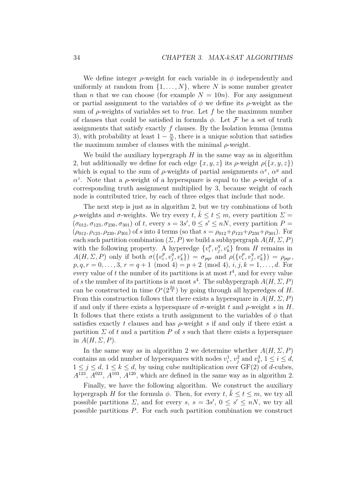We define integer  $\rho$ -weight for each variable in  $\phi$  independently and uniformly at random from  $\{1, \ldots, N\}$ , where *N* is some number greater than *n* that we can choose (for example  $N = 10n$ ). For any assignment or partial assignment to the variables of  $\phi$  we define its  $\rho$ -weight as the sum of *ρ*-weights of variables set to *true*. Let *f* be the maximum number of clauses that could be satisfied in formula  $\phi$ . Let  $\mathcal F$  be a set of truth assignments that satisfy exactly  $f$  clauses. By the Isolation lemma (lemma) [3\)](#page-27-1), with probability at least  $1 - \frac{n}{N}$  $\frac{n}{N}$ , there is a unique solution that satisfies the maximum number of clauses with the minimal *ρ*-weight.

We build the auxiliary hypergraph  $H$  in the same way as in algorithm [2,](#page-34-1) but additionally we define for each edge  $\{x, y, z\}$  its  $\rho$ -weight  $\rho(\{x, y, z\})$ which is equal to the sum of  $\rho$ -weights of partial assignments  $\alpha^x$ ,  $\alpha^y$  and *α*<sup>2</sup>. Note that a *ρ*-weight of a hypersquare is equal to the *ρ*-weight of a corresponding truth assignment multiplied by 3, because weight of each node is contributed trice, by each of three edges that include that node.

The next step is just as in algorithm [2,](#page-34-1) but we try combinations of both *ρ*-weights and *σ*-weights. We try every *t*,  $\tilde{k} \le t \le m$ , every partition  $\Sigma =$  $(\sigma_{012}, \sigma_{123}, \sigma_{230}, \sigma_{301})$  of *t*, every  $s = 3s'$ ,  $0 \le s' \le nN$ , every partition  $P =$  $(\rho_{012}, \rho_{123}, \rho_{230}, \rho_{301})$  of *s* into 4 terms (so that  $s = \rho_{012} + \rho_{123} + \rho_{230} + \rho_{301}$ ). For each such partition combination  $(\Sigma, P)$  we build a subhypergraph  $A(H, \Sigma, P)$ with the following property. A hyperedge  $\{v_i^p\}$  $\binom{p}{i}, \upsilon_j^q$  $y_j^q, v_k^r$  from *H* remains in *A*(*H*, *Σ*, *P*) only if both  $\sigma$ ({*v*<sup>*p*</sup></sup><sup>*i*</sup>  $\binom{p}{i}, \upsilon_j^q$  $(\sigma^q_i, v^r_k)$ ) =  $\sigma_{pqr}$  and  $\rho(\{v^p_i\})$  $\binom{p}{i}, \upsilon_j^q$  $(\rho_{j}^{q}, v_{k}^{r}) = \rho_{pqr},$  $p, q, r = 0, \ldots, 3, r = q + 1 \pmod{4} = p + 2 \pmod{4}, i, j, k = 1, \ldots, d$ . For every value of  $t$  the number of its partitions is at most  $t^4$ , and for every value of *s* the number of its partitions is at most  $s^4$ . The subhypergraph  $A(H, \Sigma, P)$ can be constructed in time  $O^*(2^{\frac{3n}{4}})$  by going through all hyperedges of *H*. From this construction follows that there exists a hypersquare in  $A(H, \Sigma, P)$ if and only if there exists a hypersquare of  $\sigma$ -weight  $t$  and  $\rho$ -weight  $s$  in  $H$ . It follows that there exists a truth assignment to the variables of  $\phi$  that satisfies exactly *t* clauses and has *ρ*-weight *s* if and only if there exist a partition  $\Sigma$  of t and a partition P of s such that there exists a hypersquare in  $A(H, \Sigma, P)$ .

In the same way as in algorithm [2](#page-34-1) we determine whether  $A(H, \Sigma, P)$ contains an odd number of hypersquares with nodes  $v_i^1$ ,  $v_j^2$  and  $v_k^3$ ,  $1 \le i \le d$ ,  $1 \leq j \leq d, 1 \leq k \leq d$ , by using cube multiplication over GF(2) of *d*-cubes,  $A^{123}$ ,  $A^{023}$ ,  $A^{103}$ ,  $A^{120}$ , which are defined in the same way as in algorithm [2.](#page-34-1)

Finally, we have the following algorithm. We construct the auxiliary hypergraph *H* for the formula  $\phi$ . Then, for every *t*,  $\tilde{k} \le t \le m$ , we try all possible partitions  $\Sigma$ , and for every  $s, s = 3s'$ ,  $0 \le s' \le nN$ , we try all possible partitions *P*. For each such partition combination we construct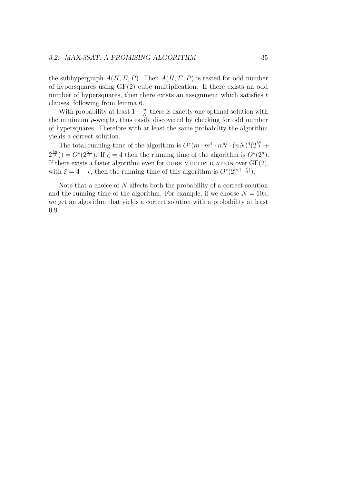the subhypergraph  $A(H, \Sigma, P)$ . Then  $A(H, \Sigma, P)$  is tested for odd number of hypersquares using GF(2) cube multiplication. If there exists an odd number of hypersquares, then there exists an assignment which satisfies *t* clauses, following from lemma [6.](#page-35-0)

With probability at least  $1-\frac{n}{N}$  $\frac{n}{N}$  there is exactly one optimal solution with the minimum *ρ*-weight, thus easily discovered by checking for odd number of hypersquares. Therefore with at least the same probability the algorithm yields a correct solution.

The total running time of the algorithm is  $O^*(m \cdot m^4 \cdot nN \cdot (nN)^4 (2^{\frac{\xi n}{4}} +$  $2^{\frac{3n}{4}}$ )) =  $O^*(2^{\frac{\xi n}{4}})$ . If  $\xi = 4$  then the running time of the algorithm is  $O^*(2^n)$ . If there exists a faster algorithm even for CUBE MULTIPLICATION over  $GF(2)$ , with  $\xi = 4 - \epsilon$ , then the running time of this algorithm is  $O^*(2^{n(1-\frac{\epsilon}{4})})$ .

Note that a choice of *N* affects both the probability of a correct solution and the running time of the algorithm. For example, if we choose  $N = 10n$ , we get an algorithm that yields a correct solution with a probability at least 0*.*9.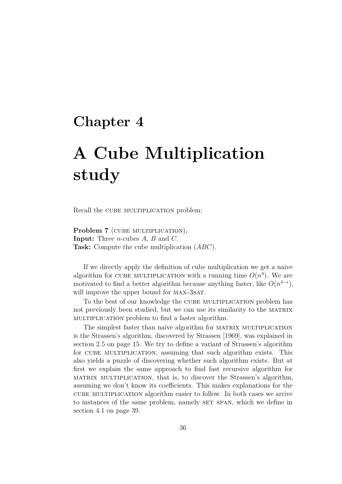## <span id="page-41-0"></span>**Chapter 4**

# **A Cube Multiplication study**

Recall the CUBE MULTIPLICATION problem:

Problem 7 (CUBE MULTIPLICATION). **Input:** Three *n*-cubes *A*, *B* and *C*. **Task:** Compute the cube multiplication (*ABC*).

If we directly apply the definition of cube multiplication we get a naive algorithm for CUBE MULTIPLICATION with a running time  $O(n^4)$ . We are motivated to find a better algorithm because anything faster, like  $O(n^{4-\epsilon})$ , will improve the upper bound for MAX-3SAT.

To the best of our knowledge the CUBE MULTIPLICATION problem has not previously been studied, but we can use its similarity to the MATRIX multiplication problem to find a faster algorithm.

The simplest faster than naive algorithm for MATRIX MULTIPLICATION is the Strassen's algorithm, discovered by [Strassen](#page-70-1) [\[1969\]](#page-70-1), was explained in section [2.5](#page-20-0) on page [15.](#page-20-0) We try to define a variant of Strassen's algorithm for cube multiplication, assuming that such algorithm exists. This also yields a puzzle of discovering whether such algorithm exists. But at first we explain the same approach to find fast recursive algorithm for matrix multiplication, that is, to discover the Strassen's algorithm, assuming we don't know its coefficients. This makes explanations for the cube multiplication algorithm easier to follow. In both cases we arrive to instances of the same problem, namely SET SPAN, which we define in section [4.1](#page-44-0) on page [39.](#page-44-0)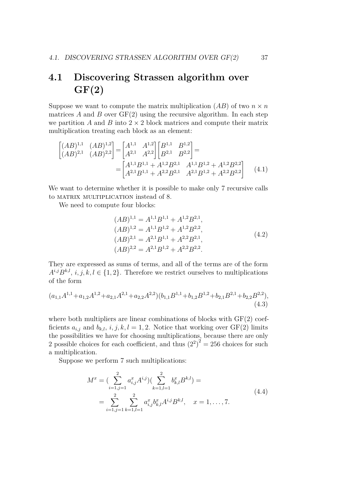## <span id="page-42-0"></span>**4.1 Discovering Strassen algorithm over GF(2)**

Suppose we want to compute the matrix multiplication  $(AB)$  of two  $n \times n$ matrices  $A$  and  $B$  over  $GF(2)$  using the recursive algorithm. In each step we partition *A* and *B* into  $2 \times 2$  block matrices and compute their matrix multiplication treating each block as an element:

$$
\begin{bmatrix} (AB)^{1,1} & (AB)^{1,2} \\ (AB)^{2,1} & (AB)^{2,2} \end{bmatrix} = \begin{bmatrix} A^{1,1} & A^{1,2} \\ A^{2,1} & A^{2,2} \end{bmatrix} \begin{bmatrix} B^{1,1} & B^{1,2} \\ B^{2,1} & B^{2,2} \end{bmatrix} = \begin{bmatrix} A^{1,1}B^{1,1} + A^{1,2}B^{2,1} & A^{1,1}B^{1,2} + A^{1,2}B^{2,2} \\ A^{2,1}B^{1,1} + A^{2,2}B^{2,1} & A^{2,1}B^{1,2} + A^{2,2}B^{2,2} \end{bmatrix}
$$
(4.1)

We want to determine whether it is possible to make only 7 recursive calls to MATRIX MULTIPLICATION instead of 8.

We need to compute four blocks:

<span id="page-42-2"></span><span id="page-42-1"></span>
$$
(AB)^{1,1} = A^{1,1}B^{1,1} + A^{1,2}B^{2,1},(AB)^{1,2} = A^{1,1}B^{1,2} + A^{1,2}B^{2,2},(AB)^{2,1} = A^{2,1}B^{1,1} + A^{2,2}B^{2,1},(AB)^{2,2} = A^{2,1}B^{1,2} + A^{2,2}B^{2,2}.
$$
\n(4.2)

They are expressed as sums of terms, and all of the terms are of the form  $A^{i,j}B^{k,l}, i, j, k, l \in \{1, 2\}$ . Therefore we restrict ourselves to multiplications of the form

$$
(a_{1,1}A^{1,1} + a_{1,2}A^{1,2} + a_{2,1}A^{2,1} + a_{2,2}A^{2,2})(b_{1,1}B^{1,1} + b_{1,2}B^{1,2} + b_{2,1}B^{2,1} + b_{2,2}B^{2,2}),
$$
\n(4.3)

where both multipliers are linear combinations of blocks with  $GF(2)$  coefficients  $a_{i,j}$  and  $b_{k,l}$ ,  $i, j, k, l = 1, 2$ . Notice that working over  $GF(2)$  limits the possibilities we have for choosing multiplications, because there are only 2 possible choices for each coefficient, and thus  $(2^2)^2 = 256$  choices for such a multiplication.

Suppose we perform 7 such multiplications:

$$
M^{x} = \left(\sum_{i=1,j=1}^{2} a_{i,j}^{x} A^{i,j}\right)\left(\sum_{k=1,l=1}^{2} b_{k,l}^{x} B^{k,l}\right) =
$$
  
= 
$$
\sum_{i=1,j=1}^{2} \sum_{k=1,l=1}^{2} a_{i,j}^{x} b_{k,l}^{x} A^{i,j} B^{k,l}, \quad x = 1, ..., 7.
$$
 (4.4)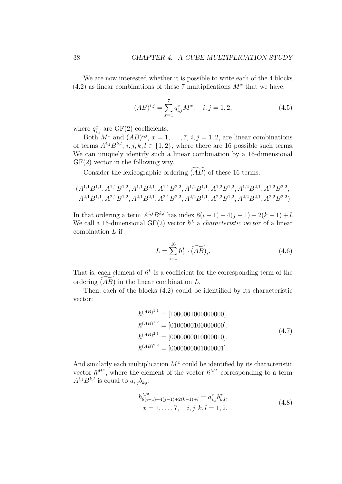We are now interested whether it is possible to write each of the 4 blocks  $(4.2)$  as linear combinations of these 7 multiplications  $M^x$  that we have:

<span id="page-43-0"></span>
$$
(AB)^{i,j} = \sum_{x=1}^{7} q_{i,j}^{x} M^{x}, \quad i, j = 1, 2,
$$
\n(4.5)

where  $q_{i,j}^x$  are GF(2) coefficients.

Both  $M^x$  and  $(AB)^{i,j}$ ,  $x = 1, \ldots, 7, i, j = 1, 2$ , are linear combinations of terms  $A^{i,j}B^{k,l}, i, j, k, l \in \{1, 2\}$ , where there are 16 possible such terms. We can uniquely identify such a linear combination by a 16-dimensional  $GF(2)$  vector in the following way.

Consider the lexicographic ordering  $\overline{(AB)}$  of these 16 terms:

$$
(A^{1,1}B^{1,1},A^{1,1}B^{1,2},A^{1,1}B^{2,1},A^{1,1}B^{2,2},A^{1,2}B^{1,1},A^{1,2}B^{1,2},A^{1,2}B^{2,1},A^{1,2}B^{2,2},A^{2,1}B^{1,1},A^{2,1}B^{1,2},A^{2,1}B^{1,2},A^{2,2}B^{1,1},A^{2,2}B^{1,2},A^{2,2}B^{2,1},A^{2,2}B^{2,2})
$$

In that ordering a term  $A^{i,j}B^{k,l}$  has index  $8(i-1) + 4(j-1) + 2(k-1) + l$ . We call a 16-dimensional GF(2) vector  $h^L$  a *characteristic vector* of a linear combination *L* if

$$
L = \sum_{i=1}^{16} \hbar_i^L \cdot \widetilde{(AB)}_i. \tag{4.6}
$$

That is, each element of  $h^L$  is a coefficient for the corresponding term of the ordering  $(AB)$  in the linear combination *L*.

Then, each of the blocks [\(4.2\)](#page-42-1) could be identified by its characteristic vector:

<span id="page-43-1"></span>
$$
\begin{aligned}\n\hbar^{(AB)^{1,1}} &= [1000001000000000], \\
\hbar^{(AB)^{1,2}} &= [0100000100000000], \\
\hbar^{(AB)^{2,1}} &= [00000000100000010], \\
\hbar^{(AB)^{2,2}} &= [0000000000000001].\n\end{aligned} \tag{4.7}
$$

And similarly each multiplication  $M^x$  could be identified by its characteristic vector  $\hbar^{M^x}$ , where the element of the vector  $\hbar^{M^x}$  corresponding to a term  $A^{i,j}B^{k,l}$  is equal to  $a_{i,j}b_{k,l}$ :

<span id="page-43-2"></span>
$$
\begin{aligned} \hbar_{8(i-1)+4(j-1)+2(k-1)+l}^{M^x} &= a_{i,j}^x b_{k,l}^x, \\ x &= 1, \dots, 7, \quad i, j, k, l = 1, 2. \end{aligned} \tag{4.8}
$$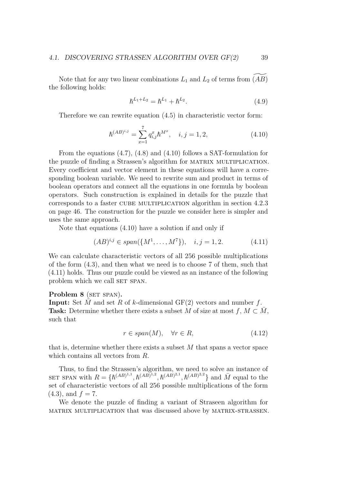Note that for any two linear combinations  $L_1$  and  $L_2$  of terms from  $(AB)$ the following holds:

<span id="page-44-0"></span>
$$
\hbar^{L_1+L_2} = \hbar^{L_1} + \hbar^{L_2}.
$$
\n(4.9)

Therefore we can rewrite equation [\(4.5\)](#page-43-0) in characteristic vector form:

$$
\hbar^{(AB)^{i,j}} = \sum_{x=1}^{7} q_{i,j}^x \hbar^{M^x}, \quad i, j = 1, 2,
$$
\n(4.10)

From the equations [\(4.7\)](#page-43-1), [\(4.8\)](#page-43-2) and [\(4.10\)](#page-44-0) follows a SAT-formulation for the puzzle of finding a Strassen's algorithm for matrix multiplication. Every coefficient and vector element in these equations will have a corresponding boolean variable. We need to rewrite sum and product in terms of boolean operators and connect all the equations in one formula by boolean operators. Such construction is explained in details for the puzzle that corresponds to a faster cube multiplication algorithm in section [4.2.3](#page-51-0) on page [46.](#page-51-0) The construction for the puzzle we consider here is simpler and uses the same approach.

Note that equations [\(4.10\)](#page-44-0) have a solution if and only if

<span id="page-44-1"></span>
$$
(AB)^{i,j} \in span(\{M^1, \dots, M^7\}), \quad i, j = 1, 2. \tag{4.11}
$$

We can calculate characteristic vectors of all 256 possible multiplications of the form [\(4.3\)](#page-42-2), and then what we need is to choose 7 of them, such that [\(4.11\)](#page-44-1) holds. Thus our puzzle could be viewed as an instance of the following problem which we call SET SPAN.

#### <span id="page-44-2"></span>**Problem 8** (SET SPAN).

**Input:** Set *M* and set *R* of *k*-dimensional GF(2) vectors and number  $f$ . **Task:** Determine whether there exists a subset *M* of size at most  $f, M \subset M$ , such that

$$
r \in span(M), \quad \forall r \in R,
$$
\n
$$
(4.12)
$$

that is, determine whether there exists a subset *M* that spans a vector space which contains all vectors from *R*.

Thus, to find the Strassen's algorithm, we need to solve an instance of SET SPAN with  $R = \{h^{(AB)^{1,1}}, h^{(AB)^{1,2}}, h^{(AB)^{2,1}}, h^{(AB)^{2,2}}\}$  and  $\overline{M}$  equal to the set of characteristic vectors of all 256 possible multiplications of the form  $(4.3)$ , and  $f = 7$ .

We denote the puzzle of finding a variant of Straseen algorithm for matrix multiplication that was discussed above by matrix-strassen.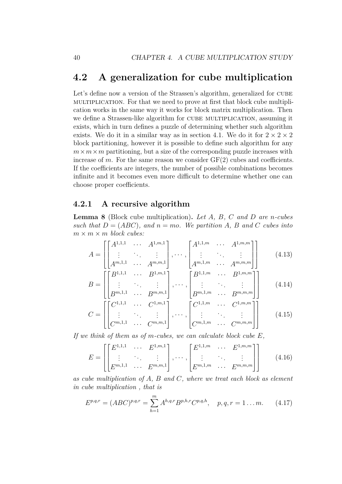## <span id="page-45-0"></span>**4.2 A generalization for cube multiplication**

Let's define now a version of the Strassen's algorithm, generalized for CUBE multiplication. For that we need to prove at first that block cube multiplication works in the same way it works for block matrix multiplication. Then we define a Strassen-like algorithm for CUBE MULTIPLICATION, assuming it exists, which in turn defines a puzzle of determining whether such algorithm exists. We do it in a similar way as in section [4.1.](#page-42-0) We do it for  $2 \times 2 \times 2$ block partitioning, however it is possible to define such algorithm for any  $m \times m \times m$  partitioning, but a size of the corresponding puzzle increases with increase of  $m$ . For the same reason we consider  $GF(2)$  cubes and coefficients. If the coefficients are integers, the number of possible combinations becomes infinite and it becomes even more difficult to determine whether one can choose proper coefficients.

#### <span id="page-45-1"></span>**4.2.1 A recursive algorithm**

<span id="page-45-2"></span>**Lemma 8** (Block cube multiplication)**.** *Let A, B, C and D are n-cubes such that*  $D = (ABC)$ *, and*  $n = mo$ *. We partition* A, B and C *cubes into*  $m \times m \times m$  *block cubes:* 

$$
A = \begin{bmatrix} A^{1,1,1} & \cdots & A^{1,m,1} \\ \vdots & \ddots & \vdots \\ A^{m,1,1} & \cdots & A^{m,m,1} \end{bmatrix}, \cdots, \begin{bmatrix} A^{1,1,m} & \cdots & A^{1,m,m} \\ \vdots & \ddots & \vdots \\ A^{m,1,m} & \cdots & A^{m,m,m} \end{bmatrix}
$$
 (4.13)

$$
B = \begin{bmatrix} B^{1,1,1} & \cdots & B^{1,m,1} \\ \vdots & \ddots & \vdots \\ B^{m,1,1} & \cdots & B^{m,m,1} \end{bmatrix}, \cdots, \begin{bmatrix} B^{1,1,m} & \cdots & B^{1,m,m} \\ \vdots & \ddots & \vdots \\ B^{m,1,m} & \cdots & B^{m,m,m} \end{bmatrix}
$$
 (4.14)  

$$
C = \begin{bmatrix} C^{1,1,1} & \cdots & C^{1,m,1} \\ \vdots & \ddots & \vdots \\ C^{m,1,1} & \cdots & C^{m,m,1} \end{bmatrix}, \cdots, \begin{bmatrix} C^{1,1,m} & \cdots & C^{1,m,m} \\ \vdots & \ddots & \vdots \\ C^{m,1,m} & \cdots & C^{m,m,m} \end{bmatrix}
$$
 (4.15)

*If we think of them as of m-cubes, we can calculate block cube E,*

$$
E = \begin{bmatrix} E^{1,1,1} & \cdots & E^{1,m,1} \\ \vdots & \ddots & \vdots \\ E^{m,1,1} & \cdots & E^{m,m,1} \end{bmatrix}, \cdots, \begin{bmatrix} E^{1,1,m} & \cdots & E^{1,m,m} \\ \vdots & \ddots & \vdots \\ E^{m,1,m} & \cdots & E^{m,m,m} \end{bmatrix}
$$
 (4.16)

*as cube multiplication of A, B and C, where we treat each block as element in cube multiplication , that is*

$$
E^{p,q,r} = (ABC)^{p,q,r} = \sum_{h=1}^{m} A^{h,q,r} B^{p,h,r} C^{p,q,h}, \quad p,q,r = 1 \dots m. \tag{4.17}
$$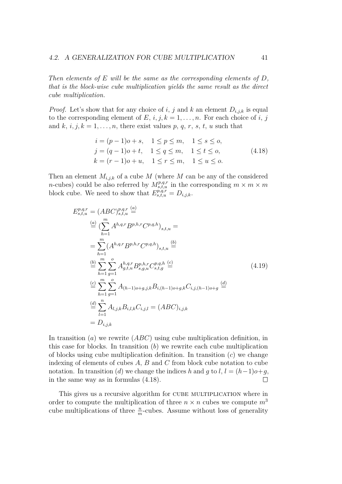*Then elements of E will be the same as the corresponding elements of D, that is the block-wise cube multiplication yields the same result as the direct cube multiplication.*

*Proof.* Let's show that for any choice of *i*, *j* and *k* an element  $D_{i,j,k}$  is equal to the corresponding element of  $E$ ,  $i, j, k = 1, \ldots, n$ . For each choice of  $i, j$ and  $k$ ,  $i, j, k = 1, \ldots, n$ , there exist values  $p, q, r, s, t, u$  such that

<span id="page-46-0"></span>
$$
i = (p - 1)o + s, \quad 1 \le p \le m, \quad 1 \le s \le o,j = (q - 1)o + t, \quad 1 \le q \le m, \quad 1 \le t \le o,k = (r - 1)o + u, \quad 1 \le r \le m, \quad 1 \le u \le o.
$$
 (4.18)

Then an element  $M_{i,j,k}$  of a cube  $M$  (where  $M$  can be any of the considered *n*-cubes) could be also referred by  $M_{s,t,u}^{p,q,r}$  in the corresponding  $m \times m \times m$ block cube. We need to show that  $E_{s,t,u}^{p,q,r} = D_{i,j,k}$ .

$$
E_{s,t,u}^{p,q,r} = (ABC)_{s,t,u}^{p,q,r} \stackrel{(a)}{=} \frac{(\sum_{h=1}^{m} A^{h,q,r} B^{p,h,r} C^{p,q,h})_{s,t,u}}{(\sum_{h=1}^{m} (A^{h,q,r} B^{p,h,r} C^{p,q,h})_{s,t,u} \stackrel{(b)}{=}}
$$
  
\n
$$
= \sum_{h=1}^{m} (A^{h,q,r} B^{p,h,r} C^{p,q,h} )_{s,t,u} \stackrel{(c)}{=} \frac{(\sum_{h=1}^{m} \sum_{g=1}^{o} A^{h,q,r}_{g,t,u} B^{p,h,r}_{s,g,u} C^{p,q,h}_{s,t,g} \stackrel{(c)}{=} (4.19)
$$
  
\n
$$
\stackrel{(c)}{=} \sum_{h=1}^{m} \sum_{g=1}^{o} A_{(h-1)o+g,j,k} B_{i,(h-1)o+g,k} C_{i,j,(h-1)o+g} \stackrel{(d)}{=} \frac{(\sum_{l=1}^{n} A_{l,j,k} B_{i,l,k} C_{i,j,l} = (ABC)_{i,j,k}
$$
  
\n
$$
= D_{i,j,k}
$$
 (4.10)

In transition (*a*) we rewrite (*ABC*) using cube multiplication definition, in this case for blocks. In transition (*b*) we rewrite each cube multiplication of blocks using cube multiplication definition. In transition (*c*) we change indexing of elements of cubes *A*, *B* and *C* from block cube notation to cube notation. In transition (*d*) we change the indices *h* and *g* to *l*,  $l = (h-1)o+g$ , in the same way as in formulas [\(4.18\)](#page-46-0).  $\Box$ 

This gives us a recursive algorithm for CUBE MULTIPLICATION where in order to compute the multiplication of three  $n \times n$  cubes we compute  $m<sup>3</sup>$ cube multiplications of three  $\frac{n}{m}$ -cubes. Assume without loss of generality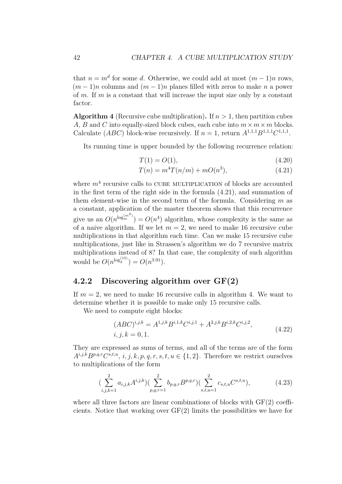that  $n = m<sup>d</sup>$  for some *d*. Otherwise, we could add at most  $(m - 1)n$  rows,  $(m-1)n$  columns and  $(m-1)n$  planes filled with zeros to make *n* a power of *m*. If *m* is a constant that will increase the input size only by a constant factor.

<span id="page-47-2"></span>**Algorithm 4** (Recursive cube multiplication). If  $n > 1$ , then partition cubes *A*, *B* and *C* into equally-sized block cubes, each cube into  $m \times m \times m$  blocks. Calculate  $(ABC)$  block-wise recursively. If  $n = 1$ , return  $A^{1,1,1}B^{1,1,1}C^{1,1,1}$ .

Its running time is upper bounded by the following recurrence relation:

<span id="page-47-1"></span>
$$
T(1) = O(1), \t\t(4.20)
$$

$$
T(n) = m^4 T(n/m) + mO(n^3),
$$
\n(4.21)

where  $m<sup>4</sup>$  recursive calls to CUBE MULTIPLICATION of blocks are accounted in the first term of the right side in the formula [\(4.21\)](#page-47-1), and summation of them element-wise in the second term of the formula. Considering *m* as a constant, application of the master theorem shows that this recurrence give us an  $O(n^{\log_m^{(m^4)}}) = O(n^4)$  algorithm, whose complexity is the same as of a naive algorithm. If we let  $m = 2$ , we need to make 16 recursive cube multiplications in that algorithm each time. Can we make 15 recursive cube multiplications, just like in Strassen's algorithm we do 7 recursive matrix multiplications instead of 8? In that case, the complexity of such algorithm would be  $O(n^{\log_2^{(15)}}) = O(n^{3.91}).$ 

#### <span id="page-47-0"></span>**4.2.2 Discovering algorithm over GF(2)**

If  $m = 2$ , we need to make 16 recursive calls in algorithm [4.](#page-47-2) We want to determine whether it is possible to make only 15 recursive calls.

We need to compute eight blocks:

<span id="page-47-4"></span><span id="page-47-3"></span>
$$
(ABC)^{i,j,k} = A^{1,j,k} B^{i,1,k} C^{i,j,1} + A^{2,j,k} B^{i,2,k} C^{i,j,2},
$$
  

$$
i, j, k = 0, 1.
$$
 (4.22)

They are expressed as sums of terms, and all of the terms are of the form  $A^{i,j,k}B^{p,q,r}C^{s,t,u}, i, j, k, p, q, r, s, t, u \in \{1,2\}$ . Therefore we restrict ourselves to multiplications of the form

$$
\left(\sum_{i,j,k=1}^{2} a_{i,j,k} A^{i,j,k}\right) \left(\sum_{p,q,r=1}^{2} b_{p,q,r} B^{p,q,r}\right) \left(\sum_{s,t,u=1}^{2} c_{s,t,u} C^{s,t,u}\right),\tag{4.23}
$$

where all three factors are linear combinations of blocks with  $GF(2)$  coefficients. Notice that working over  $GF(2)$  limits the possibilities we have for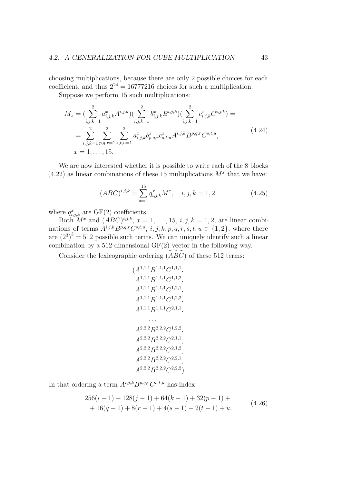choosing multiplications, because there are only 2 possible choices for each coefficient, and thus  $2^{24} = 16777216$  choices for such a multiplication.

Suppose we perform 15 such multiplications:

$$
M_x = \left(\sum_{i,j,k=1}^2 a_{i,j,k}^x A^{i,j,k}\right) \left(\sum_{i,j,k=1}^2 b_{i,j,k}^x B^{i,j,k}\right) \left(\sum_{i,j,k=1}^2 c_{i,j,k}^x C^{i,j,k}\right) =
$$
  
= 
$$
\sum_{i,j,k=1}^2 \sum_{p,q,r=1}^2 \sum_{s,t,u=1}^2 a_{i,j,k}^x b_{p,q,r}^x c_{s,t,u}^x A^{i,j,k} B^{p,q,r} C^{s,t,u},
$$
  
 $x = 1, ..., 15.$  (4.24)

We are now interested whether it is possible to write each of the 8 blocks  $(4.22)$  as linear combinations of these 15 multiplications  $M^x$  that we have:

<span id="page-48-2"></span>
$$
(ABC)^{i,j,k} = \sum_{x=1}^{15} q_{i,j,k}^x M^x, \quad i, j, k = 1, 2,
$$
 (4.25)

where  $q_{i,j,k}^x$  are GF(2) coefficients.

Both  $M^x$  and  $(ABC)^{i,j,k}$ ,  $x = 1, \ldots, 15, i, j, k = 1, 2$ , are linear combinations of terms  $A^{i,j,k}B^{p,q,r}C^{s,t,u}, i, j, k, p, q, r, s, t, u \in \{1,2\}$ , where there are  $(2^3)^3 = 512$  possible such terms. We can uniquely identify such a linear combination by a 512-dimensional GF(2) vector in the following way.

Consider the lexicographic ordering  $(ABC)$  of these 512 terms:

<span id="page-48-1"></span>
$$
(A^{1,1,1}B^{1,1,1}C^{1,1,1},A^{1,1,1}B^{1,1,1}C^{1,1,2},A^{1,1,1}B^{1,1,1}C^{1,2,1},A^{1,1,1}B^{1,1,1}C^{1,2,2},A^{1,1,1}B^{1,1,1}C^{2,1,1},...
$$

$$
A^{2,2,2}B^{2,2,2}C^{1,2,2},A^{2,2,2}B^{2,2,2}C^{2,1,1},A^{2,2,2}B^{2,2,2}C^{2,1,2},A^{2,2,2}B^{2,2,2}C^{2,2,1},A^{2,2,2}B^{2,2,2}C^{2,2,2}
$$

In that ordering a term  $A^{i,j,k}B^{p,q,r}C^{s,t,u}$  has index

<span id="page-48-0"></span>
$$
256(i - 1) + 128(j - 1) + 64(k - 1) + 32(p - 1) ++ 16(q - 1) + 8(r - 1) + 4(s - 1) + 2(t - 1) + u.
$$
\n(4.26)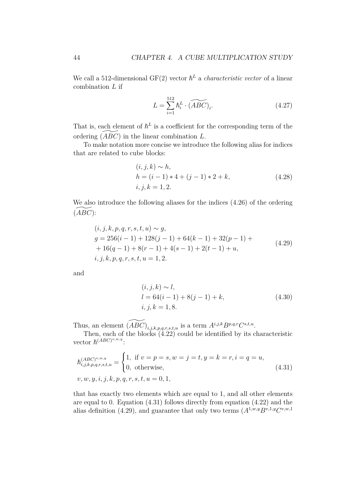We call a 512-dimensional GF(2) vector  $\hbar^L$  a *characteristic vector* of a linear combination *L* if

$$
L = \sum_{i=1}^{512} \hbar_i^L \cdot (\widetilde{ABC})_i.
$$
 (4.27)

That is, each element of  $h^L$  is a coefficient for the corresponding term of the ordering (^*ABC*) in the linear combination *<sup>L</sup>*.

To make notation more concise we introduce the following alias for indices that are related to cube blocks:

$$
(i, j, k) \sim h, h = (i - 1) * 4 + (j - 1) * 2 + k, i, j, k = 1, 2.
$$
 (4.28)

We also introduce the following aliases for the indices [\(4.26\)](#page-48-0) of the ordering  $(ABC)$ :

$$
(i, j, k, p, q, r, s, t, u) \sim g,
$$
  
\n
$$
g = 256(i - 1) + 128(j - 1) + 64(k - 1) + 32(p - 1) +
$$
  
\n
$$
+ 16(q - 1) + 8(r - 1) + 4(s - 1) + 2(t - 1) + u,
$$
  
\n
$$
i, j, k, p, q, r, s, t, u = 1, 2.
$$
\n(4.29)

and

<span id="page-49-1"></span><span id="page-49-0"></span>
$$
(i, j, k) \sim l,\n l = 64(i - 1) + 8(j - 1) + k,\n i, j, k = 1, 8.
$$
\n(4.30)

Thus, an element  $\widetilde{(ABC)}_{i,j,k,p,q,r,s,t,u}$  is a term  $A^{i,j,k}B^{p,q,r}C^{s,t,u}$ .

Then, each of the blocks [\(4.22\)](#page-47-3) could be identified by its characteristic vector  $\hslash^{(ABC)^{v,w,y}}$ :

$$
\hbar_{i,j,k,p,q,r,s,t,u}^{(ABC)^{v,w,y}} = \begin{cases} 1, & \text{if } v = p = s, w = j = t, y = k = r, i = q = u, \\ 0, & \text{otherwise,} \end{cases}
$$
\n
$$
v, w, y, i, j, k, p, q, r, s, t, u = 0, 1,
$$
\n
$$
(4.31)
$$

that has exactly two elements which are equal to 1, and all other elements are equal to 0. Equation [\(4.31\)](#page-49-0) follows directly from equation [\(4.22\)](#page-47-3) and the alias definition [\(4.29\)](#page-49-1), and guarantee that only two terms  $(A^{1,w,y}B^{v,1,y}C^{v,w,1})$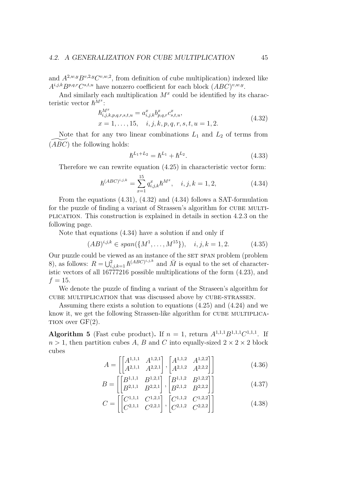and  $A^{2,w,y}B^{v,2,y}C^{v,w,2}$ , from definition of cube multiplication) indexed like  $A^{i,j,k}B^{p,q,r}C^{s,t,u}$  have nonzero coefficient for each block  $(ABC)^{v,w,y}$ .

And similarly each multiplication  $M^x$  could be identified by its characteristic vector  $\hbar^{M^x}$ :

$$
\begin{aligned} \hbar_{i,j,k,p,q,r,s,t,u}^{M^x} &= a_{i,j,k}^x b_{p,q,r}^x c_{s,t,u}^x, \\ x &= 1, \dots, 15, \quad i, j, k, p, q, r, s, t, u = 1, 2. \end{aligned} \tag{4.32}
$$

Note that for any two linear combinations  $L_1$  and  $L_2$  of terms from  $(ABC)$  the following holds:

<span id="page-50-1"></span><span id="page-50-0"></span>
$$
\hbar^{L_1+L_2} = \hbar^{L_1} + \hbar^{L_2}.
$$
\n(4.33)

Therefore we can rewrite equation [\(4.25\)](#page-48-1) in characteristic vector form:

$$
\hbar^{(ABC)^{i,j,k}} = \sum_{x=1}^{15} q_{i,j,k}^x \hbar^{M^x}, \quad i, j, k = 1, 2,
$$
\n(4.34)

From the equations [\(4.31\)](#page-49-0), [\(4.32\)](#page-50-0) and [\(4.34\)](#page-50-1) follows a SAT-formulation for the puzzle of finding a variant of Strassen's algorithm for CUBE MULTIplication. This construction is explained in details in section [4.2.3](#page-51-0) on the following page.

Note that equations [\(4.34\)](#page-50-1) have a solution if and only if

$$
(AB)^{i,j,k} \in span({M^1, \ldots, M^{15}}), \quad i,j,k = 1,2. \tag{4.35}
$$

Our puzzle could be viewed as an instance of the SET SPAN problem (problem [8\)](#page-44-2), as follows:  $R = \bigcup_{i,j,k=1}^{2} \hbar^{(ABC)^{i,j,k}}$  and  $\overline{M}$  is equal to the set of characteristic vectors of all 16777216 possible multiplications of the form [\(4.23\)](#page-47-4), and  $f = 15$ .

We denote the puzzle of finding a variant of the Straseen's algorithm for cube multiplication that was discussed above by cube-strassen.

Assuming there exists a solution to equations [\(4.25\)](#page-48-1) and [\(4.24\)](#page-48-2) and we know it, we get the following Strassen-like algorithm for CUBE MULTIPLICA-TION over  $GF(2)$ .

**Algorithm 5** (Fast cube product). If  $n = 1$ , return  $A^{1,1,1}B^{1,1,1}C^{1,1,1}$ . If  $n > 1$ , then partition cubes *A*, *B* and *C* into equally-sized  $2 \times 2 \times 2$  block cubes

$$
A = \begin{bmatrix} \begin{bmatrix} A^{1,1,1} & A^{1,2,1} \\ A^{2,1,1} & A^{2,2,1} \end{bmatrix}, \begin{bmatrix} A^{1,1,2} & A^{1,2,2} \\ A^{2,1,2} & A^{2,2,2} \end{bmatrix} \end{bmatrix}
$$
(4.36)

$$
B = \begin{bmatrix} B^{1,1,1} & B^{1,2,1} \\ B^{2,1,1} & B^{2,2,1} \end{bmatrix}, \begin{bmatrix} B^{1,1,2} & B^{1,2,2} \\ B^{2,1,2} & B^{2,2,2} \end{bmatrix}
$$
 (4.37)

$$
C = \left[ \begin{bmatrix} C^{1,1,1} & C^{1,2,1} \\ C^{2,1,1} & C^{2,2,1} \end{bmatrix}, \begin{bmatrix} C^{1,1,2} & C^{1,2,2} \\ C^{2,1,2} & C^{2,2,2} \end{bmatrix} \right]
$$
(4.38)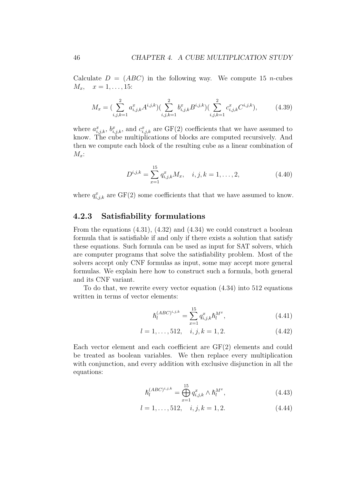Calculate  $D = (ABC)$  in the following way. We compute 15 *n*-cubes  $M_x, \quad x = 1, \ldots, 15$ :

$$
M_x = \left(\sum_{i,j,k=1}^2 a_{i,j,k}^x A^{i,j,k}\right) \left(\sum_{i,j,k=1}^2 b_{i,j,k}^x B^{i,j,k}\right) \left(\sum_{i,j,k=1}^2 c_{i,j,k}^x C^{i,j,k}\right),\tag{4.39}
$$

where  $a_{i,j,k}^x$ ,  $b_{i,j,k}^x$ , and  $c_{i,j,k}^x$  are GF(2) coefficients that we have assumed to know. The cube multiplications of blocks are computed recursively. And then we compute each block of the resulting cube as a linear combination of *Mx*:

$$
D^{i,j,k} = \sum_{x=1}^{15} q_{i,j,k}^x M_x, \quad i, j, k = 1, \dots, 2,
$$
 (4.40)

where  $q_{i,j,k}^x$  are  $GF(2)$  some coefficients that that we have assumed to know.

#### <span id="page-51-0"></span>**4.2.3 Satisfiability formulations**

From the equations [\(4.31\)](#page-49-0), [\(4.32\)](#page-50-0) and [\(4.34\)](#page-50-1) we could construct a boolean formula that is satisfiable if and only if there exists a solution that satisfy these equations. Such formula can be used as input for SAT solvers, which are computer programs that solve the satisfiability problem. Most of the solvers accept only CNF formulas as input, some may accept more general formulas. We explain here how to construct such a formula, both general and its CNF variant.

To do that, we rewrite every vector equation [\(4.34\)](#page-50-1) into 512 equations written in terms of vector elements:

$$
\hbar_l^{(ABC)^{i,j,k}} = \sum_{x=1}^{15} q_{i,j,k}^x \hbar_l^{M^x},\tag{4.41}
$$

$$
l = 1, \dots, 512, \quad i, j, k = 1, 2. \tag{4.42}
$$

Each vector element and each coefficient are GF(2) elements and could be treated as boolean variables. We then replace every multiplication with conjunction, and every addition with exclusive disjunction in all the equations:

<span id="page-51-1"></span>
$$
\hbar_l^{(ABC)^{i,j,k}} = \bigoplus_{x=1}^{15} q_{i,j,k}^x \wedge \hbar_l^{M^x},\tag{4.43}
$$

$$
l = 1, \dots, 512, \quad i, j, k = 1, 2. \tag{4.44}
$$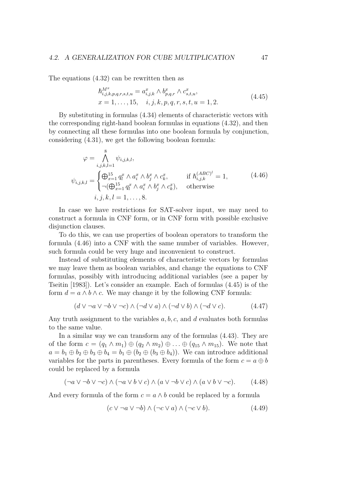The equations [\(4.32\)](#page-50-0) can be rewritten then as

<span id="page-52-1"></span><span id="page-52-0"></span>
$$
\begin{aligned} \hbar_{i,j,k,p,q,r,s,t,u}^{M^x} &= a_{i,j,k}^x \wedge b_{p,q,r}^x \wedge c_{s,t,u}^x, \\ x &= 1, \dots, 15, \quad i, j, k, p, q, r, s, t, u = 1, 2. \end{aligned} \tag{4.45}
$$

By substituting in formulas [\(4.34\)](#page-50-1) elements of characteristic vectors with the corresponding right-hand boolean formulas in equations [\(4.32\)](#page-50-0), and then by connecting all these formulas into one boolean formula by conjunction, considering [\(4.31\)](#page-49-0), we get the following boolean formula:

$$
\varphi = \bigwedge_{i,j,k,l=1}^{8} \psi_{i,j,k,l},
$$
  

$$
\psi_{i,j,k,l} = \begin{cases} \bigoplus_{x=1}^{15} q_i^x \wedge a_i^x \wedge b_j^x \wedge c_k^x, & \text{if } h_{i,j,k}^{(ABC)^l} = 1, \\ \neg (\bigoplus_{x=1}^{15} q_i^x \wedge a_i^x \wedge b_j^x \wedge c_k^x), & \text{otherwise} \end{cases}
$$
(4.46)  

$$
i, j, k, l = 1, ..., 8.
$$

In case we have restrictions for SAT-solver input, we may need to construct a formula in CNF form, or in CNF form with possible exclusive disjunction clauses.

To do this, we can use properties of boolean operators to transform the formula [\(4.46\)](#page-52-0) into a CNF with the same number of variables. However, such formula could be very huge and inconvenient to construct.

Instead of substituting elements of characteristic vectors by formulas we may leave them as boolean variables, and change the equations to CNF formulas, possibly with introducing additional variables (see a paper by [Tseitin](#page-70-8) [\[1983\]](#page-70-8)). Let's consider an example. Each of formulas [\(4.45\)](#page-52-1) is of the form  $d = a \wedge b \wedge c$ . We may change it by the following CNF formula:

$$
(d \lor \neg a \lor \neg b \lor \neg c) \land (\neg d \lor a) \land (\neg d \lor b) \land (\neg d \lor c). \tag{4.47}
$$

Any truth assignment to the variables *a, b, c*, and *d* evaluates both formulas to the same value.

In a similar way we can transform any of the formulas [\(4.43\)](#page-51-1). They are of the form  $c = (q_1 \wedge m_1) \oplus (q_2 \wedge m_2) \oplus \ldots \oplus (q_{15} \wedge m_{15})$ . We note that  $a = b_1 \oplus b_2 \oplus b_3 \oplus b_4 = b_1 \oplus (b_2 \oplus (b_3 \oplus b_4))$ . We can introduce additional variables for the parts in parentheses. Every formula of the form  $c = a \oplus b$ could be replaced by a formula

$$
(\neg a \lor \neg b \lor \neg c) \land (\neg a \lor b \lor c) \land (a \lor \neg b \lor c) \land (a \lor b \lor \neg c). \tag{4.48}
$$

And every formula of the form  $c = a \wedge b$  could be replaced by a formula

$$
(c \lor \neg a \lor \neg b) \land (\neg c \lor a) \land (\neg c \lor b). \tag{4.49}
$$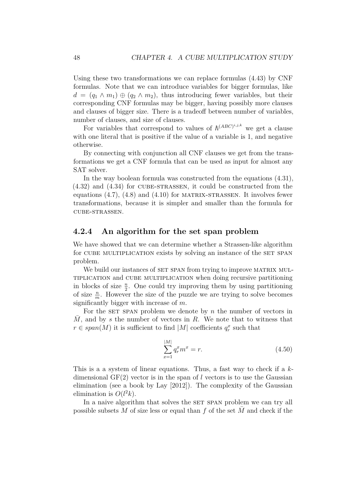Using these two transformations we can replace formulas [\(4.43\)](#page-51-1) by CNF formulas. Note that we can introduce variables for bigger formulas, like  $d = (q_1 \wedge m_1) \oplus (q_2 \wedge m_2)$ , thus introducing fewer variables, but their corresponding CNF formulas may be bigger, having possibly more clauses and clauses of bigger size. There is a tradeoff between number of variables, number of clauses, and size of clauses.

For variables that correspond to values of  $h^{(ABC)^{i,j,k}}$  we get a clause with one literal that is positive if the value of a variable is 1, and negative otherwise.

By connecting with conjunction all CNF clauses we get from the transformations we get a CNF formula that can be used as input for almost any SAT solver.

In the way boolean formula was constructed from the equations [\(4.31\)](#page-49-0),  $(4.32)$  and  $(4.34)$  for CUBE-STRASSEN, it could be constructed from the equations  $(4.7)$ ,  $(4.8)$  and  $(4.10)$  for MATRIX-STRASSEN. It involves fewer transformations, because it is simpler and smaller than the formula for cube-strassen.

#### <span id="page-53-0"></span>**4.2.4 An algorithm for the set span problem**

We have showed that we can determine whether a Strassen-like algorithm for CUBE MULTIPLICATION exists by solving an instance of the SET SPAN problem.

We build our instances of SET SPAN from trying to improve MATRIX MULtiplication and cube multiplication when doing recursive partitioning in blocks of size  $\frac{n}{2}$ . One could try improving them by using partitioning of size  $\frac{n}{m}$ . However the size of the puzzle we are trying to solve becomes significantly bigger with increase of *m*.

For the set span problem we denote by  $n$  the number of vectors in *M*, and by *s* the number of vectors in *R*. We note that to witness that  $r \in span(M)$  it is sufficient to find  $|M|$  coefficients  $q_r^x$  such that

<span id="page-53-1"></span>
$$
\sum_{x=1}^{|M|} q_r^x m^x = r.
$$
\n(4.50)

This is a a system of linear equations. Thus, a fast way to check if a *k*dimensional  $GF(2)$  vector is in the span of *l* vectors is to use the Gaussian elimination (see a book by [Lay](#page-70-6) [\[2012\]](#page-70-6)). The complexity of the Gaussian elimination is  $O(l^2k)$ .

In a naive algorithm that solves the SET SPAN problem we can try all possible subsets  $M$  of size less or equal than  $f$  of the set  $M$  and check if the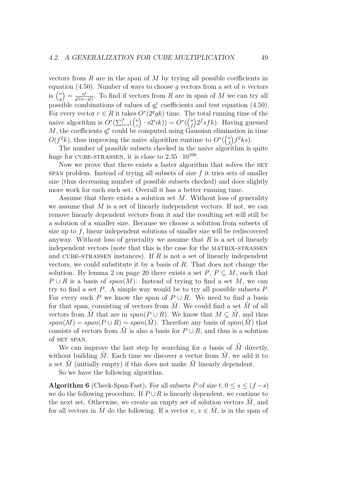vectors from *R* are in the span of *M* by trying all possible coefficients in equation [\(4.50\)](#page-53-1). Number of ways to choose *g* vectors from a set of *n* vectors is  $\binom{n}{a}$ *g*  $=\frac{n!}{g!(n-g)!}$ . To find if vectors from *R* are in span of *M* we can try all possible combinations of values of  $q_r^x$  coefficients and test equation [\(4.50\)](#page-53-1). For every vector  $r \in R$  it takes  $O^*(2^g g k)$  time. The total running time of the naive algorithm is  $O^*(\sum_{i=s}^f {n \choose i}$ *i*  $\int$  ·  $s2^{i}ik)$ ) =  $O^{*}(\binom{n}{f})$ *f*  $\int 2^f s f k$ . Having guessed *M*, the coefficients  $q_r^x$  could be computed using Gaussian elimination in time  $O(f^2k)$ , thus improving the naive algorithm runtime to  $O^*(\binom{n}{k})$ *f*  $\int f^2 k s$ .

The number of possible subsets checked in the naive algorithm is quite huge for CUBE-STRASSEN, it is close to  $2.35 \cdot 10^{108}$ .

Now we prove that there exists a faster algorithm that solves the SET span problem. Instead of trying all subsets of size *f* it tries sets of smaller size (thus decreasing number of possible subsets checked) and does slightly more work for each such set. Overall it has a better running time.

Assume that there exists a solution set *M*. Without loss of generality we assume that *M* is a set of linearly independent vectors. If not, we can remove linearly dependent vectors from it and the resulting set will still be a solution of a smaller size. Because we choose a solution from subsets of size up to *f*, linear independent solutions of smaller size will be rediscovered anyway. Without loss of generality we assume that *R* is a set of linearly independent vectors (note that this is the case for the MATRIX-STRASSEN and cube-strassen instances). If *R* is not a set of linearly independent vectors, we could substitute it by a basis of *R*. That does not change the solution. By lemma [2](#page-25-0) on page [20](#page-25-0) there exists a set  $P, P \subseteq M$ , such that  $P \cup R$  is a basis of *span*(*M*). Instead of trying to find a set *M*, we can try to find a set *P*. A simple way would be to try all possible subsets *P*. For every such *P* we know the span of  $P \cup R$ . We need to find a basis for that span, consisting of vectors from  $\overline{M}$ . We could find a set  $\hat{M}$  of all vectors from  $\overline{M}$  that are in  $span(P \cup R)$ . We know that  $M \subseteq \hat{M}$ , and thus  $span(M) = span(P \cup R) = span(\hat{M})$ . Therefore any basis of  $span(\hat{M})$  that consists of vectors from  $\hat{M}$  is also a basis for  $P \cup R$ , and thus is a solution of SET SPAN.

We can improve the last step by searching for a basis of  $\hat{M}$  directly, without building  $\hat{M}$ . Each time we discover a vector from  $\hat{M}$ , we add it to a set  $\dot{M}$  (initially empty) if this does not make  $\dot{M}$  linearly dependent.

So we have the following algorithm.

<span id="page-54-0"></span>**Algorithm 6** (Check-Span-Fast). For all subsets *P* of size  $t, 0 \le s \le (f - s)$ we do the following procedure. If  $P \cup R$  is linearly dependent, we continue to the next set. Otherwise, we create an empty set of solution vectors  $\dot{M}$ , and for all vectors in *M* do the following. If a vector  $v, v \in M$ , is in the span of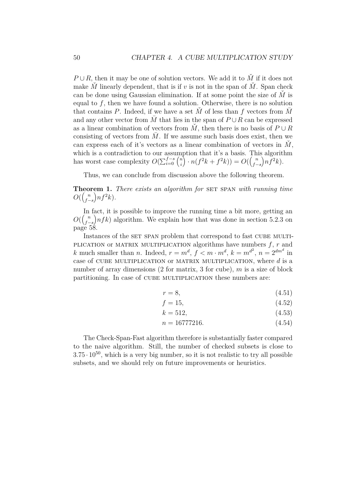$P \cup R$ , then it may be one of solution vectors. We add it to  $\check{M}$  if it does not make  $\check{M}$  linearly dependent, that is if *v* is not in the span of  $\check{M}$ . Span check can be done using Gaussian elimination. If at some point the size of  $\check{M}$  is equal to  $f$ , then we have found a solution. Otherwise, there is no solution that contains *P*. Indeed, if we have a set  $\dot{M}$  of less than  $f$  vectors from  $\dot{M}$ and any other vector from  $\overline{M}$  that lies in the span of  $P \cup R$  can be expressed as a linear combination of vectors from  $\dot{M}$ , then there is no basis of  $P \cup R$ consisting of vectors from  $\overline{M}$ . If we assume such basis does exist, then we can express each of it's vectors as a linear combination of vectors in  $\dot{M}$ , which is a contradiction to our assumption that it's a basis. This algorithm has worst case complexity  $O(\sum_{i=0}^{f-s} \binom{n}{i})$ *i*  $\int \cdot n(f^2k + f^2k) = O(\int_{f}^n)$ *f*−*s*  $\bigg) n \tilde{f}^2 k$ .

Thus, we can conclude from discussion above the following theorem.

**Theorem 1.** *There exists an algorithm for* SET SPAN *with running time*  $O(\left(\frac{n}{f}\right))$ *f*−*s*  $\left( n f^2 k \right)$ .

In fact, it is possible to improve the running time a bit more, getting an  $O(\left(\frac{n}{f}\right))$ *f*−*s*  $n f k$ ) algorithm. We explain how that was done in section [5.2.3](#page-63-0) on page [58.](#page-63-0)

Instances of the SET SPAN problem that correspond to fast CUBE MULTIplication or MATRIX MULTIPLICATION algorithms have numbers  $f, r$  and *k* much smaller than *n*. Indeed,  $r = m^d$ ,  $f < m \cdot m^d$ ,  $k = m^{d^2}$ ,  $n = 2^{dm^d}$  in case of cube multiplication or matrix multiplication, where *d* is a number of array dimensions (2 for matrix, 3 for cube), *m* is a size of block partitioning. In case of CUBE MULTIPLICATION these numbers are:

$$
r = 8,\t\t(4.51)
$$

$$
f = 15,\tag{4.52}
$$

$$
k = 512,\tag{4.53}
$$

$$
n = 16777216.\t(4.54)
$$

The Check-Span-Fast algorithm therefore is substantially faster compared to the naive algorithm. Still, the number of checked subsets is close to  $3.75 \cdot 10^{50}$ , which is a very big number, so it is not realistic to try all possible subsets, and we should rely on future improvements or heuristics.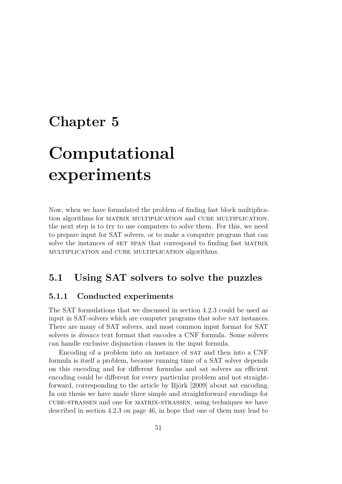## <span id="page-56-0"></span>**Chapter 5**

# **Computational experiments**

Now, when we have formulated the problem of finding fast block multiplication algorithms for matrix multiplication and cube multiplication, the next step is to try to use computers to solve them. For this, we need to prepare input for SAT solvers, or to make a computer program that can solve the instances of SET SPAN that correspond to finding fast MATRIX multiplication and cube multiplication algorithms.

## <span id="page-56-1"></span>**5.1 Using SAT solvers to solve the puzzles**

#### <span id="page-56-2"></span>**5.1.1 Conducted experiments**

The SAT formulations that we discussed in section [4.2.3](#page-51-0) could be used as input in SAT-solvers which are computer programs that solve sat instances. There are many of SAT solvers, and most common input format for SAT solvers is *dimacs* text format that encodes a CNF formula. Some solvers can handle exclusive disjunction clauses in the input formula.

Encoding of a problem into an instance of SAT and then into a CNF formula is itself a problem, because running time of a SAT solver depends on this encoding and for different formulas and sat solvers an efficient encoding could be different for every particular problem and not straightforward, corresponding to the article by [Björk](#page-69-10) [\[2009\]](#page-69-10) about sat encoding. In our thesis we have made three simple and straightforward encodings for cube-strassen and one for matrix-strassen, using techniques we have described in section [4.2.3](#page-51-0) on page [46,](#page-51-0) in hope that one of them may lead to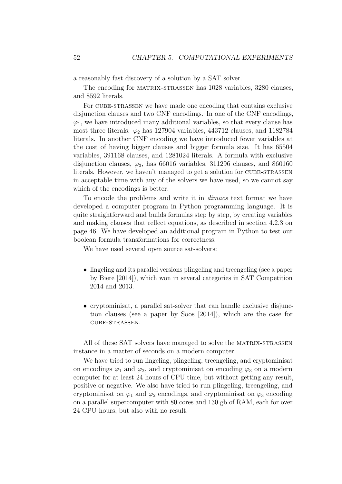a reasonably fast discovery of a solution by a SAT solver.

The encoding for matrix-strassen has 1028 variables, 3280 clauses, and 8592 literals.

For CUBE-STRASSEN we have made one encoding that contains exclusive disjunction clauses and two CNF encodings. In one of the CNF encodings,  $\varphi_1$ , we have introduced many additional variables, so that every clause has most three literals.  $\varphi_2$  has 127904 variables, 443712 clauses, and 1182784 literals. In another CNF encoding we have introduced fewer variables at the cost of having bigger clauses and bigger formula size. It has 65504 variables, 391168 clauses, and 1281024 literals. A formula with exclusive disjunction clauses,  $\varphi_3$ , has 66016 variables, 311296 clauses, and 860160 literals. However, we haven't managed to get a solution for CUBE-STRASSEN in acceptable time with any of the solvers we have used, so we cannot say which of the encodings is better.

To encode the problems and write it in *dimacs* text format we have developed a computer program in Python programming language. It is quite straightforward and builds formulas step by step, by creating variables and making clauses that reflect equations, as described in section [4.2.3](#page-51-0) on page [46.](#page-51-0) We have developed an additional program in Python to test our boolean formula transformations for correctness.

We have used several open source sat-solvers:

- lingeling and its parallel versions plingeling and treengeling (see a paper by [Biere](#page-69-11) [\[2014\]](#page-69-11)), which won in several categories in SAT Competition 2014 and 2013.
- cryptominisat, a parallel sat-solver that can handle exclusive disjunction clauses (see a paper by [Soos](#page-70-9) [\[2014\]](#page-70-9)), which are the case for cube-strassen.

All of these SAT solvers have managed to solve the MATRIX-STRASSEN instance in a matter of seconds on a modern computer.

We have tried to run lingeling, plingeling, treengeling, and cryptominisat on encodings  $\varphi_1$  and  $\varphi_2$ , and cryptominisation encoding  $\varphi_3$  on a modern computer for at least 24 hours of CPU time, but without getting any result, positive or negative. We also have tried to run plingeling, treengeling, and cryptominisat on  $\varphi_1$  and  $\varphi_2$  encodings, and cryptominisat on  $\varphi_3$  encoding on a parallel supercomputer with 80 cores and 130 gb of RAM, each for over 24 CPU hours, but also with no result.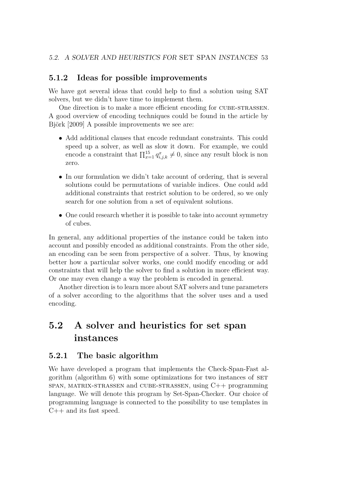#### <span id="page-58-0"></span>**5.1.2 Ideas for possible improvements**

We have got several ideas that could help to find a solution using SAT solvers, but we didn't have time to implement them.

One direction is to make a more efficient encoding for cube-strassen. A good overview of encoding techniques could be found in the article by [Björk](#page-69-10) [\[2009\]](#page-69-10) A possible improvements we see are:

- Add additional clauses that encode redundant constraints. This could speed up a solver, as well as slow it down. For example, we could encode a constraint that  $\prod_{x=1}^{15} q_{i,j,k}^x \neq 0$ , since any result block is non zero.
- In our formulation we didn't take account of ordering, that is several solutions could be permutations of variable indices. One could add additional constraints that restrict solution to be ordered, so we only search for one solution from a set of equivalent solutions.
- One could research whether it is possible to take into account symmetry of cubes.

In general, any additional properties of the instance could be taken into account and possibly encoded as additional constraints. From the other side, an encoding can be seen from perspective of a solver. Thus, by knowing better how a particular solver works, one could modify encoding or add constraints that will help the solver to find a solution in more efficient way. Or one may even change a way the problem is encoded in general.

Another direction is to learn more about SAT solvers and tune parameters of a solver according to the algorithms that the solver uses and a used encoding.

## <span id="page-58-1"></span>**5.2 A solver and heuristics for set span instances**

#### <span id="page-58-2"></span>**5.2.1 The basic algorithm**

We have developed a program that implements the Check-Span-Fast algorithm (algorithm [6\)](#page-54-0) with some optimizations for two instances of set span, matrix-strassen and cube-strassen, using C++ programming language. We will denote this program by Set-Span-Checker. Our choice of programming language is connected to the possibility to use templates in C++ and its fast speed.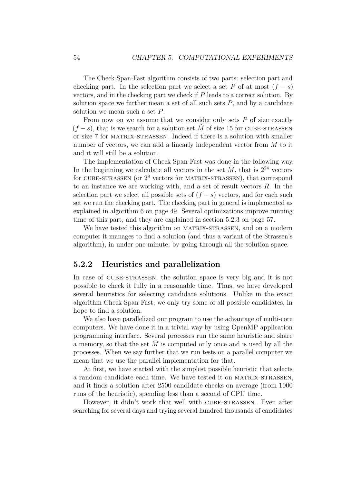The Check-Span-Fast algorithm consists of two parts: selection part and checking part. In the selection part we select a set *P* of at most  $(f - s)$ vectors, and in the checking part we check if *P* leads to a correct solution. By solution space we further mean a set of all such sets  $P$ , and by a candidate solution we mean such a set *P*.

From now on we assume that we consider only sets *P* of size exactly  $(f - s)$ , that is we search for a solution set M<sup>o</sup> of size 15 for CUBE-STRASSEN or size 7 for matrix-strassen. Indeed if there is a solution with smaller number of vectors, we can add a linearly independent vector from *M* to it and it will still be a solution.

The implementation of Check-Span-Fast was done in the following way. In the beginning we calculate all vectors in the set  $\overline{M}$ , that is  $2^{24}$  vectors for CUBE-STRASSEN (or  $2^8$  vectors for MATRIX-STRASSEN), that correspond to an instance we are working with, and a set of result vectors *R*. In the selection part we select all possible sets of  $(f - s)$  vectors, and for each such set we run the checking part. The checking part in general is implemented as explained in algorithm [6](#page-54-0) on page [49.](#page-54-0) Several optimizations improve running time of this part, and they are explained in section [5.2.3](#page-62-0) on page [57.](#page-62-0)

We have tested this algorithm on MATRIX-STRASSEN, and on a modern computer it manages to find a solution (and thus a variant of the Strassen's algorithm), in under one minute, by going through all the solution space.

#### <span id="page-59-0"></span>**5.2.2 Heuristics and parallelization**

In case of CUBE-STRASSEN, the solution space is very big and it is not possible to check it fully in a reasonable time. Thus, we have developed several heuristics for selecting candidate solutions. Unlike in the exact algorithm Check-Span-Fast, we only try some of all possible candidates, in hope to find a solution.

We also have parallelized our program to use the advantage of multi-core computers. We have done it in a trivial way by using OpenMP application programming interface. Several processes run the same heuristic and share a memory, so that the set  $M$  is computed only once and is used by all the processes. When we say further that we run tests on a parallel computer we mean that we use the parallel implementation for that.

At first, we have started with the simplest possible heuristic that selects a random candidate each time. We have tested it on MATRIX-STRASSEN, and it finds a solution after 2500 candidate checks on average (from 1000 runs of the heuristic), spending less than a second of CPU time.

However, it didn't work that well with cube-strassen. Even after searching for several days and trying several hundred thousands of candidates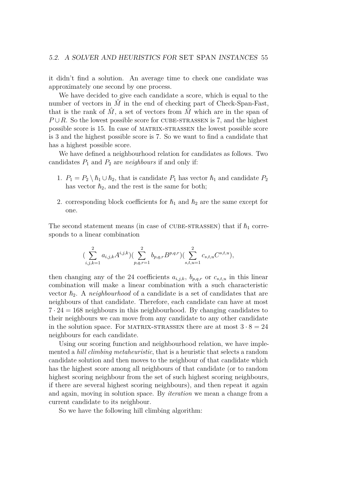it didn't find a solution. An average time to check one candidate was approximately one second by one process.

We have decided to give each candidate a score, which is equal to the number of vectors in  $\check{M}$  in the end of checking part of Check-Span-Fast, that is the rank of  $\hat{M}$ , a set of vectors from  $\overline{M}$  which are in the span of  $P \cup R$ . So the lowest possible score for CUBE-STRASSEN is 7, and the highest possible score is 15. In case of matrix-strassen the lowest possible score is 3 and the highest possible score is 7. So we want to find a candidate that has a highest possible score.

We have defined a neighbourhood relation for candidates as follows. Two candidates  $P_1$  and  $P_2$  are *neighbours* if and only if:

- 1.  $P_1 = P_2 \setminus \hbar_1 \cup \hbar_2$ , that is candidate  $P_1$  has vector  $\hbar_1$  and candidate  $P_2$ has vector  $h_2$ , and the rest is the same for both;
- 2. corresponding block coefficients for  $h_1$  and  $h_2$  are the same except for one.

The second statement means (in case of CUBE-STRASSEN) that if  $\hbar_1$  corresponds to a linear combination

$$
\left(\sum_{i,j,k=1}^{2} a_{i,j,k} A^{i,j,k}\right)\left(\sum_{p,q,r=1}^{2} b_{p,q,r} B^{p,q,r}\right)\left(\sum_{s,t,u=1}^{2} c_{s,t,u} C^{s,t,u}\right),
$$

then changing any of the 24 coefficients  $a_{i,j,k}$ ,  $b_{p,q,r}$  or  $c_{s,t,u}$  in this linear combination will make a linear combination with a such characteristic vector  $h_2$ . A *neighbourhood* of a candidate is a set of candidates that are neighbours of that candidate. Therefore, each candidate can have at most  $7 \cdot 24 = 168$  neighbours in this neighbourhood. By changing candidates to their neighbours we can move from any candidate to any other candidate in the solution space. For MATRIX-STRASSEN there are at most  $3 \cdot 8 = 24$ neighbours for each candidate.

Using our scoring function and neighbourhood relation, we have implemented a *hill climbing metaheuristic*, that is a heuristic that selects a random candidate solution and then moves to the neighbour of that candidate which has the highest score among all neighbours of that candidate (or to random highest scoring neighbour from the set of such highest scoring neighbours, if there are several highest scoring neighbours), and then repeat it again and again, moving in solution space. By *iteration* we mean a change from a current candidate to its neighbour.

So we have the following hill climbing algorithm: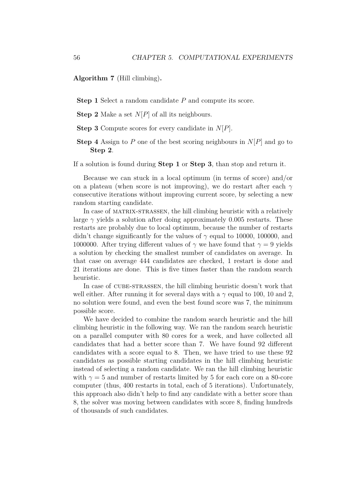**Algorithm 7** (Hill climbing)**.**

**Step 1** Select a random candidate *P* and compute its score.

**Step 2** Make a set *N*[*P*] of all its neighbours.

**Step 3** Compute scores for every candidate in *N*[*P*].

**Step 4** Assign to *P* one of the best scoring neighbours in *N*[*P*] and go to **Step 2**.

If a solution is found during **Step 1** or **Step 3**, than stop and return it.

Because we can stuck in a local optimum (in terms of score) and/or on a plateau (when score is not improving), we do restart after each *γ* consecutive iterations without improving current score, by selecting a new random starting candidate.

In case of matrix-strassen, the hill climbing heuristic with a relatively large  $\gamma$  yields a solution after doing approximately 0.005 restarts. These restarts are probably due to local optimum, because the number of restarts didn't change significantly for the values of *γ* equal to 10000, 100000, and 1000000. After trying different values of  $\gamma$  we have found that  $\gamma = 9$  yields a solution by checking the smallest number of candidates on average. In that case on average 444 candidates are checked, 1 restart is done and 21 iterations are done. This is five times faster than the random search heuristic.

In case of CUBE-STRASSEN, the hill climbing heuristic doesn't work that well either. After running it for several days with a  $\gamma$  equal to 100, 10 and 2, no solution were found, and even the best found score was 7, the minimum possible score.

We have decided to combine the random search heuristic and the hill climbing heuristic in the following way. We ran the random search heuristic on a parallel computer with 80 cores for a week, and have collected all candidates that had a better score than 7. We have found 92 different candidates with a score equal to 8. Then, we have tried to use these 92 candidates as possible starting candidates in the hill climbing heuristic instead of selecting a random candidate. We ran the hill climbing heuristic with  $\gamma = 5$  and number of restarts limited by 5 for each core on a 80-core computer (thus, 400 restarts in total, each of 5 iterations). Unfortunately, this approach also didn't help to find any candidate with a better score than 8, the solver was moving between candidates with score 8, finding hundreds of thousands of such candidates.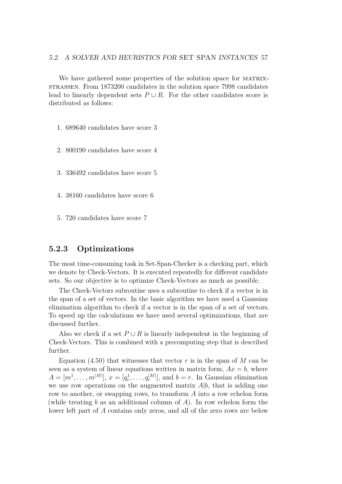#### 5.2. A SOLVER AND HEURISTICS FOR SET SPAN INSTANCES 57

We have gathered some properties of the solution space for MATRIXstrassen. From 1873200 candidates in the solution space 7998 candidates lead to linearly dependent sets  $P \cup R$ . For the other candidates score is distributed as follows:

1. 689640 candidates have score 3

- 2. 800190 candidates have score 4
- 3. 336492 candidates have score 5
- 4. 38160 candidates have score 6
- 5. 720 candidates have score 7

#### <span id="page-62-0"></span>**5.2.3 Optimizations**

The most time-consuming task in Set-Span-Checker is a checking part, which we denote by Check-Vectors. It is executed repeatedly for different candidate sets. So our objective is to optimize Check-Vectors as much as possible.

The Check-Vectors subroutine uses a subroutine to check if a vector is in the span of a set of vectors. In the basic algorithm we have used a Gaussian elimination algorithm to check if a vector is in the span of a set of vectors. To speed up the calculations we have used several optimizations, that are discussed further.

Also we check if a set  $P \cup R$  is linearly independent in the beginning of Check-Vectors. This is combined with a precomputing step that is described further.

Equation  $(4.50)$  that witnesses that vector r is in the span of M can be seen as a system of linear equations written in matrix form,  $Ax = b$ , where  $A = [m^1, \ldots, m^{|M|}], x = [q_r^1, \ldots, q_r^{|M|}],$  and  $b = r$ . In Gaussian elimination we use row operations on the augmented matrix *A*|*b*, that is adding one row to another, or swapping rows, to transform *A* into a row echelon form (while treating *b* as an additional column of *A*). In row echelon form the lower left part of *A* contains only zeros, and all of the zero rows are below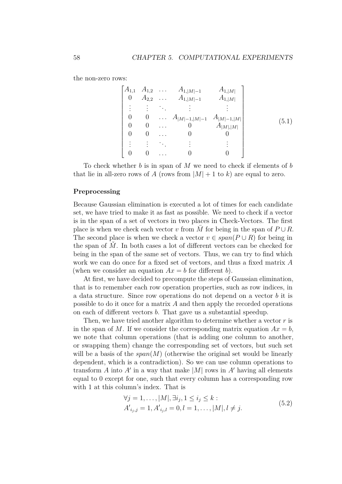the non-zero rows:

| $A_{1,1}$      |   | $A_{1,2}$ $A_{1, M -1}$                    | $A_{1, M }$   |       |
|----------------|---|--------------------------------------------|---------------|-------|
| $\overline{0}$ |   | $A_{2,2}$ $A_{1, M -1}$                    | $A_{1, M }$   |       |
|                |   |                                            |               |       |
|                | 0 | $\ldots$ $A_{ M -1, M -1}$ $A_{ M -1, M }$ |               |       |
|                |   |                                            | $A_{ M , M }$ | (5.1) |
|                |   |                                            |               |       |
|                |   |                                            |               |       |
|                |   |                                            |               |       |
|                |   |                                            |               |       |

To check whether *b* is in span of *M* we need to check if elements of *b* that lie in all-zero rows of A (rows from  $|M| + 1$  to k) are equal to zero.

#### <span id="page-63-0"></span>**Preprocessing**

Because Gaussian elimination is executed a lot of times for each candidate set, we have tried to make it as fast as possible. We need to check if a vector is in the span of a set of vectors in two places in Check-Vectors. The first place is when we check each vector *v* from *M* for being in the span of  $P \cup R$ . The second place is when we check a vector  $v \in span(P \cup R)$  for being in the span of  $\dot{M}$ . In both cases a lot of different vectors can be checked for being in the span of the same set of vectors. Thus, we can try to find which work we can do once for a fixed set of vectors, and thus a fixed matrix *A* (when we consider an equation  $Ax = b$  for different *b*).

At first, we have decided to precompute the steps of Gaussian elimination, that is to remember each row operation properties, such as row indices, in a data structure. Since row operations do not depend on a vector *b* it is possible to do it once for a matrix *A* and then apply the recorded operations on each of different vectors *b*. That gave us a substantial speedup.

Then, we have tried another algorithm to determine whether a vector *r* is in the span of M. If we consider the corresponding matrix equation  $Ax = b$ , we note that column operations (that is adding one column to another, or swapping them) change the corresponding set of vectors, but such set will be a basis of the  $span(M)$  (otherwise the original set would be linearly dependent, which is a contradiction). So we can use column operations to transform  $A$  into  $A'$  in a way that make  $|M|$  rows in  $A'$  having all elements equal to 0 except for one, such that every column has a corresponding row with 1 at this column's index. That is

<span id="page-63-1"></span>
$$
\forall j = 1, ..., |M|, \exists i_j, 1 \le i_j \le k : \n A'_{i_j, j} = 1, A'_{i_j, l} = 0, l = 1, ..., |M|, l \ne j.
$$
\n(5.2)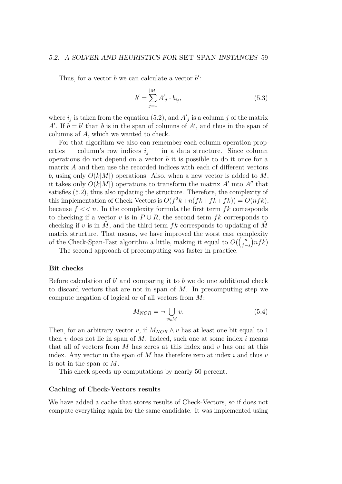#### 5.2. A SOLVER AND HEURISTICS FOR SET SPAN INSTANCES 59

Thus, for a vector  $b$  we can calculate a vector  $b'$ :

$$
b' = \sum_{j=1}^{|M|} A'_j \cdot b_{i_j},
$$
\n(5.3)

where  $i_j$  is taken from the equation [\(5.2\)](#page-63-1), and  $A'_j$  is a column *j* of the matrix *A*<sup> $\prime$ </sup>. If  $b = b'$  than *b* is in the span of columns of *A*<sup> $\prime$ </sup>, and thus in the span of columns af *A*, which we wanted to check.

For that algorithm we also can remember each column operation properties — column's row indices  $i_j$  — in a data structure. Since column operations do not depend on a vector *b* it is possible to do it once for a matrix *A* and then use the recorded indices with each of different vectors *b*, using only  $O(k|M|)$  operations. Also, when a new vector is added to M, it takes only  $O(k|M|)$  operations to transform the matrix  $A'$  into  $A''$  that satisfies [\(5.2\)](#page-63-1), thus also updating the structure. Therefore, the complexity of this implementation of Check-Vectors is  $O(f^2k + n(fk + fk) ) = O(nfk)$ , because  $f \ll n$ . In the complexity formula the first term  $fk$  corresponds to checking if a vector *v* is in  $P \cup R$ , the second term *fk* corresponds to checking if *v* is in  $\dot{M}$ , and the third term  $fk$  corresponds to updating of  $\dot{M}$ matrix structure. That means, we have improved the worst case complexity of the Check-Span-Fast algorithm a little, making it equal to  $O(\binom{n}{f}$ *f*−*s*  $n f k$ 

The second approach of precomputing was faster in practice.

#### **Bit checks**

Before calculation of  $b'$  and comparing it to  $b$  we do one additional check to discard vectors that are not in span of *M*. In precomputing step we compute negation of logical or of all vectors from *M*:

$$
M_{NOR} = \neg \bigcup_{v \in M} v. \tag{5.4}
$$

Then, for an arbitrary vector *v*, if  $M_{NOR} \wedge v$  has at least one bit equal to 1 then *v* does not lie in span of *M*. Indeed, such one at some index *i* means that all of vectors from *M* has zeros at this index and *v* has one at this index. Any vector in the span of *M* has therefore zero at index *i* and thus *v* is not in the span of *M*.

This check speeds up computations by nearly 50 percent.

#### **Caching of Check-Vectors results**

We have added a cache that stores results of Check-Vectors, so if does not compute everything again for the same candidate. It was implemented using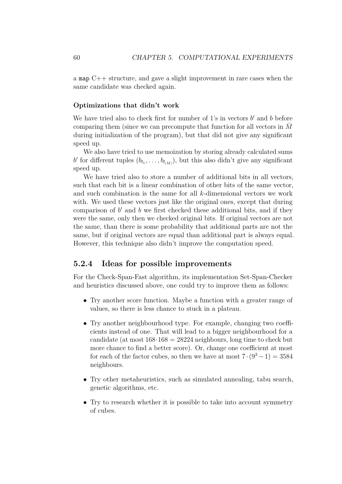a map C++ structure, and gave a slight improvement in rare cases when the same candidate was checked again.

#### **Optimizations that didn't work**

We have tried also to check first for number of  $1$ 's in vectors  $b'$  and  $b$  before comparing them (since we can precompute that function for all vectors in *M*¯ during initialization of the program), but that did not give any significant speed up.

We also have tried to use memoization by storing already calculated sums b' for different tuples  $(b_{l_1}, \ldots, b_{l_{|M|}})$ , but this also didn't give any significant speed up.

We have tried also to store a number of additional bits in all vectors, such that each bit is a linear combination of other bits of the same vector, and such combination is the same for all *k*-dimensional vectors we work with. We used these vectors just like the original ones, except that during comparison of  $b'$  and  $b$  we first checked these additional bits, and if they were the same, only then we checked original bits. If original vectors are not the same, than there is some probability that additional parts are not the same, but if original vectors are equal than additional part is always equal. However, this technique also didn't improve the computation speed.

#### <span id="page-65-0"></span>**5.2.4 Ideas for possible improvements**

For the Check-Span-Fast algorithm, its implementation Set-Span-Checker and heuristics discussed above, one could try to improve them as follows:

- Try another score function. Maybe a function with a greater range of values, so there is less chance to stuck in a plateau.
- Try another neighbourhood type. For example, changing two coefficients instead of one. That will lead to a bigger neighbourhood for a candidate (at most  $168 \cdot 168 = 28224$  neighbours, long time to check but more chance to find a better score). Or, change one coefficient at most for each of the factor cubes, so then we have at most  $7 \cdot (9^3 - 1) = 3584$ neighbours.
- Try other metaheuristics, such as simulated annealing, tabu search, genetic algorithms, etc.
- Try to research whether it is possible to take into account symmetry of cubes.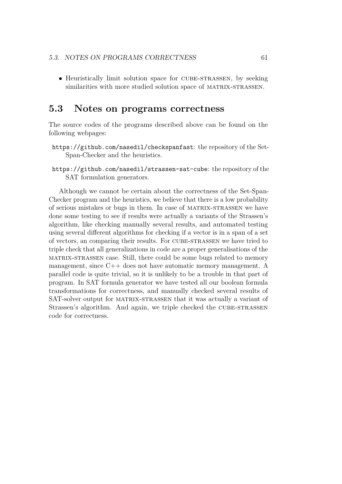• Heuristically limit solution space for CUBE-STRASSEN, by seeking similarities with more studied solution space of MATRIX-STRASSEN.

## <span id="page-66-0"></span>**5.3 Notes on programs correctness**

The source codes of the programs described above can be found on the following webpages:

- <https://github.com/nasedil/checkspanfast>: the repository of the Set-Span-Checker and the heuristics.
- <https://github.com/nasedil/strassen-sat-cube>: the repository of the SAT formulation generators.

Although we cannot be certain about the correctness of the Set-Span-Checker program and the heuristics, we believe that there is a low probability of serious mistakes or bugs in them. In case of matrix-strassen we have done some testing to see if results were actually a variants of the Strassen's algorithm, like checking manually several results, and automated testing using several different algorithms for checking if a vector is in a span of a set of vectors, an comparing their results. For cube-strassen we have tried to triple check that all generalizations in code are a proper generalisations of the matrix-strassen case. Still, there could be some bugs related to memory management, since C++ does not have automatic memory management. A parallel code is quite trivial, so it is unlikely to be a trouble in that part of program. In SAT formula generator we have tested all our boolean formula transformations for correctness, and manually checked several results of SAT-solver output for MATRIX-STRASSEN that it was actually a variant of Strassen's algorithm. And again, we triple checked the CUBE-STRASSEN code for correctness.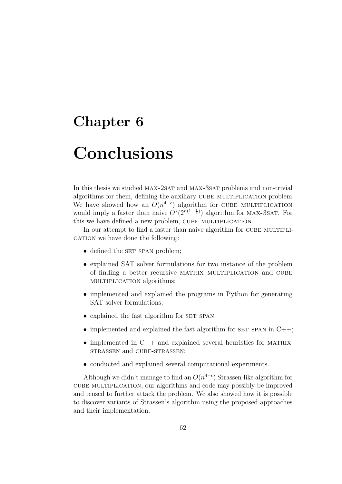## <span id="page-67-0"></span>**Chapter 6**

# **Conclusions**

In this thesis we studied MAX-2SAT and MAX-3SAT problems and non-trivial algorithms for them, defining the auxiliary CUBE MULTIPLICATION problem. We have showed how an  $O(n^{4-\epsilon})$  algorithm for CUBE MULTIPLICATION would imply a faster than naive  $\hat{O}^*(2^{n(1-\frac{\epsilon}{4})})$  algorithm for MAX-3SAT. For this we have defined a new problem, CUBE MULTIPLICATION.

In our attempt to find a faster than naive algorithm for CUBE MULTIPLI-CATION we have done the following:

- defined the SET SPAN problem;
- explained SAT solver formulations for two instance of the problem of finding a better recursive matrix multiplication and cube multiplication algorithms;
- implemented and explained the programs in Python for generating SAT solver formulations;
- explained the fast algorithm for SET SPAN
- implemented and explained the fast algorithm for  $SET$  SPAN in  $C++$ ;
- implemented in  $C++$  and explained several heuristics for MATRIXstrassen and cube-strassen;
- conducted and explained several computational experiments.

Although we didn't manage to find an  $O(n^{4-\epsilon})$  Strassen-like algorithm for cube multiplication, our algorithms and code may possibly be improved and reused to further attack the problem. We also showed how it is possible to discover variants of Strassen's algorithm using the proposed approaches and their implementation.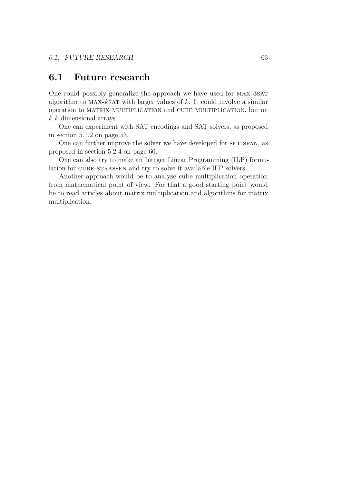## <span id="page-68-0"></span>**6.1 Future research**

One could possibly generalize the approach we have used for MAX-3SAT algorithm to max-*k*sat with larger values of *k*. It could involve a similar operation to matrix multiplication and cube multiplication, but on *k k*-dimensional arrays.

One can experiment with SAT encodings and SAT solvers, as proposed in section [5.1.2](#page-58-0) on page [53.](#page-58-0)

One can further improve the solver we have developed for SET SPAN, as proposed in section [5.2.4](#page-65-0) on page [60.](#page-65-0)

One can also try to make an Integer Linear Programming (ILP) formulation for cube-strassen and try to solve it available ILP solvers.

Another approach would be to analyse cube multiplication operation from mathematical point of view. For that a good starting point would be to read articles about matrix multiplication and algorithms for matrix multiplication.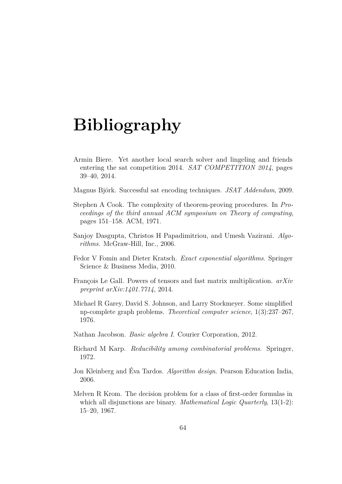# **Bibliography**

- <span id="page-69-11"></span><span id="page-69-0"></span>Armin Biere. Yet another local search solver and lingeling and friends entering the sat competition 2014. *SAT COMPETITION 2014*, pages 39–40, 2014.
- <span id="page-69-10"></span>Magnus Björk. Successful sat encoding techniques. *JSAT Addendum*, 2009.
- <span id="page-69-5"></span>Stephen A Cook. The complexity of theorem-proving procedures. In *Proceedings of the third annual ACM symposium on Theory of computing*, pages 151–158. ACM, 1971.
- <span id="page-69-3"></span>Sanjoy Dasgupta, Christos H Papadimitriou, and Umesh Vazirani. *Algorithms*. McGraw-Hill, Inc., 2006.
- <span id="page-69-2"></span>Fedor V Fomin and Dieter Kratsch. *Exact exponential algorithms*. Springer Science & Business Media, 2010.
- <span id="page-69-1"></span>François Le Gall. Powers of tensors and fast matrix multiplication. *arXiv preprint arXiv:1401.7714*, 2014.
- <span id="page-69-8"></span>Michael R Garey, David S. Johnson, and Larry Stockmeyer. Some simplified np-complete graph problems. *Theoretical computer science*, 1(3):237–267, 1976.
- <span id="page-69-9"></span>Nathan Jacobson. *Basic algebra I*. Courier Corporation, 2012.
- <span id="page-69-7"></span>Richard M Karp. *Reducibility among combinatorial problems*. Springer, 1972.
- <span id="page-69-4"></span>Jon Kleinberg and Éva Tardos. *Algorithm design*. Pearson Education India, 2006.
- <span id="page-69-6"></span>Melven R Krom. The decision problem for a class of first-order formulas in which all disjunctions are binary. *Mathematical Logic Quarterly*, 13(1-2): 15–20, 1967.